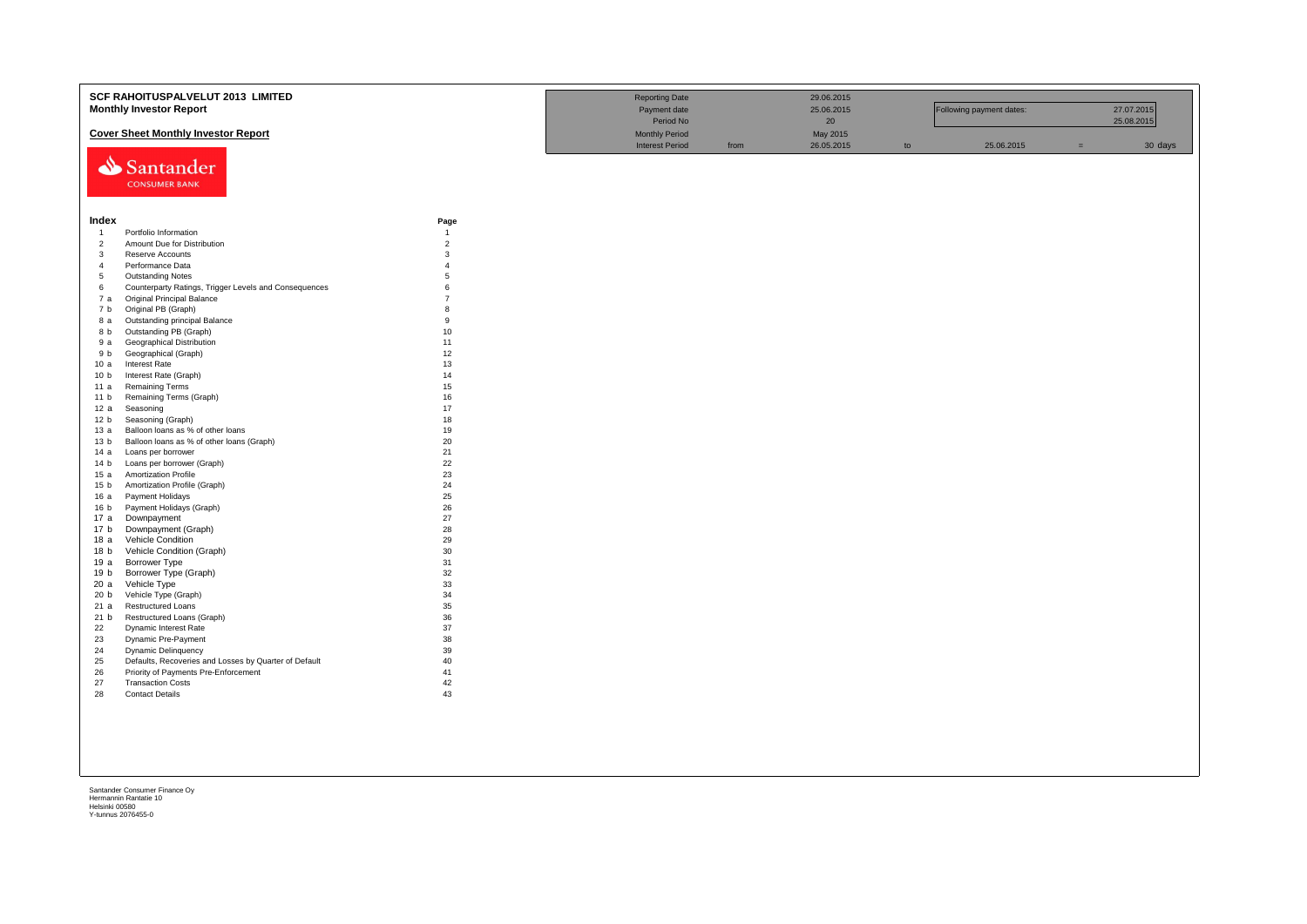|                                  | SCF RAHOITUSPALVELUT 2013 LIMITED<br><b>Monthly Investor Report</b>            |                     | <b>Reporting Date</b><br>Payment date<br>Period No |      | 29.06.2015<br>25.06.2015<br>20 <sup>°</sup> |    | Following payment dates: |     | 27.07.2015<br>25.08.2015 |
|----------------------------------|--------------------------------------------------------------------------------|---------------------|----------------------------------------------------|------|---------------------------------------------|----|--------------------------|-----|--------------------------|
|                                  | <b>Cover Sheet Monthly Investor Report</b>                                     |                     | <b>Monthly Period</b>                              |      | May 2015                                    |    |                          |     |                          |
|                                  | Santander<br><b>CONSUMER BANK</b>                                              |                     | <b>Interest Period</b>                             | from | 26.05.2015                                  | to | 25.06.2015               | $=$ | 30 days                  |
| Index                            |                                                                                | Page                |                                                    |      |                                             |    |                          |     |                          |
| $\overline{1}$                   | Portfolio Information                                                          | $\overline{1}$      |                                                    |      |                                             |    |                          |     |                          |
| $\overline{2}$                   | Amount Due for Distribution                                                    | $\overline{c}$<br>3 |                                                    |      |                                             |    |                          |     |                          |
| $\overline{3}$<br>$\overline{4}$ | Reserve Accounts<br>Performance Data                                           | $\overline{4}$      |                                                    |      |                                             |    |                          |     |                          |
| 5                                | <b>Outstanding Notes</b>                                                       | 5                   |                                                    |      |                                             |    |                          |     |                          |
| 6                                | Counterparty Ratings, Trigger Levels and Consequences                          | 6                   |                                                    |      |                                             |    |                          |     |                          |
| 7 a                              | Original Principal Balance                                                     | $\overline{7}$      |                                                    |      |                                             |    |                          |     |                          |
| 7 b                              | Original PB (Graph)                                                            | 8                   |                                                    |      |                                             |    |                          |     |                          |
| 8а                               | Outstanding principal Balance                                                  | $\mathbf{q}$        |                                                    |      |                                             |    |                          |     |                          |
| 8 b                              | Outstanding PB (Graph)                                                         | 10                  |                                                    |      |                                             |    |                          |     |                          |
| 9 a                              | Geographical Distribution                                                      | 11                  |                                                    |      |                                             |    |                          |     |                          |
| 9 b                              | Geographical (Graph)                                                           | 12                  |                                                    |      |                                             |    |                          |     |                          |
| 10a                              | Interest Rate                                                                  | 13                  |                                                    |      |                                             |    |                          |     |                          |
| 10 <sub>b</sub>                  | Interest Rate (Graph)                                                          | 14                  |                                                    |      |                                             |    |                          |     |                          |
| 11a                              | <b>Remaining Terms</b>                                                         | 15                  |                                                    |      |                                             |    |                          |     |                          |
| 11 <sub>b</sub>                  | Remaining Terms (Graph)                                                        | 16                  |                                                    |      |                                             |    |                          |     |                          |
| 12a                              | Seasoning                                                                      | 17                  |                                                    |      |                                             |    |                          |     |                          |
| 12 <sub>b</sub>                  | Seasoning (Graph)                                                              | 18<br>19            |                                                    |      |                                             |    |                          |     |                          |
| 13a<br>13 <sub>b</sub>           | Balloon loans as % of other loans<br>Balloon loans as % of other loans (Graph) | 20                  |                                                    |      |                                             |    |                          |     |                          |
| 14 a                             | Loans per borrower                                                             | 21                  |                                                    |      |                                             |    |                          |     |                          |
| 14 <sub>b</sub>                  | Loans per borrower (Graph)                                                     | 22                  |                                                    |      |                                             |    |                          |     |                          |
| 15 a                             | <b>Amortization Profile</b>                                                    | 23                  |                                                    |      |                                             |    |                          |     |                          |
| 15 <sub>b</sub>                  | Amortization Profile (Graph)                                                   | 24                  |                                                    |      |                                             |    |                          |     |                          |
| 16a                              | Payment Holidays                                                               | 25                  |                                                    |      |                                             |    |                          |     |                          |
| 16 b                             | Payment Holidays (Graph)                                                       | 26                  |                                                    |      |                                             |    |                          |     |                          |
| 17 a                             | Downpayment                                                                    | 27                  |                                                    |      |                                             |    |                          |     |                          |
| 17 b                             | Downpayment (Graph)                                                            | 28                  |                                                    |      |                                             |    |                          |     |                          |
| 18 a                             | <b>Vehicle Condition</b>                                                       | 29                  |                                                    |      |                                             |    |                          |     |                          |
| 18 b                             | Vehicle Condition (Graph)                                                      | 30                  |                                                    |      |                                             |    |                          |     |                          |
| 19a                              | <b>Borrower Type</b>                                                           | 31                  |                                                    |      |                                             |    |                          |     |                          |
| 19 <sub>b</sub>                  | Borrower Type (Graph)                                                          | 32                  |                                                    |      |                                             |    |                          |     |                          |
| 20 a<br>20 <sub>b</sub>          | Vehicle Type<br>Vehicle Type (Graph)                                           | 33<br>34            |                                                    |      |                                             |    |                          |     |                          |
| 21 a                             | <b>Restructured Loans</b>                                                      | 35                  |                                                    |      |                                             |    |                          |     |                          |
| 21 b                             | Restructured Loans (Graph)                                                     | 36                  |                                                    |      |                                             |    |                          |     |                          |
| 22                               | Dynamic Interest Rate                                                          | 37                  |                                                    |      |                                             |    |                          |     |                          |
| 23                               | Dynamic Pre-Payment                                                            | 38                  |                                                    |      |                                             |    |                          |     |                          |
| 24                               | Dynamic Delinquency                                                            | 39                  |                                                    |      |                                             |    |                          |     |                          |
| 25                               | Defaults, Recoveries and Losses by Quarter of Default                          | 40                  |                                                    |      |                                             |    |                          |     |                          |
| 26                               | Priority of Payments Pre-Enforcement                                           | 41                  |                                                    |      |                                             |    |                          |     |                          |
| 27                               | <b>Transaction Costs</b>                                                       | 42                  |                                                    |      |                                             |    |                          |     |                          |
| 28                               | <b>Contact Details</b>                                                         | 43                  |                                                    |      |                                             |    |                          |     |                          |
|                                  |                                                                                |                     |                                                    |      |                                             |    |                          |     |                          |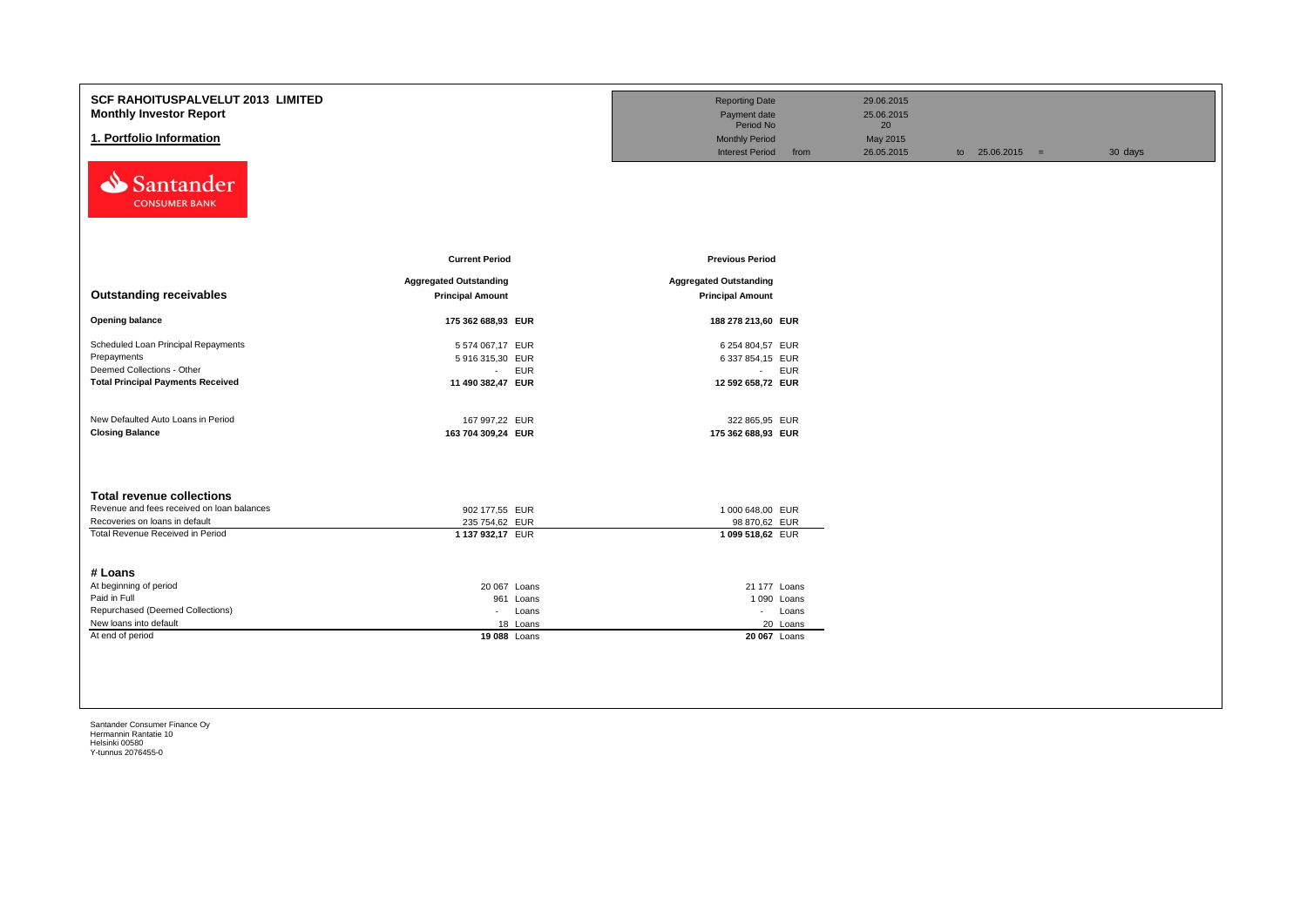| <b>SCF RAHOITUSPALVELUT 2013 LIMITED</b><br><b>Monthly Investor Report</b><br>1. Portfolio Information<br>Santander<br><b>CONSUMER BANK</b>          |                                                                                                | <b>Reporting Date</b><br>Payment date<br>Period No<br><b>Monthly Period</b><br><b>Interest Period</b><br>from | 29.06.2015<br>25.06.2015<br>20<br>May 2015<br>26.05.2015 | to $25.06.2015 =$ | 30 days |
|------------------------------------------------------------------------------------------------------------------------------------------------------|------------------------------------------------------------------------------------------------|---------------------------------------------------------------------------------------------------------------|----------------------------------------------------------|-------------------|---------|
|                                                                                                                                                      | <b>Current Period</b>                                                                          | <b>Previous Period</b>                                                                                        |                                                          |                   |         |
| <b>Outstanding receivables</b>                                                                                                                       | <b>Aggregated Outstanding</b><br><b>Principal Amount</b>                                       | <b>Aggregated Outstanding</b><br><b>Principal Amount</b>                                                      |                                                          |                   |         |
| <b>Opening balance</b>                                                                                                                               | 175 362 688,93 EUR                                                                             | 188 278 213,60 EUR                                                                                            |                                                          |                   |         |
| Scheduled Loan Principal Repayments<br>Prepayments<br>Deemed Collections - Other<br><b>Total Principal Payments Received</b>                         | 5 574 067,17 EUR<br>5 916 315,30 EUR<br><b>EUR</b><br>$\sim$<br>11 490 382,47 EUR              | 6 254 804,57 EUR<br>6 337 854,15 EUR<br>$-$ EUR<br>12 592 658,72 EUR                                          |                                                          |                   |         |
| New Defaulted Auto Loans in Period<br><b>Closing Balance</b>                                                                                         | 167 997,22 EUR<br>163 704 309,24 EUR                                                           | 322 865,95 EUR<br>175 362 688,93 EUR                                                                          |                                                          |                   |         |
| <b>Total revenue collections</b><br>Revenue and fees received on loan balances<br>Recoveries on loans in default<br>Total Revenue Received in Period | 902 177,55 EUR<br>235 754,62 EUR<br>1 137 932,17 EUR                                           | 1 000 648,00 EUR<br>98 870,62 EUR<br>1 099 518,62 EUR                                                         |                                                          |                   |         |
| # Loans<br>At beginning of period<br>Paid in Full<br>Repurchased (Deemed Collections)<br>New loans into default<br>At end of period                  | 20 067 Loans<br>961 Loans<br>Loans<br>$\mathcal{L}_{\mathrm{max}}$<br>18 Loans<br>19 088 Loans | 21 177 Loans<br>1 090 Loans<br>- Loans<br>20 Loans<br>20 067 Loans                                            |                                                          |                   |         |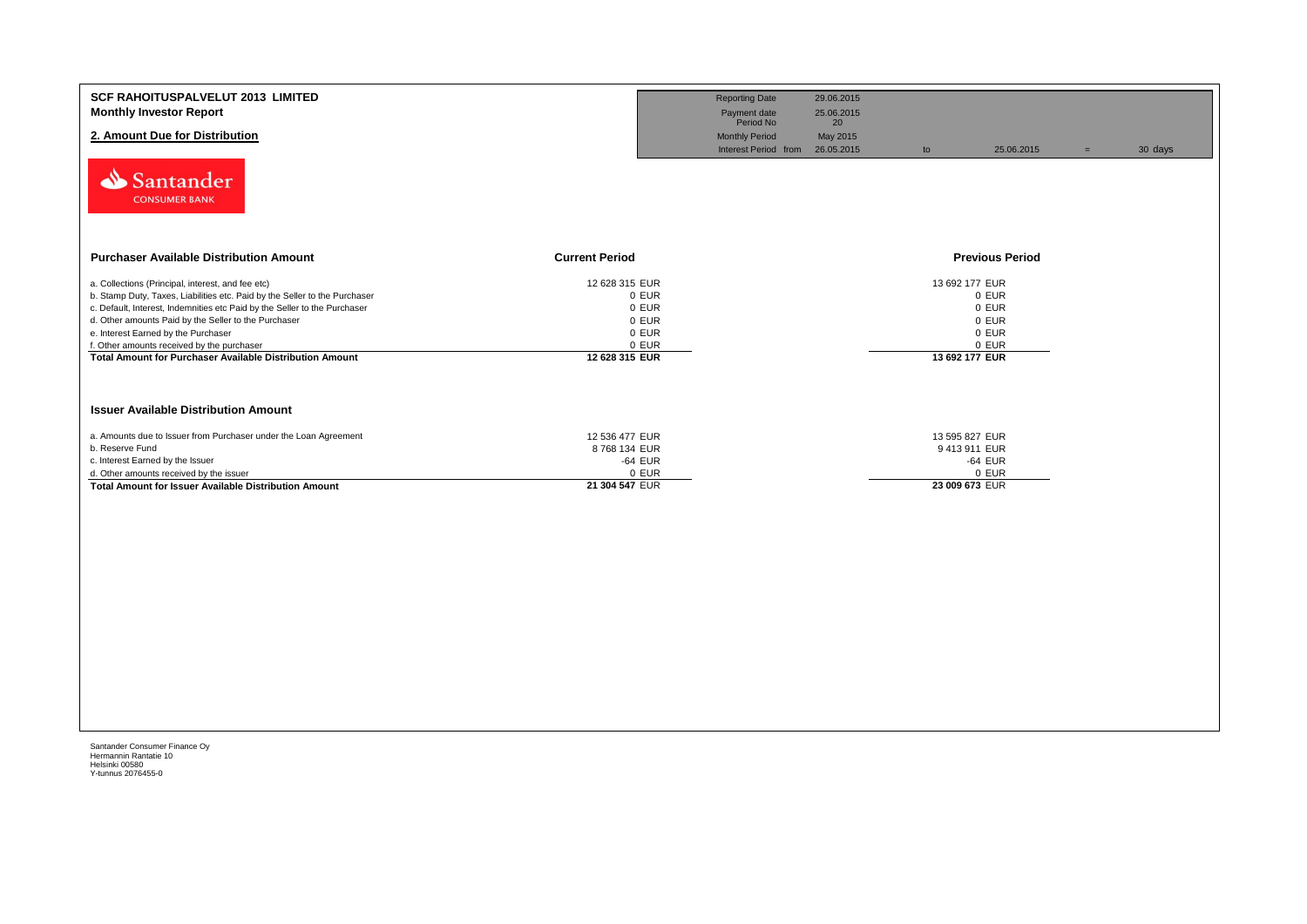| <b>SCF RAHOITUSPALVELUT 2013 LIMITED</b><br><b>Monthly Investor Report</b><br>2. Amount Due for Distribution<br>Santander<br><b>CONSUMER BANK</b>                                                                                                                                                                                                                                                                     |                                                                               | <b>Reporting Date</b><br>Payment date<br>Period No<br><b>Monthly Period</b><br>Interest Period from 26.05.2015 | 29.06.2015<br>25.06.2015<br>20<br>May 2015 | to                                                                            | 25.06.2015 | $\equiv$ | 30 days |
|-----------------------------------------------------------------------------------------------------------------------------------------------------------------------------------------------------------------------------------------------------------------------------------------------------------------------------------------------------------------------------------------------------------------------|-------------------------------------------------------------------------------|----------------------------------------------------------------------------------------------------------------|--------------------------------------------|-------------------------------------------------------------------------------|------------|----------|---------|
| <b>Purchaser Available Distribution Amount</b>                                                                                                                                                                                                                                                                                                                                                                        | <b>Current Period</b>                                                         |                                                                                                                |                                            | <b>Previous Period</b>                                                        |            |          |         |
| a. Collections (Principal, interest, and fee etc)<br>b. Stamp Duty, Taxes, Liabilities etc. Paid by the Seller to the Purchaser<br>c. Default, Interest, Indemnities etc Paid by the Seller to the Purchaser<br>d. Other amounts Paid by the Seller to the Purchaser<br>e. Interest Earned by the Purchaser<br>f. Other amounts received by the purchaser<br>Total Amount for Purchaser Available Distribution Amount | 12 628 315 EUR<br>0 EUR<br>0 EUR<br>0 EUR<br>0 EUR<br>0 EUR<br>12 628 315 EUR |                                                                                                                |                                            | 13 692 177 EUR<br>0 EUR<br>0 EUR<br>0 EUR<br>0 EUR<br>0 EUR<br>13 692 177 EUR |            |          |         |
| <b>Issuer Available Distribution Amount</b><br>a. Amounts due to Issuer from Purchaser under the Loan Agreement<br>b. Reserve Fund<br>c. Interest Earned by the Issuer                                                                                                                                                                                                                                                | 12 536 477 EUR<br>8768134 EUR<br>-64 EUR                                      |                                                                                                                |                                            | 13 595 827 EUR<br>9413911 EUR<br>-64 EUR                                      |            |          |         |
| d. Other amounts received by the issuer<br>Total Amount for Issuer Available Distribution Amount                                                                                                                                                                                                                                                                                                                      | 0 EUR<br>21 304 547 EUR                                                       |                                                                                                                |                                            | 0 EUR<br>23 009 673 EUR                                                       |            |          |         |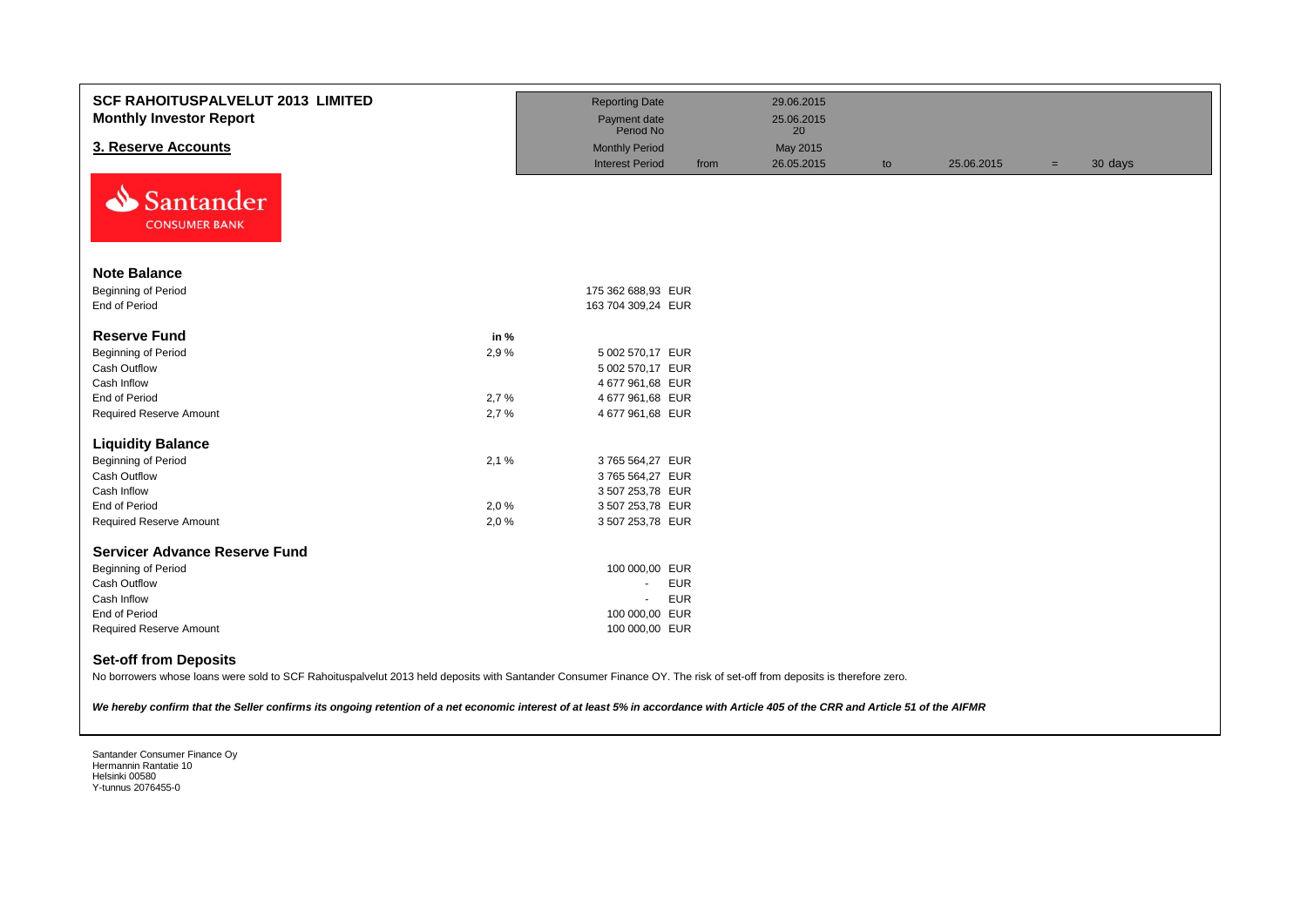| <b>SCF RAHOITUSPALVELUT 2013 LIMITED</b><br><b>Monthly Investor Report</b> |      | <b>Reporting Date</b><br>Payment date |      | 29.06.2015<br>25.06.2015 |    |            |     |         |
|----------------------------------------------------------------------------|------|---------------------------------------|------|--------------------------|----|------------|-----|---------|
|                                                                            |      | Period No                             |      | 20                       |    |            |     |         |
| 3. Reserve Accounts                                                        |      | <b>Monthly Period</b>                 |      | May 2015                 |    |            |     |         |
| ∾<br>Santander<br><b>CONSUMER BANK</b>                                     |      | <b>Interest Period</b>                | from | 26.05.2015               | to | 25.06.2015 | $=$ | 30 days |
| <b>Note Balance</b>                                                        |      |                                       |      |                          |    |            |     |         |
| Beginning of Period                                                        |      | 175 362 688,93 EUR                    |      |                          |    |            |     |         |
| End of Period                                                              |      | 163 704 309,24 EUR                    |      |                          |    |            |     |         |
|                                                                            |      |                                       |      |                          |    |            |     |         |
| <b>Reserve Fund</b>                                                        | in % |                                       |      |                          |    |            |     |         |
| <b>Beginning of Period</b>                                                 | 2,9% | 5 002 570,17 EUR                      |      |                          |    |            |     |         |
| Cash Outflow                                                               |      | 5 002 570,17 EUR                      |      |                          |    |            |     |         |
| Cash Inflow                                                                |      | 4 677 961,68 EUR                      |      |                          |    |            |     |         |
| End of Period                                                              | 2,7% | 4 677 961,68 EUR                      |      |                          |    |            |     |         |
| Required Reserve Amount                                                    | 2,7% | 4 677 961,68 EUR                      |      |                          |    |            |     |         |
| <b>Liquidity Balance</b>                                                   |      |                                       |      |                          |    |            |     |         |
| <b>Beginning of Period</b>                                                 | 2,1% | 3765 564,27 EUR                       |      |                          |    |            |     |         |
| Cash Outflow                                                               |      | 3765 564,27 EUR                       |      |                          |    |            |     |         |
| Cash Inflow                                                                |      | 3 507 253,78 EUR                      |      |                          |    |            |     |         |
| End of Period                                                              | 2,0% | 3 507 253,78 EUR                      |      |                          |    |            |     |         |
| <b>Required Reserve Amount</b>                                             | 2,0% | 3 507 253,78 EUR                      |      |                          |    |            |     |         |
| <b>Servicer Advance Reserve Fund</b>                                       |      |                                       |      |                          |    |            |     |         |
| <b>Beginning of Period</b>                                                 |      | 100 000,00 EUR                        |      |                          |    |            |     |         |
| Cash Outflow                                                               |      | <b>EUR</b><br>$\sim$                  |      |                          |    |            |     |         |
| Cash Inflow                                                                |      | <b>EUR</b><br>$\sim$                  |      |                          |    |            |     |         |
| End of Period                                                              |      | 100 000,00 EUR                        |      |                          |    |            |     |         |
| <b>Required Reserve Amount</b>                                             |      | 100 000,00 EUR                        |      |                          |    |            |     |         |
| <b>Set-off from Deposits</b>                                               |      |                                       |      |                          |    |            |     |         |

No borrowers whose loans were sold to SCF Rahoituspalvelut 2013 held deposits with Santander Consumer Finance OY. The risk of set-off from deposits is therefore zero.

*We hereby confirm that the Seller confirms its ongoing retention of a net economic interest of at least 5% in accordance with Article 405 of the CRR and Article 51 of the AIFMR*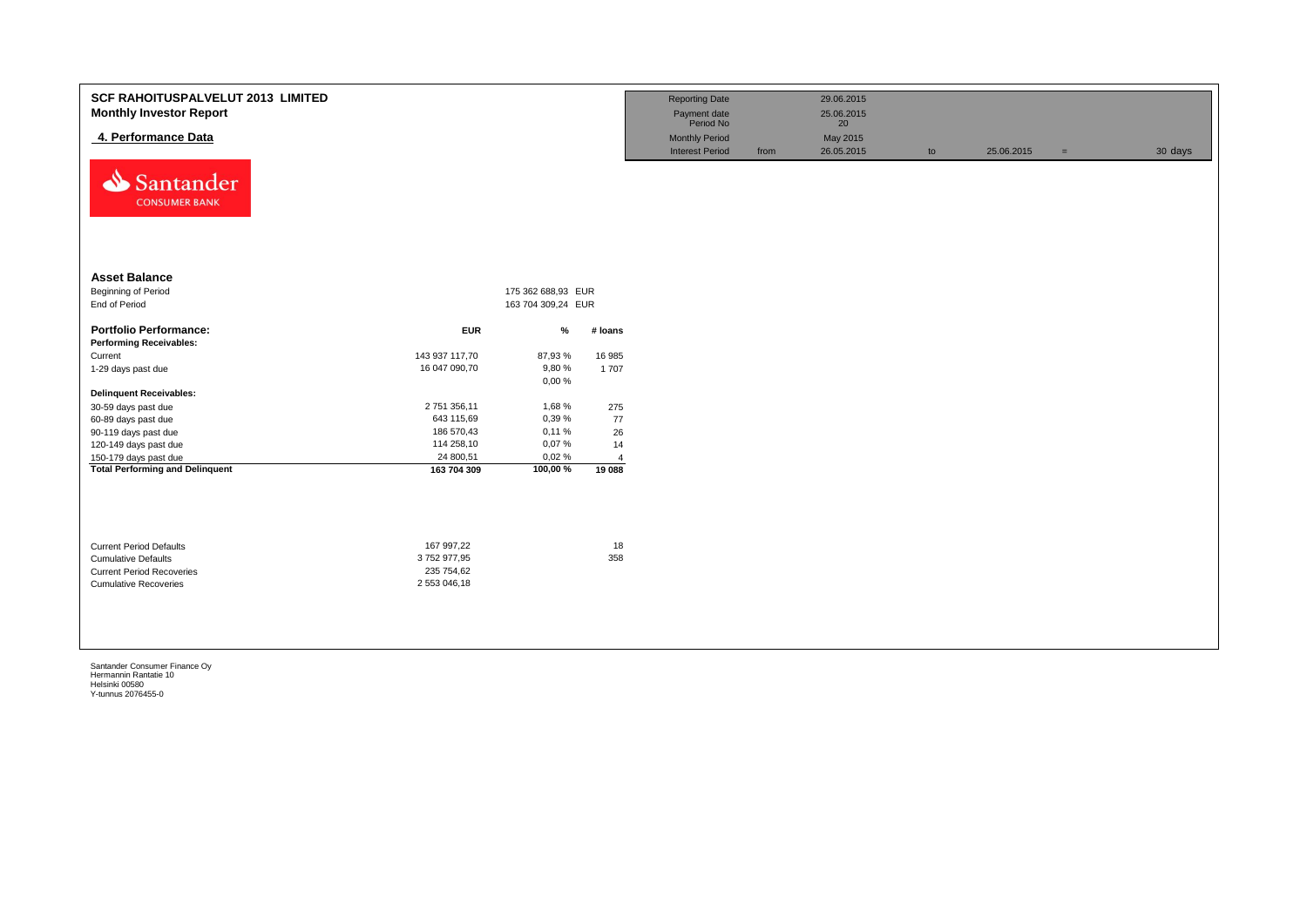| SCF RAHOITUSPALVELUT 2013 LIMITED<br><b>Monthly Investor Report</b><br>4. Performance Data<br>⇘<br>Santander<br><b>CONSUMER BANK</b> |                         |                    |                          | <b>Reporting Date</b><br>Payment date<br>Period No<br><b>Monthly Period</b><br><b>Interest Period</b> | from | 29.06.2015<br>25.06.2015<br>20<br>May 2015<br>26.05.2015 | to | 25.06.2015 | $=$ | 30 days |
|--------------------------------------------------------------------------------------------------------------------------------------|-------------------------|--------------------|--------------------------|-------------------------------------------------------------------------------------------------------|------|----------------------------------------------------------|----|------------|-----|---------|
| <b>Asset Balance</b>                                                                                                                 |                         |                    |                          |                                                                                                       |      |                                                          |    |            |     |         |
| Beginning of Period                                                                                                                  |                         | 175 362 688,93 EUR |                          |                                                                                                       |      |                                                          |    |            |     |         |
| End of Period                                                                                                                        |                         | 163 704 309,24 EUR |                          |                                                                                                       |      |                                                          |    |            |     |         |
| <b>Portfolio Performance:</b><br><b>Performing Receivables:</b>                                                                      | <b>EUR</b>              | $\%$               | # loans                  |                                                                                                       |      |                                                          |    |            |     |         |
| Current                                                                                                                              | 143 937 117,70          | 87,93%             | 16 985                   |                                                                                                       |      |                                                          |    |            |     |         |
| 1-29 days past due                                                                                                                   | 16 047 090,70           | 9,80%              | 1 707                    |                                                                                                       |      |                                                          |    |            |     |         |
|                                                                                                                                      |                         | 0,00%              |                          |                                                                                                       |      |                                                          |    |            |     |         |
| <b>Delinquent Receivables:</b>                                                                                                       |                         |                    |                          |                                                                                                       |      |                                                          |    |            |     |         |
| 30-59 days past due                                                                                                                  | 2 751 356,11            | 1,68%              | 275                      |                                                                                                       |      |                                                          |    |            |     |         |
| 60-89 days past due                                                                                                                  | 643 115,69              | 0,39 %             | 77                       |                                                                                                       |      |                                                          |    |            |     |         |
| 90-119 days past due                                                                                                                 | 186 570,43              | 0,11%              | 26                       |                                                                                                       |      |                                                          |    |            |     |         |
| 120-149 days past due                                                                                                                | 114 258,10<br>24 800,51 | 0,07%<br>0,02%     | 14                       |                                                                                                       |      |                                                          |    |            |     |         |
| 150-179 days past due<br><b>Total Performing and Delinquent</b>                                                                      | 163 704 309             | 100,00%            | $\overline{4}$<br>19 088 |                                                                                                       |      |                                                          |    |            |     |         |
|                                                                                                                                      |                         |                    |                          |                                                                                                       |      |                                                          |    |            |     |         |
| <b>Current Period Defaults</b>                                                                                                       | 167 997,22              |                    | 18                       |                                                                                                       |      |                                                          |    |            |     |         |
| <b>Cumulative Defaults</b>                                                                                                           | 3752977,95              |                    | 358                      |                                                                                                       |      |                                                          |    |            |     |         |
| <b>Current Period Recoveries</b>                                                                                                     | 235 754,62              |                    |                          |                                                                                                       |      |                                                          |    |            |     |         |
| <b>Cumulative Recoveries</b>                                                                                                         | 2 553 046,18            |                    |                          |                                                                                                       |      |                                                          |    |            |     |         |
|                                                                                                                                      |                         |                    |                          |                                                                                                       |      |                                                          |    |            |     |         |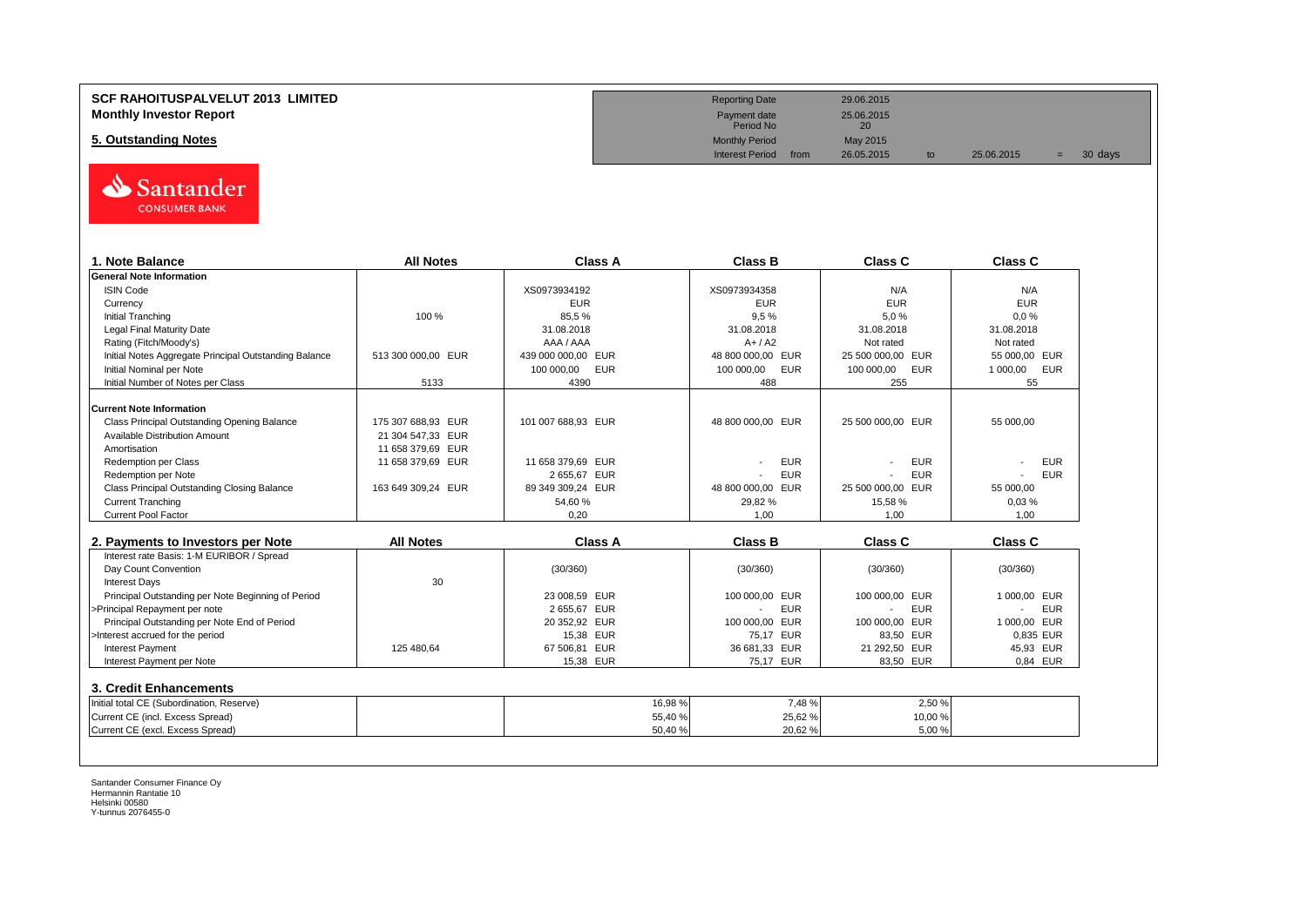

| 1. Note Balance                                       | <b>All Notes</b>   | <b>Class A</b>     | <b>Class B</b>               | Class C                  | <b>Class C</b> |
|-------------------------------------------------------|--------------------|--------------------|------------------------------|--------------------------|----------------|
| <b>General Note Information</b>                       |                    |                    |                              |                          |                |
| <b>ISIN Code</b>                                      |                    | XS0973934192       | XS0973934358                 | N/A                      | N/A            |
| Currency                                              |                    | <b>EUR</b>         | <b>EUR</b>                   | <b>EUR</b>               | <b>EUR</b>     |
| <b>Initial Tranching</b>                              | 100 %              | 85,5%              | 9.5%                         | 5,0%                     | 0.0%           |
| Legal Final Maturity Date                             |                    | 31.08.2018         | 31.08.2018                   | 31.08.2018               | 31.08.2018     |
| Rating (Fitch/Moody's)                                |                    | AAA / AAA          | $A+ / A2$                    | Not rated                | Not rated      |
| Initial Notes Aggregate Principal Outstanding Balance | 513 300 000.00 EUR | 439 000 000,00 EUR | 48 800 000,00 EUR            | 25 500 000,00 EUR        | 55 000,00 EUR  |
| Initial Nominal per Note                              |                    | 100 000,00 EUR     | 100 000,00<br>EUR            | 100 000,00<br><b>EUR</b> | 1 000,00 EUR   |
| Initial Number of Notes per Class                     | 5133               | 4390               | 488                          | 255                      | 55             |
| <b>Current Note Information</b>                       |                    |                    |                              |                          |                |
| Class Principal Outstanding Opening Balance           | 175 307 688.93 EUR | 101 007 688.93 EUR | 48 800 000,00 EUR            | 25 500 000.00 EUR        | 55 000.00      |
| <b>Available Distribution Amount</b>                  | 21 304 547,33 EUR  |                    |                              |                          |                |
| Amortisation                                          | 11 658 379,69 EUR  |                    |                              |                          |                |
| Redemption per Class                                  | 11 658 379,69 EUR  | 11 658 379.69 EUR  | <b>EUR</b>                   | <b>EUR</b>               | <b>EUR</b>     |
| Redemption per Note                                   |                    | 2 655,67 EUR       | <b>EUR</b>                   | <b>EUR</b>               | <b>EUR</b>     |
| Class Principal Outstanding Closing Balance           | 163 649 309,24 EUR | 89 349 309,24 EUR  | 48 800 000,00 EUR            | 25 500 000,00 EUR        | 55 000,00      |
| <b>Current Tranching</b>                              |                    | 54,60%             | 29,82%                       | 15,58 %                  | 0,03%          |
| <b>Current Pool Factor</b>                            |                    | 0,20               | 1,00                         | 1,00                     | 1,00           |
|                                                       |                    |                    |                              |                          |                |
| 2. Payments to Investors per Note                     | <b>All Notes</b>   | <b>Class A</b>     | <b>Class B</b>               | <b>Class C</b>           | <b>Class C</b> |
| Interest rate Basis: 1-M EURIBOR / Spread             |                    |                    |                              |                          |                |
| Day Count Convention                                  |                    | (30/360)           | (30/360)                     | (30/360)                 | (30/360)       |
| <b>Interest Days</b>                                  | 30                 |                    |                              |                          |                |
| Principal Outstanding per Note Beginning of Period    |                    | 23 008,59 EUR      | 100 000,00 EUR               | 100 000.00 EUR           | 1 000.00 EUR   |
| >Principal Repayment per note                         |                    | 2 655,67 EUR       | <b>EUR</b><br>$\blacksquare$ | <b>EUR</b>               | <b>EUR</b>     |
| Principal Outstanding per Note End of Period          |                    | 20 352,92 EUR      | 100 000,00 EUR               | 100 000,00 EUR           | 1 000,00 EUR   |
| >Interest accrued for the period                      |                    | 15,38 EUR          | 75,17 EUR                    | 83,50 EUR                | 0,835 EUR      |
| <b>Interest Payment</b>                               | 125 480.64         | 67 506,81 EUR      | 36 681,33 EUR                | 21 292,50 EUR            | 45,93 EUR      |
| Interest Payment per Note                             |                    | 15,38 EUR          | 75,17 EUR                    | 83,50 EUR                | 0.84 EUR       |
| 3. Credit Enhancements                                |                    |                    |                              |                          |                |
| Initial total CE (Subordination, Reserve)             |                    | 16,98%             | 7.48%                        | 2.50 %                   |                |
| Current CE (incl. Excess Spread)                      |                    | 55,40 %            | 25,62%                       | 10,00 %                  |                |
|                                                       |                    |                    |                              | 5.00%                    |                |

**SCF RAHOITUSPALVELUT 2013 LIMITED** 29.06.2015 **Monthly Investor Report** 25.06.2015<br> **Monthly Investor Report** 25.06.2015<br>
Period No Payment date<br>Period No **5. Outstanding Notes** May 2015<br>Monthly Period May 2015<br>Interest Period from 26.05.2015 Interest Period from 26.05.2015 to 25.06.2015 = 30 days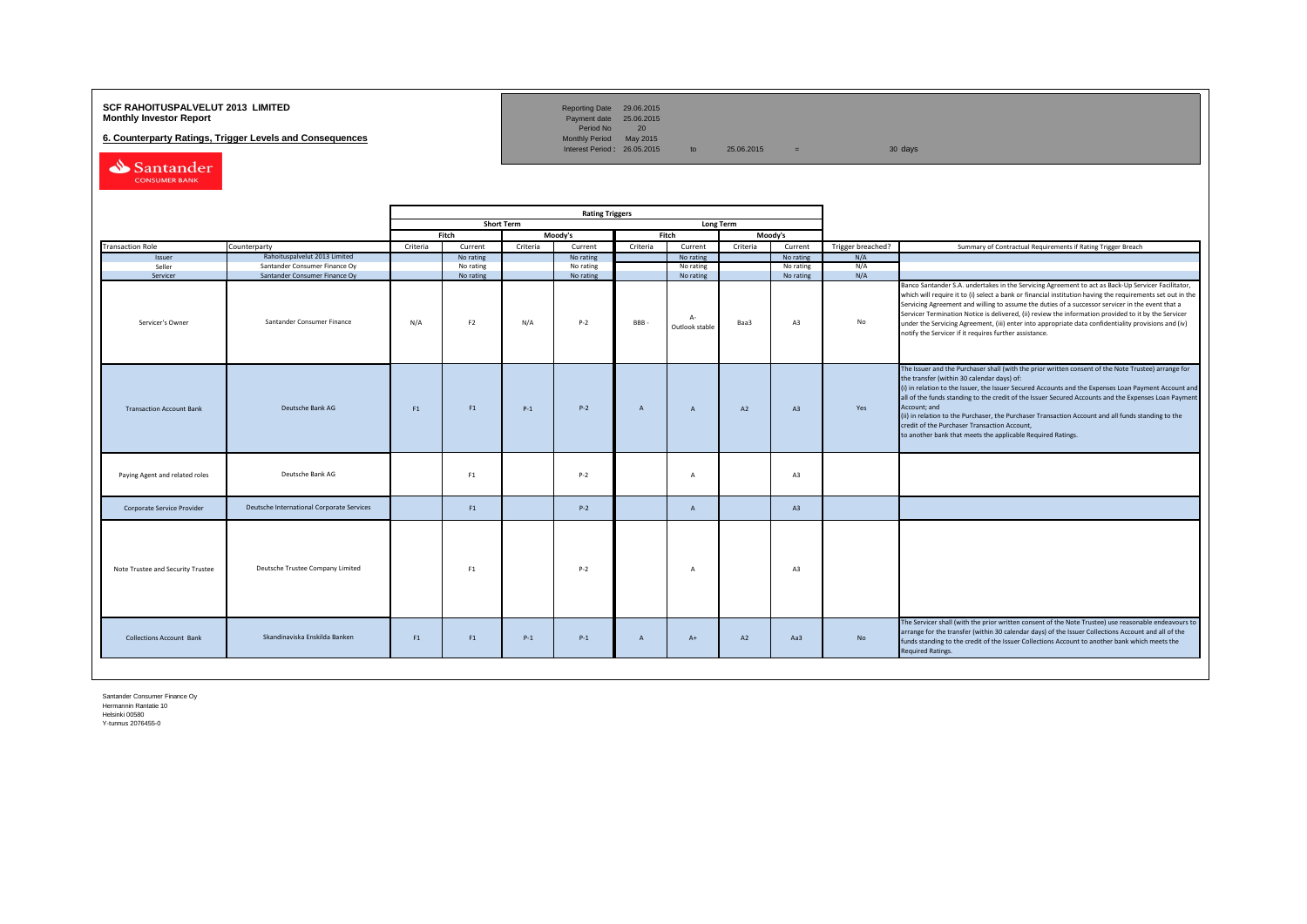# **SCF RAHOITUSPALVELUT 2013 LIMITED**<br>**Monthly Investor Report** Payment date 25.06.2015

**6. Counterparty Ratings, Trigger Levels and Consequences** 

Reporting Date 29.06.2015<br>Payment date 25.06.2015<br>Period No 20<br>Monthly Period May 2015

Interest Period:  $26.05.2015$  to  $25.06.2015$  = 30 days

Santander CONSUMER BANK

|                                   |                                           | <b>Rating Triggers</b>                |                |          |           |                |                        |          |                |                   |                                                                                                                                                                                                                                                                                                                                                                                                                                                                                                                                                                                                        |
|-----------------------------------|-------------------------------------------|---------------------------------------|----------------|----------|-----------|----------------|------------------------|----------|----------------|-------------------|--------------------------------------------------------------------------------------------------------------------------------------------------------------------------------------------------------------------------------------------------------------------------------------------------------------------------------------------------------------------------------------------------------------------------------------------------------------------------------------------------------------------------------------------------------------------------------------------------------|
|                                   |                                           | <b>Short Term</b><br><b>Long Term</b> |                |          |           |                |                        |          |                |                   |                                                                                                                                                                                                                                                                                                                                                                                                                                                                                                                                                                                                        |
|                                   |                                           |                                       | Fitch          |          | Moody's   |                | Fitch                  |          | Moody's        |                   |                                                                                                                                                                                                                                                                                                                                                                                                                                                                                                                                                                                                        |
| <b>Transaction Role</b>           | Counterparty                              | Criteria                              | Current        | Criteria | Current   | Criteria       | Current                | Criteria | Current        | Trigger breached? | Summary of Contractual Requirements if Rating Trigger Breach                                                                                                                                                                                                                                                                                                                                                                                                                                                                                                                                           |
| Issuer                            | Rahoituspalvelut 2013 Limited             |                                       | No rating      |          | No rating |                | No rating              |          | No rating      | N/A               |                                                                                                                                                                                                                                                                                                                                                                                                                                                                                                                                                                                                        |
| Seller                            | Santander Consumer Finance Oy             |                                       | No rating      |          | No rating |                | No rating              |          | No rating      | N/A               |                                                                                                                                                                                                                                                                                                                                                                                                                                                                                                                                                                                                        |
| Servicer                          | Santander Consumer Finance Oy             |                                       | No rating      |          | No rating |                | No rating              |          | No rating      | N/A               |                                                                                                                                                                                                                                                                                                                                                                                                                                                                                                                                                                                                        |
| Servicer's Owner                  | Santander Consumer Finance                | N/A                                   | F <sub>2</sub> | N/A      | $P-2$     | BBB-           | $A-$<br>Outlook stable | Baa3     | A3             | No                | Banco Santander S.A. undertakes in the Servicing Agreement to act as Back-Up Servicer Facilitator,<br>which will require it to (i) select a bank or financial institution having the requirements set out in the<br>Servicing Agreement and willing to assume the duties of a successor servicer in the event that a<br>Servicer Termination Notice is delivered, (ii) review the information provided to it by the Servicer<br>under the Servicing Agreement, (iii) enter into appropriate data confidentiality provisions and (iv)<br>notify the Servicer if it requires further assistance.         |
| <b>Transaction Account Bank</b>   | Deutsche Bank AG                          | F1                                    | F1             | $P-1$    | $P - 2$   | $\mathsf{A}$   | $\mathsf{A}$           | A2       | A3             | Yes               | The Issuer and the Purchaser shall (with the prior written consent of the Note Trustee) arrange for<br>the transfer (within 30 calendar days) of:<br>(i) in relation to the Issuer, the Issuer Secured Accounts and the Expenses Loan Payment Account and<br>all of the funds standing to the credit of the Issuer Secured Accounts and the Expenses Loan Payment<br>Account; and<br>(ii) in relation to the Purchaser, the Purchaser Transaction Account and all funds standing to the<br>credit of the Purchaser Transaction Account,<br>to another bank that meets the applicable Required Ratings. |
| Paying Agent and related roles    | Deutsche Bank AG                          |                                       | F1             |          | $P-2$     |                | $\mathsf{A}$           |          | A <sub>3</sub> |                   |                                                                                                                                                                                                                                                                                                                                                                                                                                                                                                                                                                                                        |
| Corporate Service Provider        | Deutsche International Corporate Services |                                       | F1             |          | $P-2$     |                | $\overline{A}$         |          | A3             |                   |                                                                                                                                                                                                                                                                                                                                                                                                                                                                                                                                                                                                        |
| Note Trustee and Security Trustee | Deutsche Trustee Company Limited          |                                       | F1             |          | $P-2$     |                | A                      |          | A3             |                   |                                                                                                                                                                                                                                                                                                                                                                                                                                                                                                                                                                                                        |
| <b>Collections Account Bank</b>   | Skandinaviska Enskilda Banken             | F1                                    | F1             | $P-1$    | $P-1$     | $\overline{A}$ | $A+$                   | A2       | Aa3            | No                | The Servicer shall (with the prior written consent of the Note Trustee) use reasonable endeavours to<br>arrange for the transfer (within 30 calendar days) of the Issuer Collections Account and all of the<br>funds standing to the credit of the Issuer Collections Account to another bank which meets the<br><b>Required Ratings.</b>                                                                                                                                                                                                                                                              |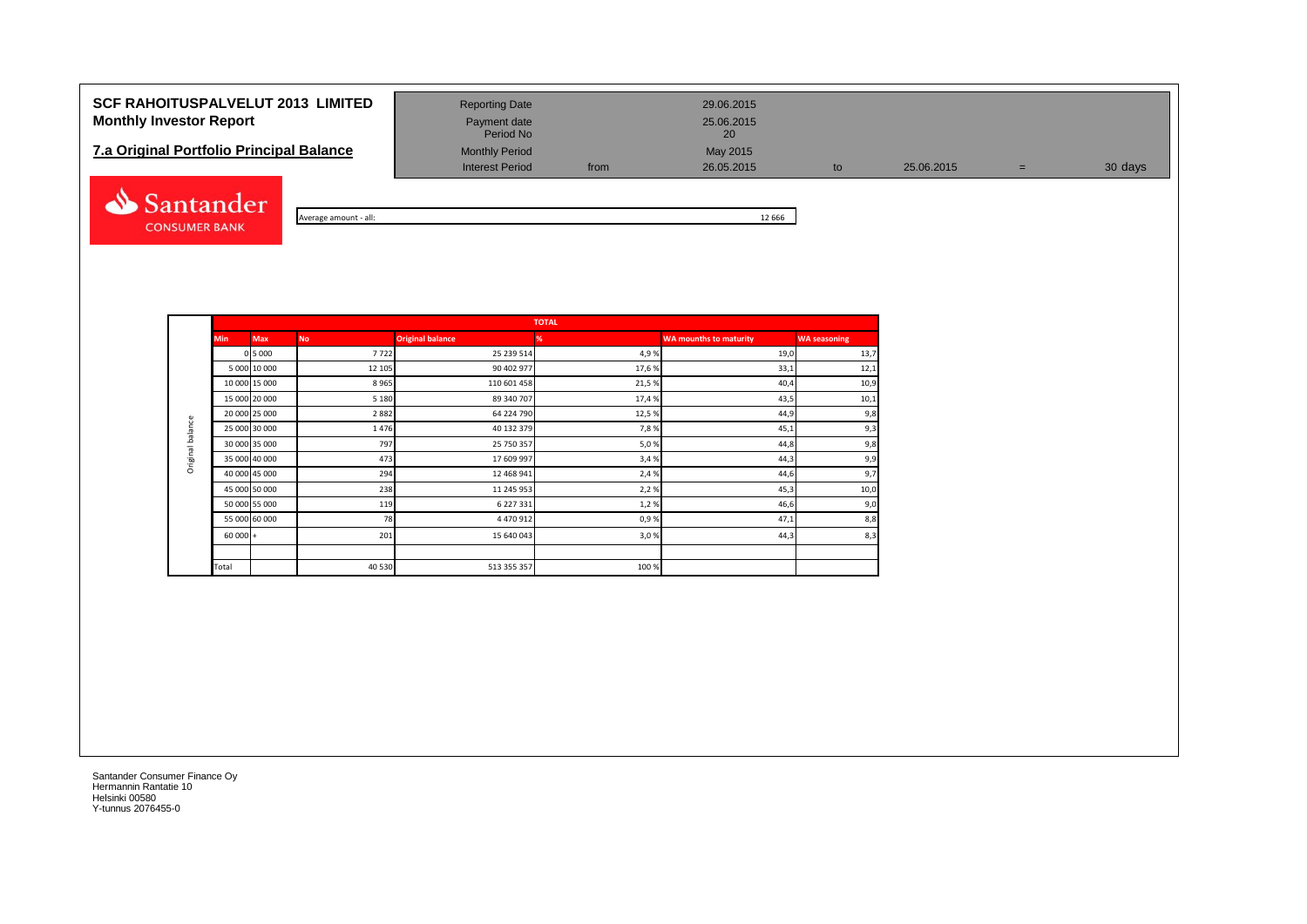# **SCF RAHOITUSPALVELUT 2013 LIMITED** Reporting Date 29.06.2015 **Monthly Investor Report Payment date** Payment date 25.06.2015

| <b>7.a Original Portfolio Principal Balance</b> | <b>Monthly Period</b> |      |            |  |
|-------------------------------------------------|-----------------------|------|------------|--|
|                                                 | Interest Period       | from | 26.05.2015 |  |



| Average amount - all: | 12 666 |  |
|-----------------------|--------|--|

Interest Period from 26.05.2015 to 25.06.2015 = 30 days

Payment date<br>Period No

|                  |            |               |           |                         | <b>TOTAL</b> |                               |                     |
|------------------|------------|---------------|-----------|-------------------------|--------------|-------------------------------|---------------------|
|                  | <b>Min</b> | <b>Max</b>    | <b>No</b> | <b>Original balance</b> | %            | <b>WA mounths to maturity</b> | <b>WA seasoning</b> |
|                  |            | 0 5 0 0 0     | 7722      | 25 239 514              | 4,9%         | 19,0                          | 13,7                |
|                  |            | 5 000 10 000  | 12 105    | 90 402 977              | 17,6%        | 33,1                          | 12,1                |
|                  |            | 10 000 15 000 | 8965      | 110 601 458             | 21,5%        | 40,4                          | 10,9                |
|                  |            | 15 000 20 000 | 5 1 8 0   | 89 340 707              | 17,4 %       | 43,5                          | 10,1                |
|                  |            | 20 000 25 000 | 2882      | 64 224 790              | 12,5 %       | 44,9                          | 9,8                 |
| Original balance |            | 25 000 30 000 | 1476      | 40 132 379              | 7,8%         | 45,1                          | 9,3                 |
|                  |            | 30 000 35 000 | 797       | 25 750 357              | 5,0%         | 44,8                          | 9,8                 |
|                  |            | 35 000 40 000 | 473       | 17 609 997              | 3,4%         | 44,3                          | 9,9                 |
|                  |            | 40 000 45 000 | 294       | 12 468 941              | 2,4 %        | 44,6                          | 9,7                 |
|                  |            | 45 000 50 000 | 238       | 11 245 953              | 2,2%         | 45,3                          | 10,0                |
|                  |            | 50 000 55 000 | 119       | 6 227 331               | 1,2%         | 46,6                          | 9,0                 |
|                  |            | 55 000 60 000 | 78        | 4 470 912               | 0,9%         | 47,1                          | 8,8                 |
|                  | $60000 +$  |               | 201       | 15 640 043              | 3,0%         | 44,3                          | 8,3                 |
|                  |            |               |           |                         |              |                               |                     |
|                  | Total      |               | 40 530    | 513 355 357             | 100 %        |                               |                     |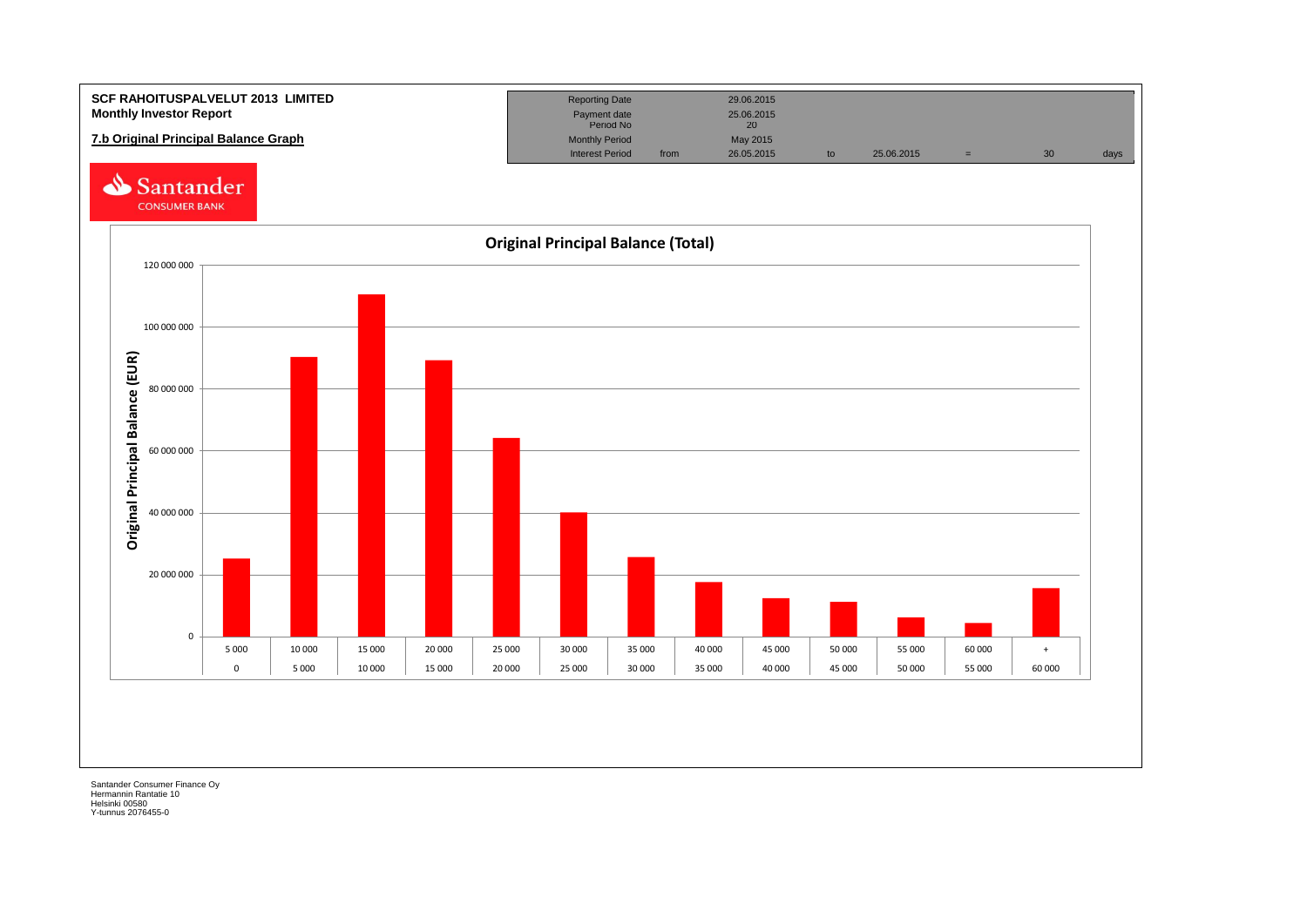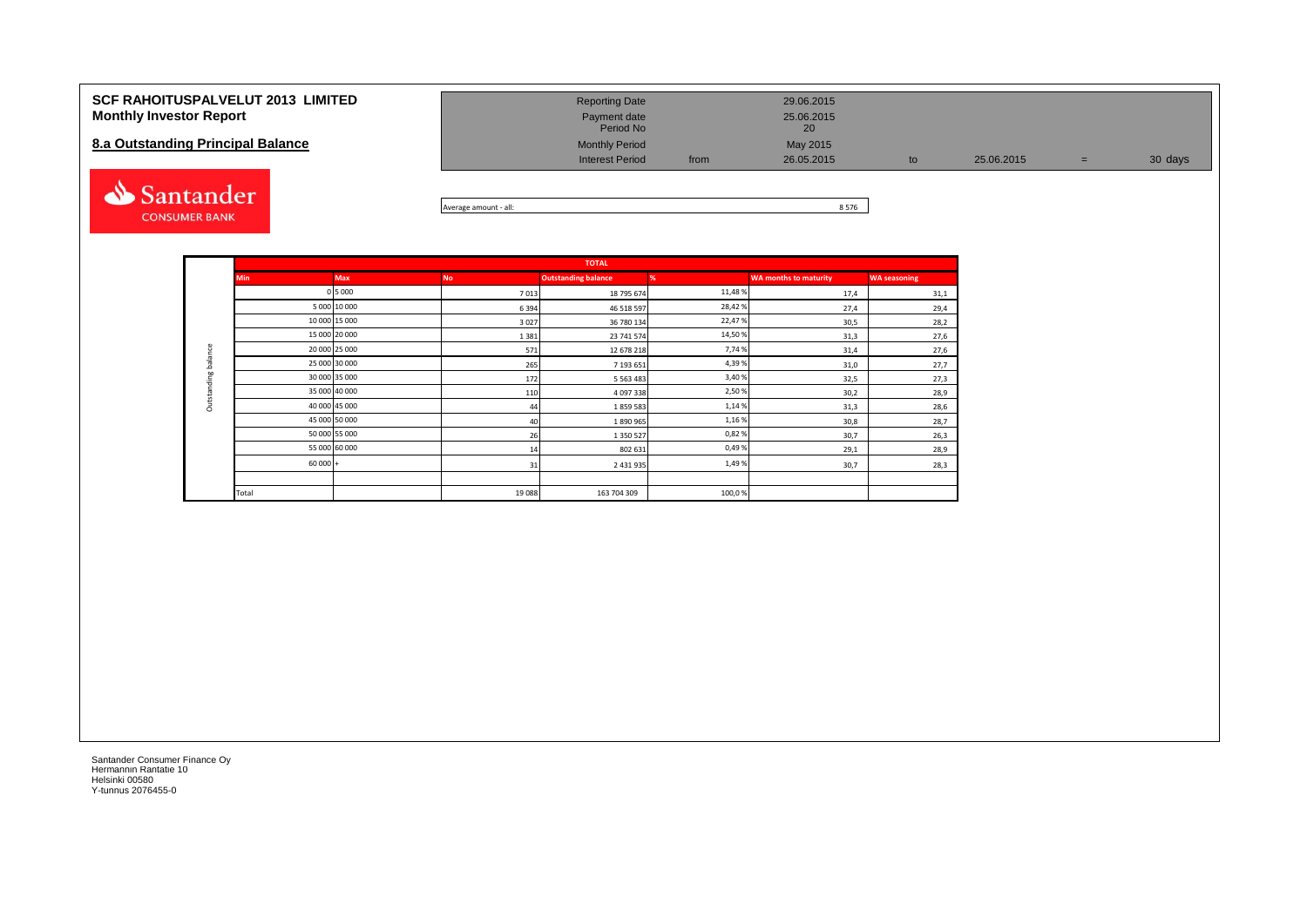| <b>SCF RAHOITUSPALVELUT 2013 LIMITED</b><br><b>Monthly Investor Report</b><br>8.a Outstanding Principal Balance | <b>Reporting Date</b><br>Payment date<br>Period No<br><b>Monthly Period</b><br><b>Interest Period</b> | from | 29.06.2015<br>25.06.2015<br>20<br>May 2015<br>26.05.2015 | 25.06.2015 | $=$ | 30 days |
|-----------------------------------------------------------------------------------------------------------------|-------------------------------------------------------------------------------------------------------|------|----------------------------------------------------------|------------|-----|---------|
| santander                                                                                                       |                                                                                                       |      | $\sim$ = $\sim$                                          |            |     |         |



|                     |            | <b>TOTAL</b>  |           |                            |         |                              |                     |  |  |  |  |  |
|---------------------|------------|---------------|-----------|----------------------------|---------|------------------------------|---------------------|--|--|--|--|--|
|                     | <b>Min</b> | <b>Max</b>    | <b>No</b> | <b>Outstanding balance</b> | %       | <b>WA months to maturity</b> | <b>WA seasoning</b> |  |  |  |  |  |
|                     |            | 0 5 0 0 0     | 7013      | 18 795 674                 | 11,48 % | 17,4                         | 31,1                |  |  |  |  |  |
|                     |            | 5 000 10 000  | 6394      | 46 518 597                 | 28,42%  | 27,4                         | 29,4                |  |  |  |  |  |
|                     |            | 10 000 15 000 | 3027      | 36 780 134                 | 22,47%  | 30,5                         | 28,2                |  |  |  |  |  |
|                     |            | 15 000 20 000 | 1381      | 23 741 574                 | 14,50 % | 31,3                         | 27,6                |  |  |  |  |  |
|                     |            | 20 000 25 000 | 571       | 12 678 218                 | 7,74 %  | 31,4                         | 27,6                |  |  |  |  |  |
| Outstanding balance |            | 25 000 30 000 | 265       | 7 193 651                  | 4,39%   | 31,0                         | 27,7                |  |  |  |  |  |
|                     |            | 30 000 35 000 | 172       | 5 5 6 3 4 8 3              | 3,40%   | 32,5                         | 27,3                |  |  |  |  |  |
|                     |            | 35 000 40 000 | 110       | 4 097 338                  | 2,50%   | 30,2                         | 28,9                |  |  |  |  |  |
|                     |            | 40 000 45 000 | 44        | 1859583                    | 1,14%   | 31,3                         | 28,6                |  |  |  |  |  |
|                     |            | 45 000 50 000 | 40        | 1890965                    | 1,16%   | 30,8                         | 28,7                |  |  |  |  |  |
|                     |            | 50 000 55 000 | 26        | 1 350 527                  | 0,82%   | 30,7                         | 26,3                |  |  |  |  |  |
|                     |            | 55 000 60 000 | 14        | 802 631                    | 0,49%   | 29,1                         | 28,9                |  |  |  |  |  |
|                     | $60000 +$  |               | 31        | 2 431 935                  | 1,49%   | 30,7                         | 28,3                |  |  |  |  |  |
|                     |            |               |           |                            |         |                              |                     |  |  |  |  |  |
|                     | Total      |               | 19088     | 163 704 309                | 100,0%  |                              |                     |  |  |  |  |  |

**CONSUMER BANK**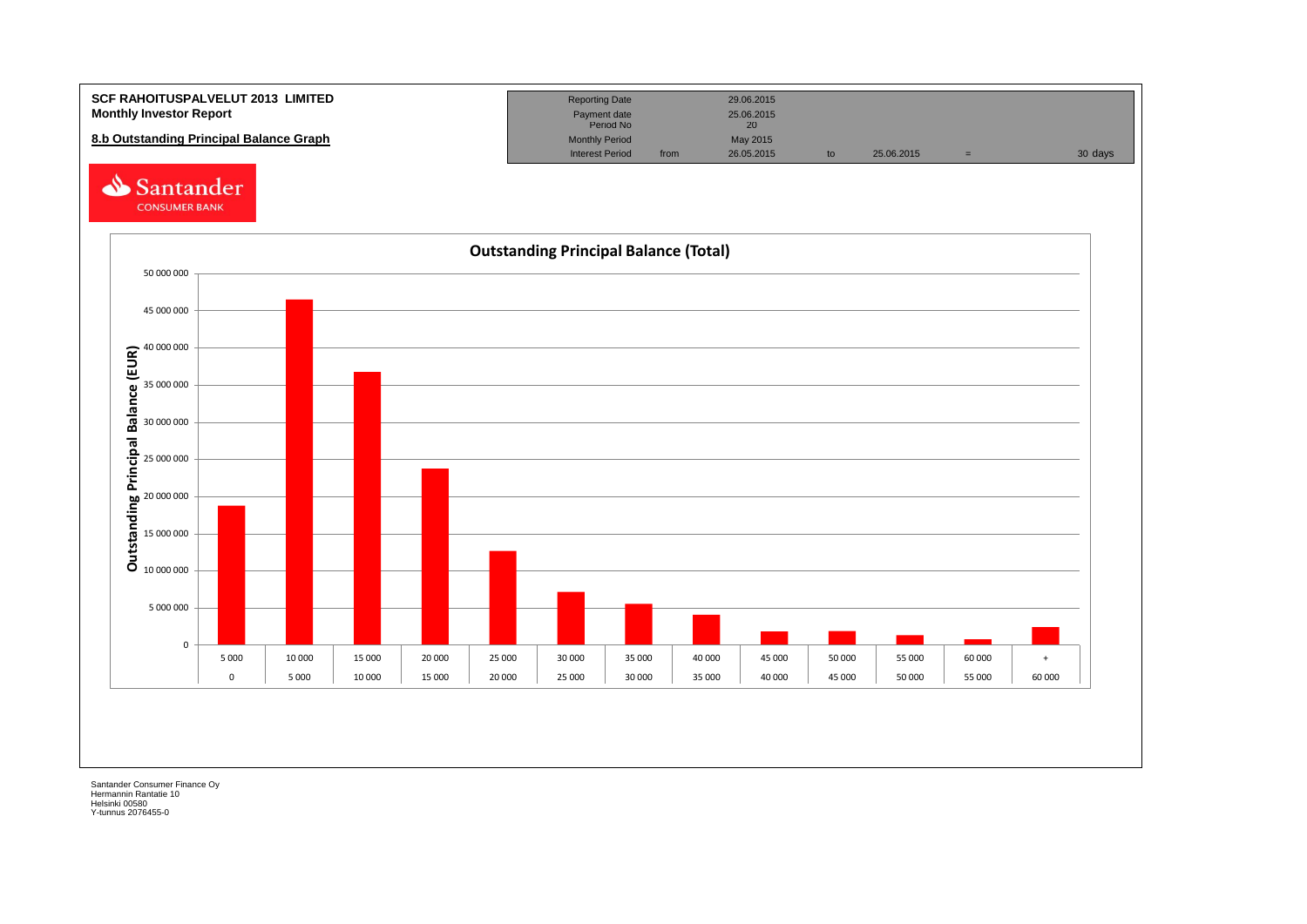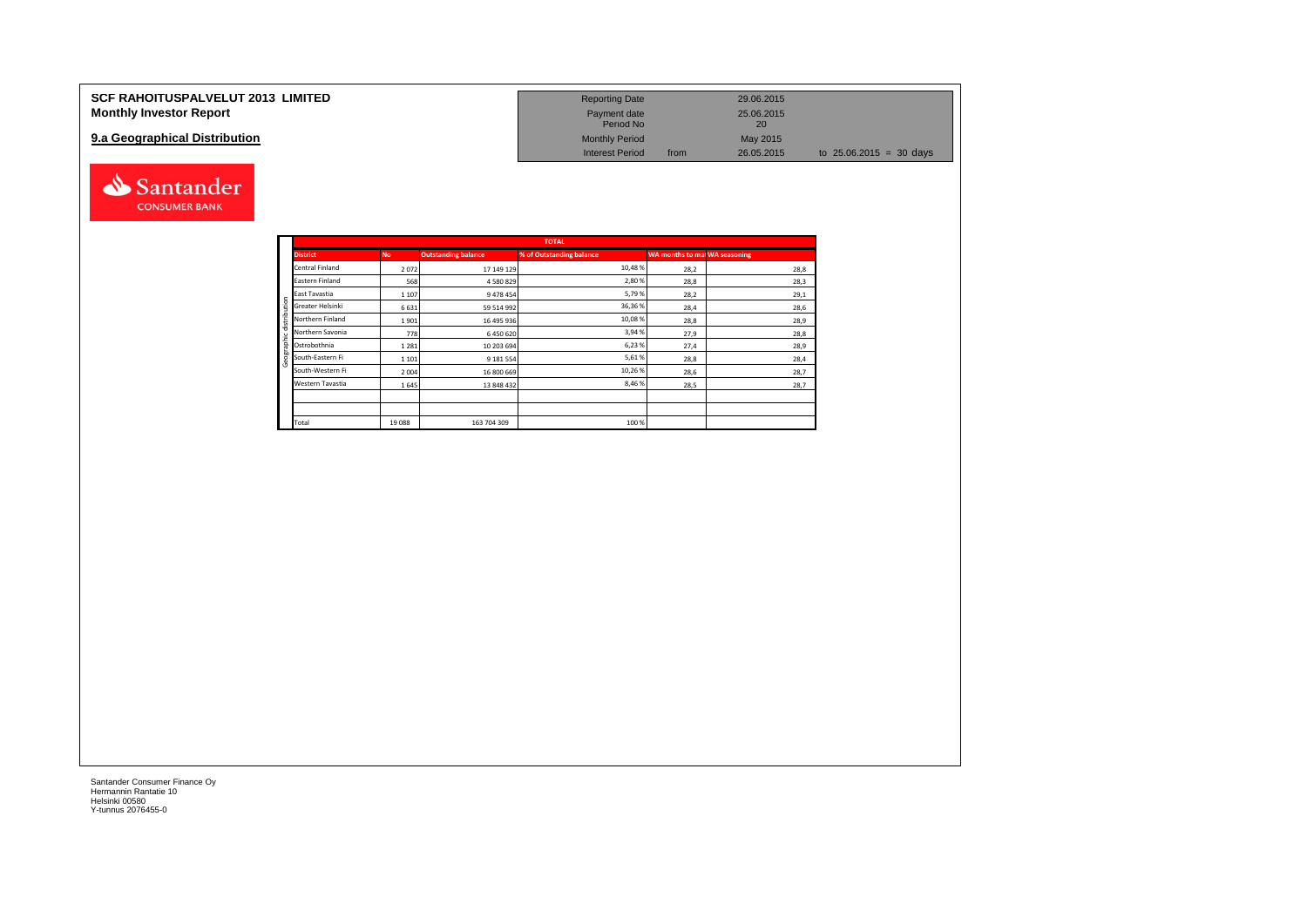| <b>SCF RAHOITUSPALVELUT 2013 LIMITED</b> | <b>Reporting Date</b>     |      | 29.06.2015              |                                   |
|------------------------------------------|---------------------------|------|-------------------------|-----------------------------------|
| <b>Monthly Investor Report</b>           | Payment date<br>Period No |      | 25.06.2015<br><b>20</b> |                                   |
| 9.a Geographical Distribution            | <b>Monthly Period</b>     |      | May 2015                |                                   |
|                                          | <b>Interest Period</b>    | from | 26.05.2015              | to $25.06.2015 = 30 \text{ days}$ |



Santander **CONSUMER BANK**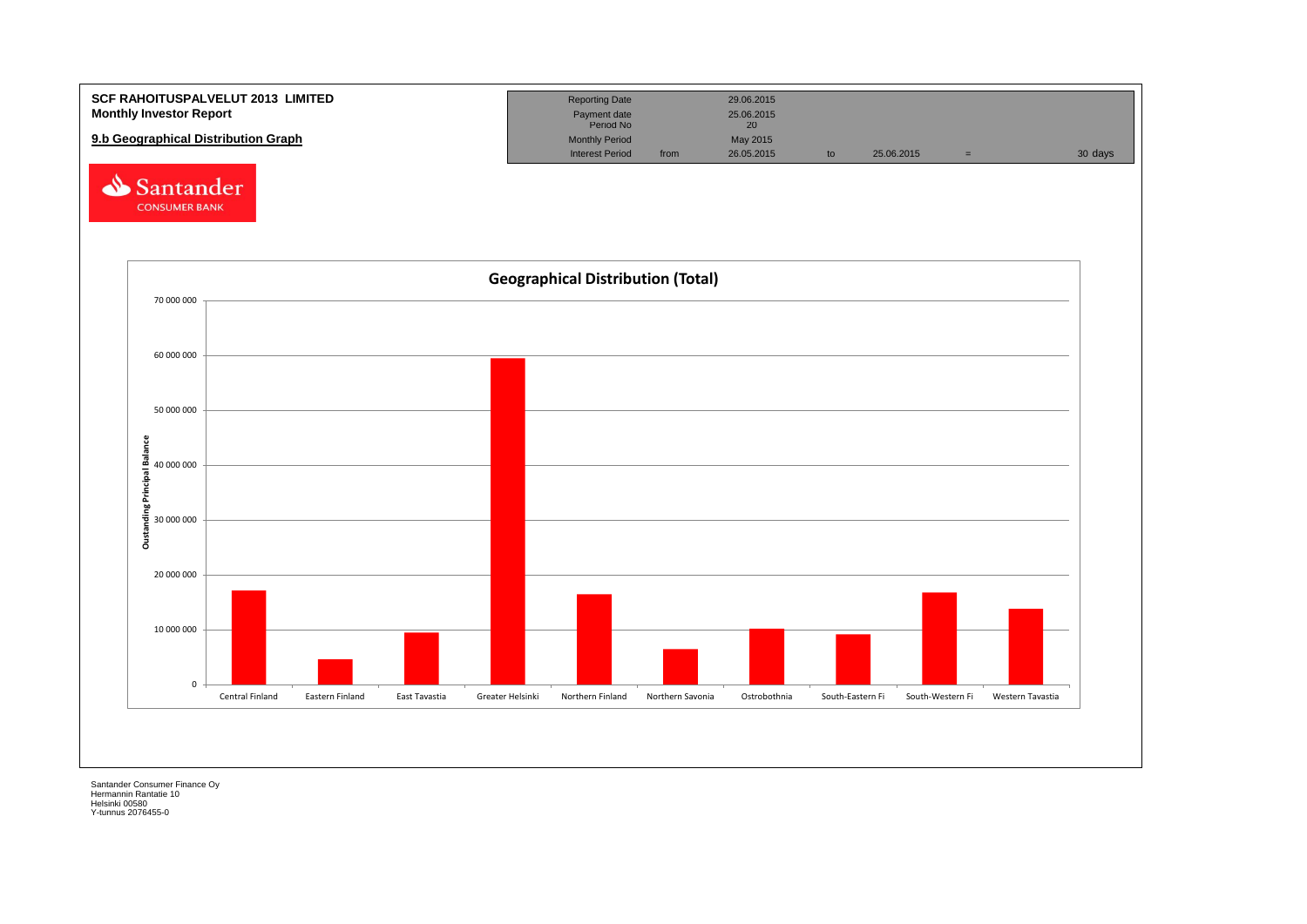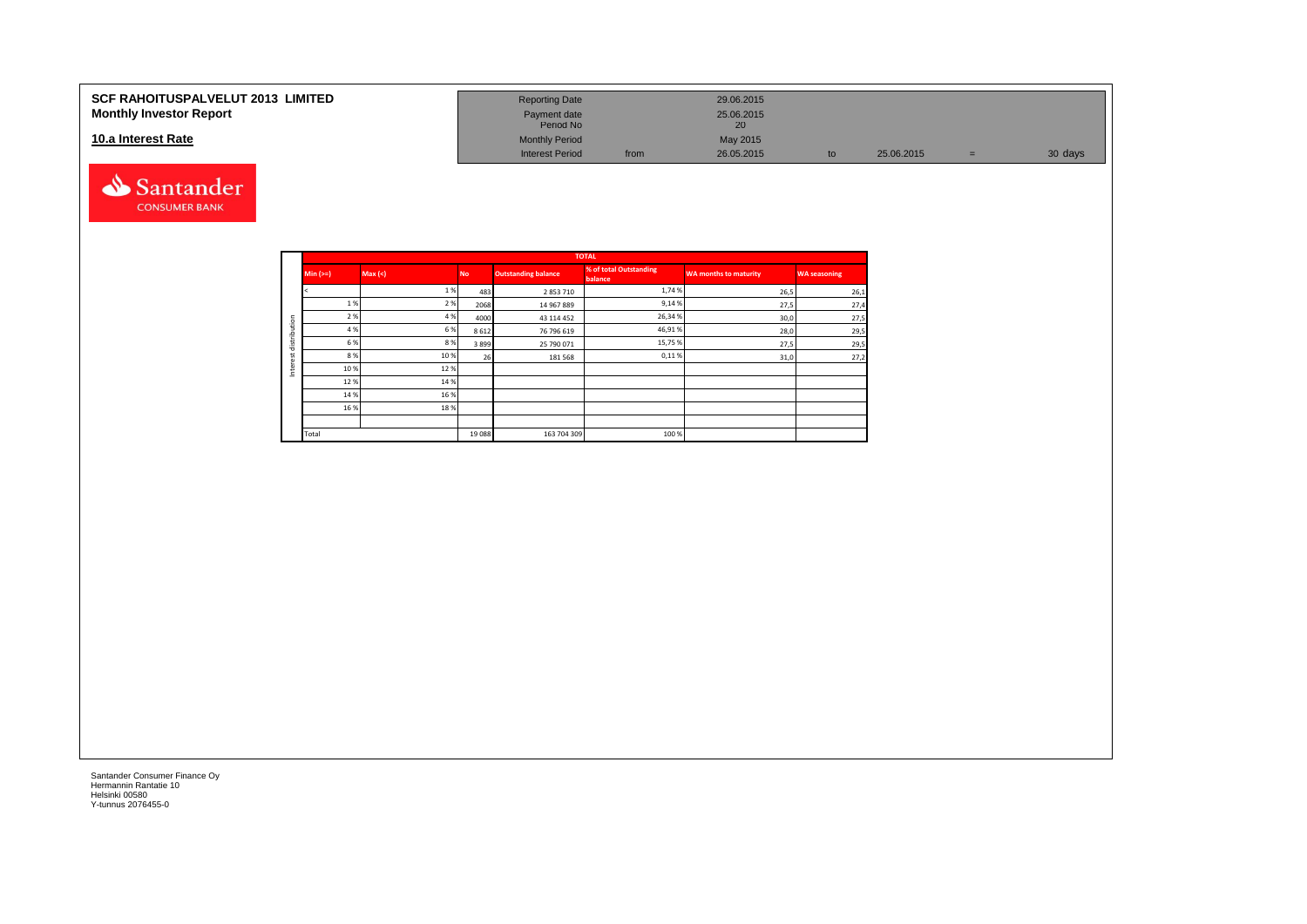#### **10.a Interest Rate**



| SCF RAHOITUSPALVELUT 2013  LIMITED<br><b>Monthly Investor Report</b> | <b>Reporting Date</b><br>Payment date<br>Period No |      | 29.06.2015<br>25.06.2015 |            |   |         |
|----------------------------------------------------------------------|----------------------------------------------------|------|--------------------------|------------|---|---------|
| 10.a Interest Rate                                                   | <b>Monthly Period</b>                              |      | May 2015                 |            |   |         |
|                                                                      | <b>Interest Period</b>                             | from | 26.05.2015               | 25.06.2015 | = | 30 days |

|              |            |        |           |                            | <b>TOTAL</b>                       |                              |                     |
|--------------|------------|--------|-----------|----------------------------|------------------------------------|------------------------------|---------------------|
|              | Min $(>=)$ | Max(<) | <b>No</b> | <b>Outstanding balance</b> | % of total Outstanding<br>balance, | <b>WA months to maturity</b> | <b>WA seasoning</b> |
|              |            | 1%     | 483       | 2853710                    | 1,74 %                             | 26,5                         | 26,1                |
|              | 1 %        | 2%     | 2068      | 14 967 889                 | 9,14%                              | 27,5                         | 27,4                |
|              | 2 %        | 4 %    | 4000      | 43 114 452                 | 26,34 %                            | 30,0                         | 27,5                |
| distribution | 4 %        | 6%     | 8612      | 76 796 619                 | 46,91%                             | 28,0                         | 29,5                |
|              | 6 %        | 8%     | 3899      | 25 790 071                 | 15,75 %                            | 27,5                         | 29,5                |
| ٠<br>¥.      | 8 %        | 10%    | 26        | 181568                     | 0,11%                              | 31,0                         | 27,2                |
| Inter        | 10%        | 12%    |           |                            |                                    |                              |                     |
|              | 12%        | 14 %   |           |                            |                                    |                              |                     |
|              | 14 %       | 16%    |           |                            |                                    |                              |                     |
|              | 16 %       | 18%    |           |                            |                                    |                              |                     |
|              |            |        |           |                            |                                    |                              |                     |
|              | Total      |        | 19 088    | 163 704 309                | 100 %                              |                              |                     |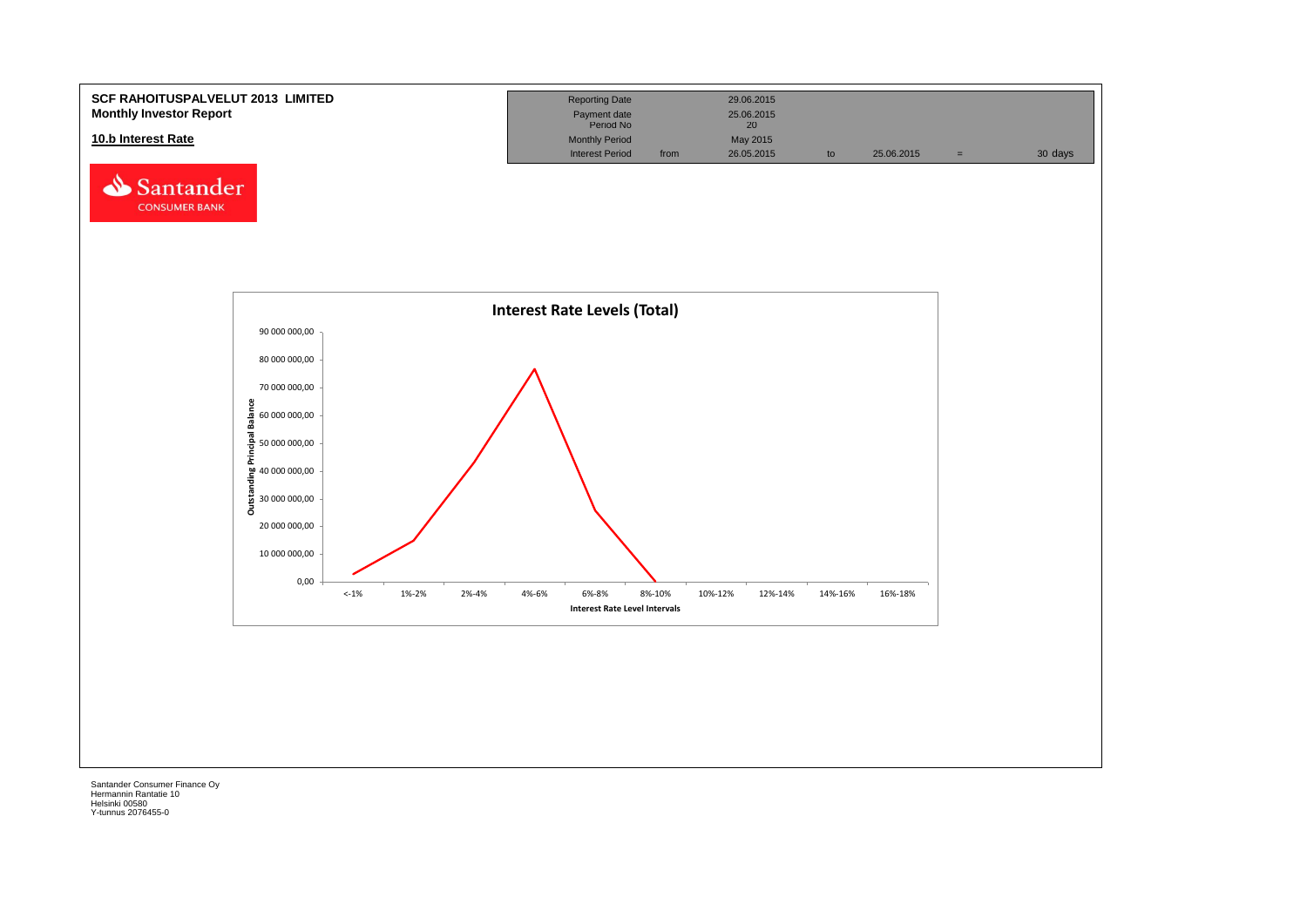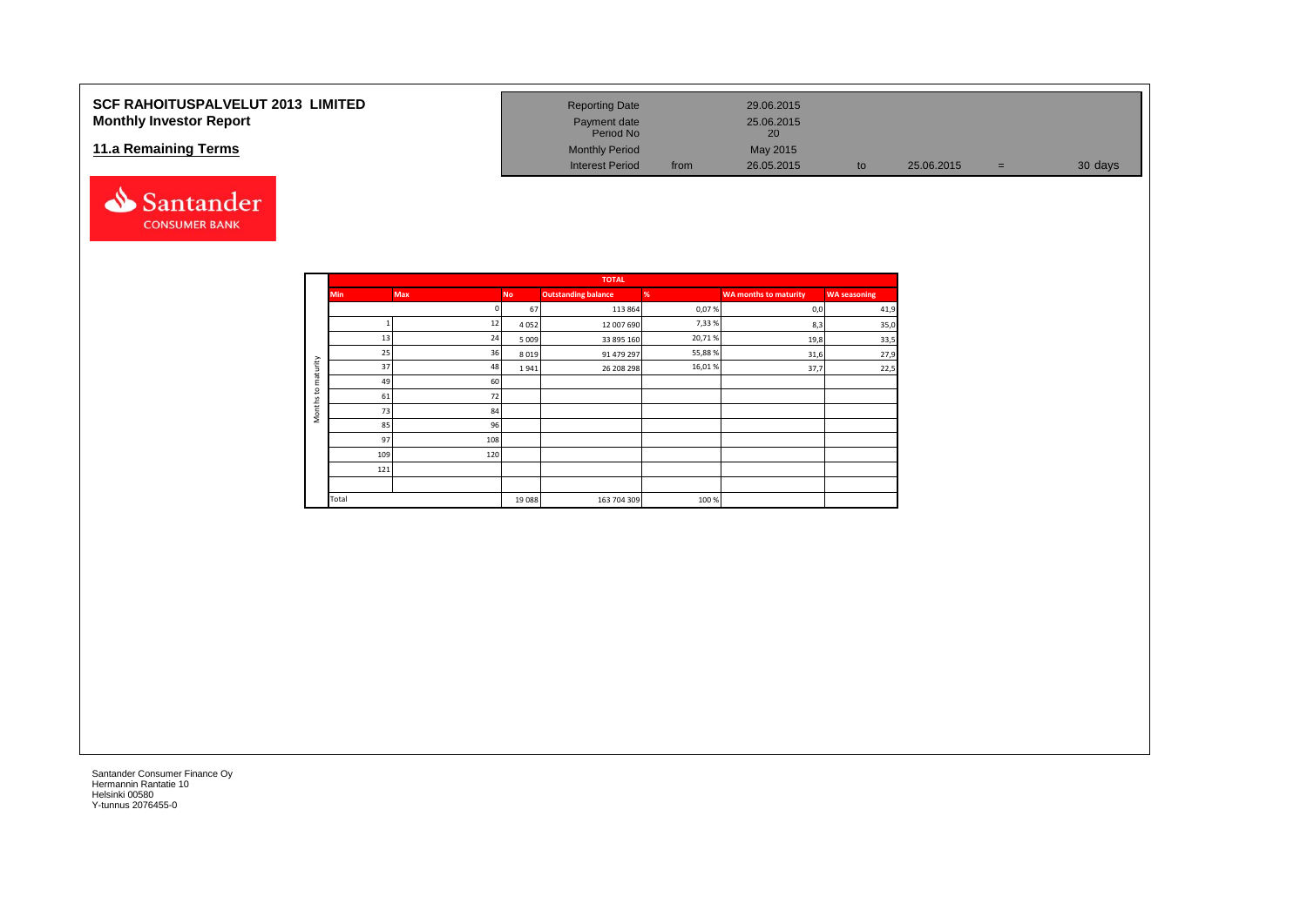## **SCF RAHOITUSPALVELUT 2013 LIMITED Monthly Investor Report**

### **11.a Remaining Terms**



| <b>Reporting Date</b>     |      | 29.06.2015       |    |            |     |         |
|---------------------------|------|------------------|----|------------|-----|---------|
| Payment date<br>Period No |      | 25.06.2015<br>20 |    |            |     |         |
| <b>Monthly Period</b>     |      | May 2015         |    |            |     |         |
| <b>Interest Period</b>    | from | 26.05.2015       | to | 25.06.2015 | $=$ | 30 days |

|                     |            |            |           | <b>TOTAL</b>               |        |                       |                     |
|---------------------|------------|------------|-----------|----------------------------|--------|-----------------------|---------------------|
|                     | <b>Min</b> | <b>Max</b> | <b>No</b> | <b>Outstanding balance</b> | %      | WA months to maturity | <b>WA seasoning</b> |
|                     |            | n          | 67        | 113 864                    | 0,07%  | 0,0                   | 41,9                |
|                     |            | 12         | 4052      | 12 007 690                 | 7,33%  | 8,3                   | 35,0                |
|                     | 13         | 24         | 5 0 0 9   | 33 895 160                 | 20,71% | 19,8                  | 33,5                |
|                     | 25         | 36         | 8019      | 91 479 297                 | 55,88% | 31,6                  | 27,9                |
| maturity            | 37         | 48         | 1941      | 26 208 298                 | 16,01% | 37,7                  | 22,5                |
|                     | 49         | 60         |           |                            |        |                       |                     |
| °5                  | 61         | 72         |           |                            |        |                       |                     |
| Months <sup>-</sup> | 73         | 84         |           |                            |        |                       |                     |
|                     | 85         | 96         |           |                            |        |                       |                     |
|                     | 97         | 108        |           |                            |        |                       |                     |
|                     | 109        | 120        |           |                            |        |                       |                     |
|                     | 121        |            |           |                            |        |                       |                     |
|                     |            |            |           |                            |        |                       |                     |
|                     | Total      |            | 19088     | 163 704 309                | 100%   |                       |                     |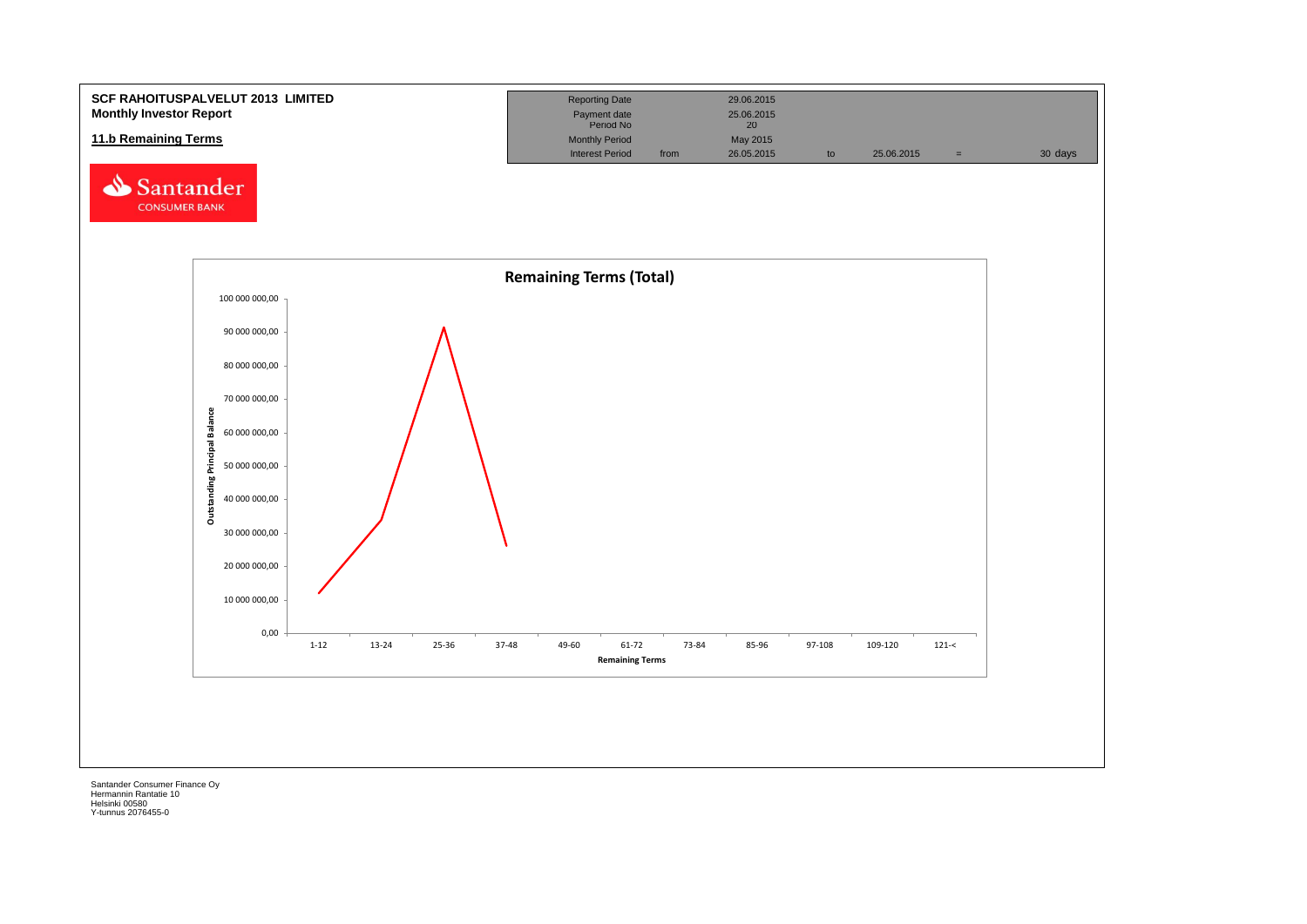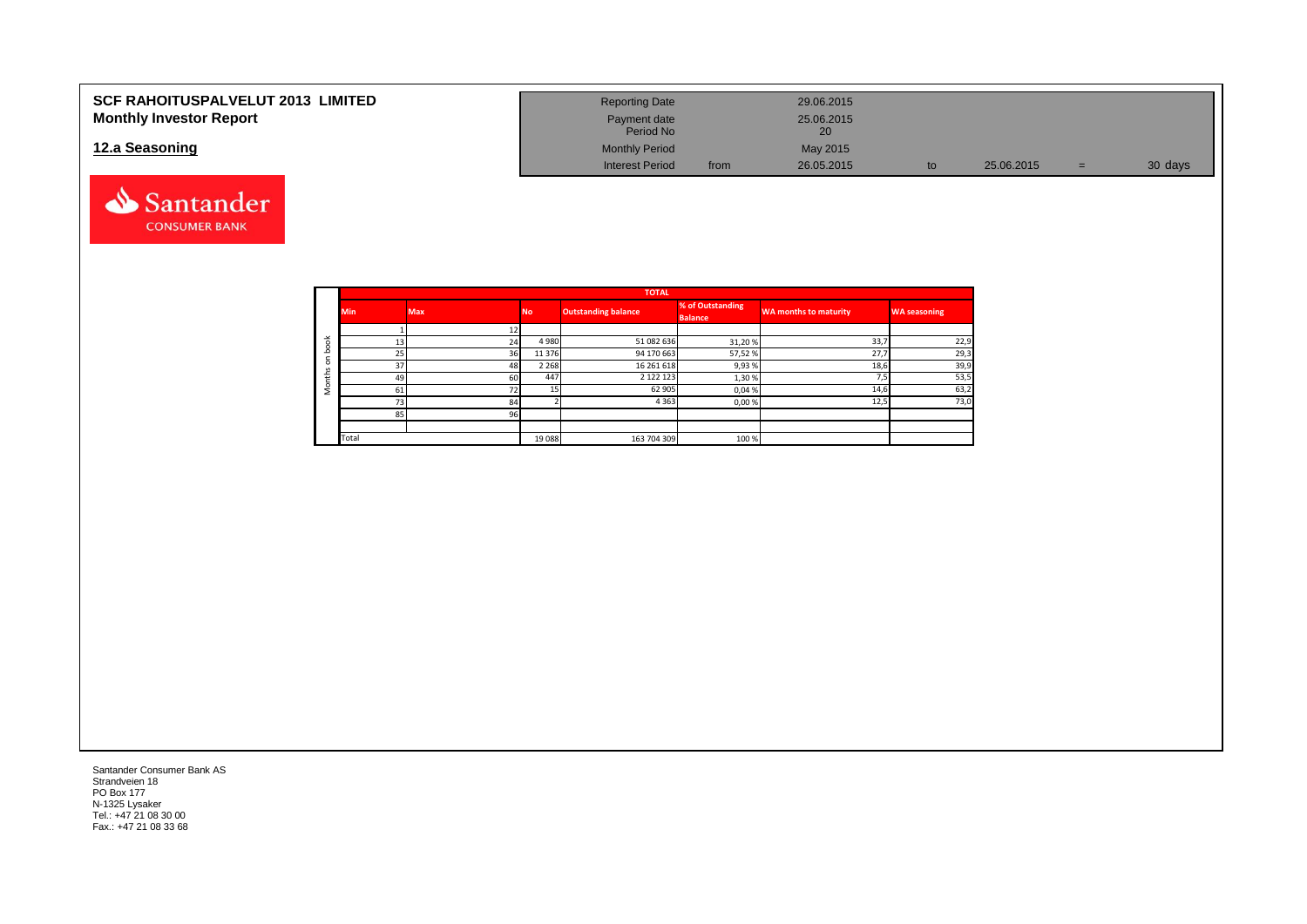| <b>SCF RAHOITUSPALVELUT 2013 LIMITED</b> | <b>Reporting Date</b>     |      | 29.06.2015 |    |            |   |         |
|------------------------------------------|---------------------------|------|------------|----|------------|---|---------|
| <b>Monthly Investor Report</b>           | Payment date<br>Period No |      | 25.06.2015 |    |            |   |         |
| 12.a Seasoning                           | <b>Monthly Period</b>     |      | May 2015   |    |            |   |         |
|                                          | <b>Interest Period</b>    | from | 26.05.2015 | to | 25.06.2015 | = | 30 days |



|                       |            |            |           | <b>TOTAL</b>               |                                    |                              |                     |
|-----------------------|------------|------------|-----------|----------------------------|------------------------------------|------------------------------|---------------------|
|                       | <b>Min</b> | <b>Max</b> | <b>No</b> | <b>Outstanding balance</b> | % of Outstanding<br><b>Balance</b> | <b>WA months to maturity</b> | <b>WA seasoning</b> |
|                       |            |            |           |                            |                                    |                              |                     |
| $\breve{\phantom{a}}$ | 13         | 24         | 4 9 8 0   | 51 082 636                 | 31,20%                             | 33,7                         | 22,9                |
|                       | 25         | 36         | 11 376    | 94 170 663                 | 57,52 %                            | 27,7                         | 29,3                |
|                       | 37         | 48         | 2 2 6 8   | 16 261 618                 | 9,93%                              | 18,6                         | 39,9                |
| ±                     | 49         | 60         | 447       | 2 1 2 2 1 2 3              | 1,30 %                             | <u>те</u><br>, , ,           | 53,5                |
| c                     | 61         | 72         |           | 62 905                     | 0,04 %                             | 14,6                         | 63,2                |
|                       | 73         | 84         |           | 4 3 6 3                    | 0,00%                              | 12,5                         | 73,0                |
|                       | 85         | 96         |           |                            |                                    |                              |                     |
|                       |            |            |           |                            |                                    |                              |                     |
|                       | Total      |            | 19 088    | 163 704 309                | 100 %                              |                              |                     |

Santander Consumer Bank AS Strandveien 18 PO Box 177 N-1325 Lysaker Tel.: +47 21 08 30 00 Fax.: +47 21 08 33 68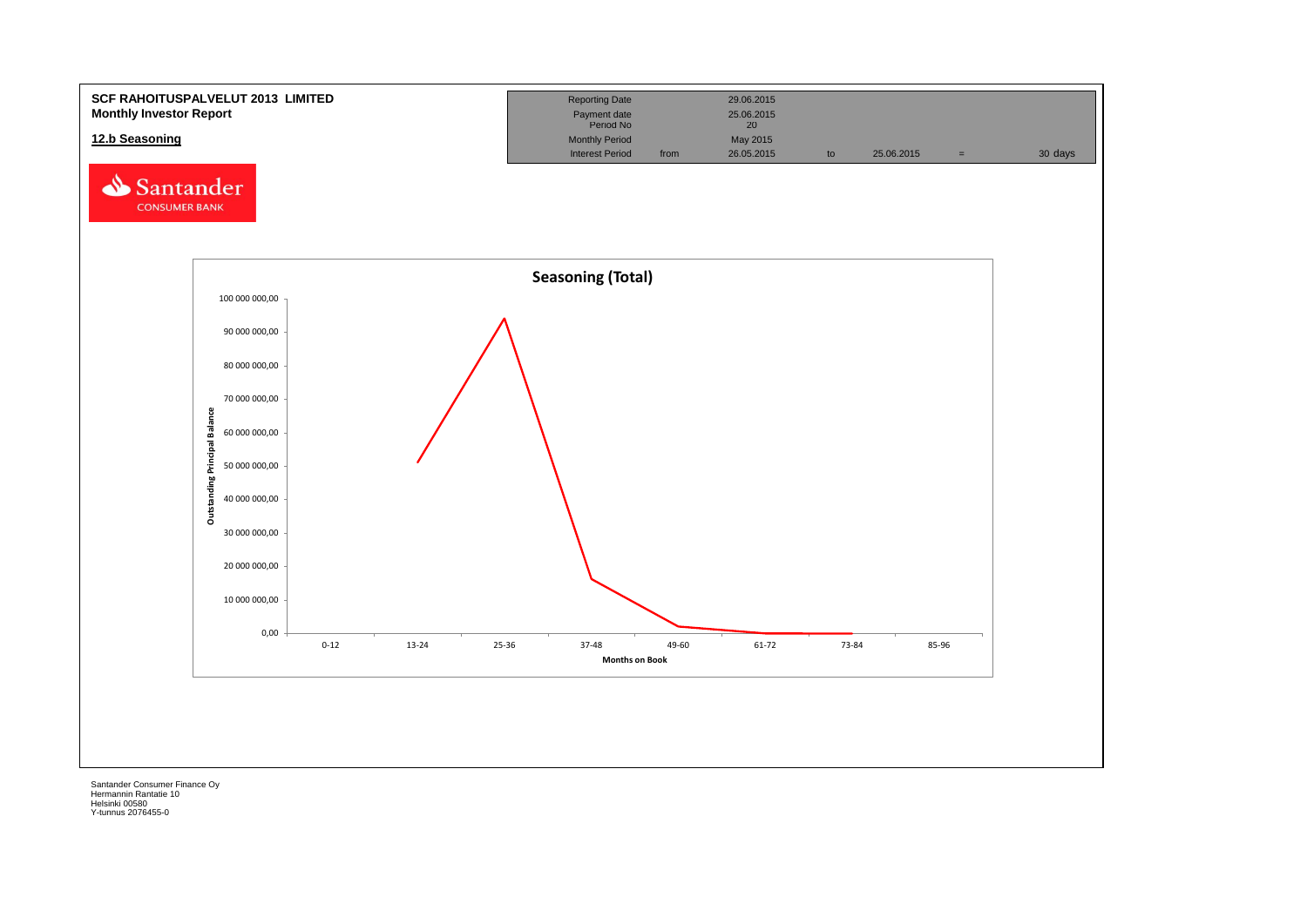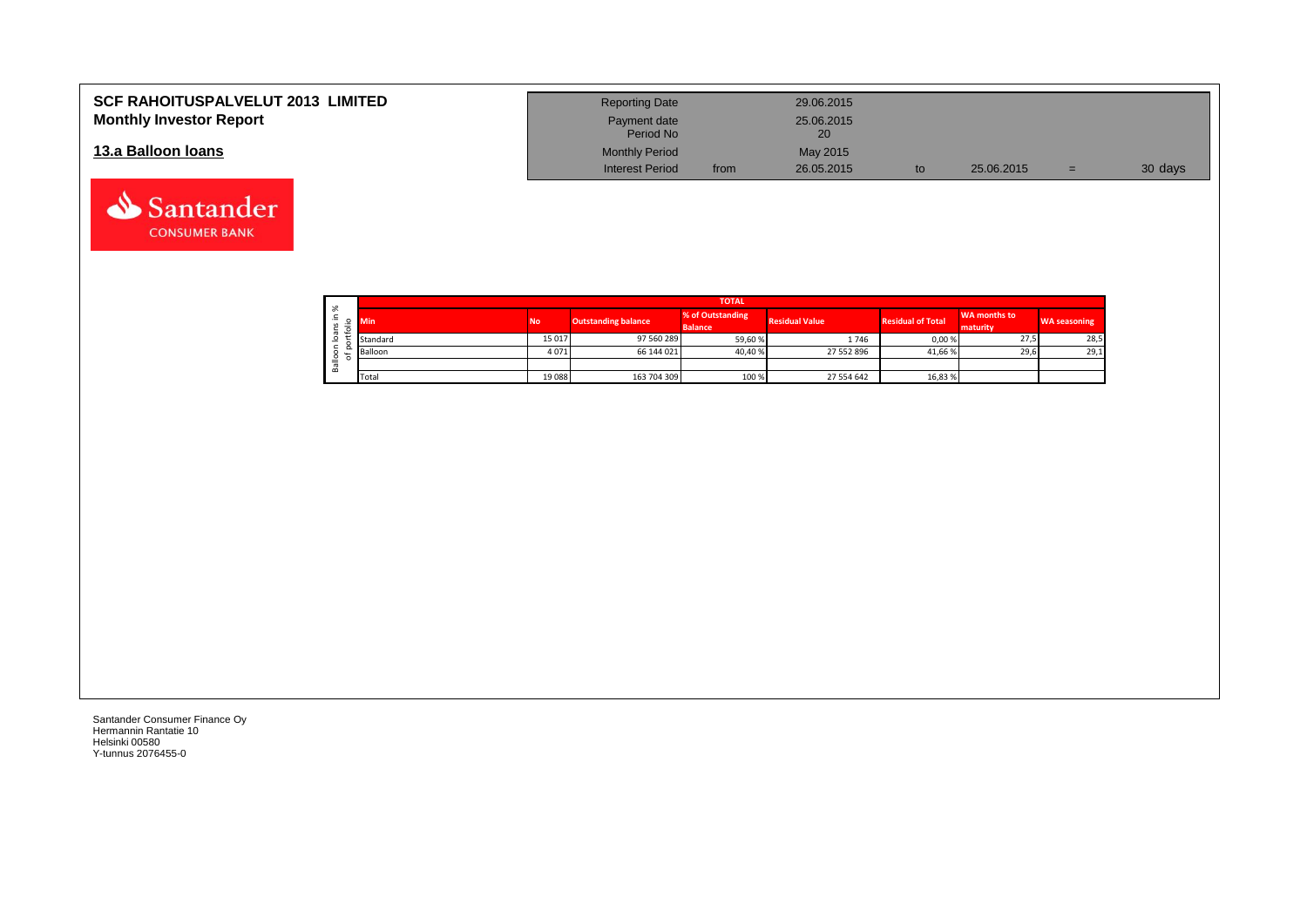| <b>SCF RAHOITUSPALVELUT 2013 LIMITED</b><br><b>Monthly Investor Report</b> | <b>Reporting Date</b><br>Payment date |      | 29.06.2015<br>25.06.2015 |            |     |         |
|----------------------------------------------------------------------------|---------------------------------------|------|--------------------------|------------|-----|---------|
|                                                                            | Period No                             |      | 20                       |            |     |         |
| 13.a Balloon Ioans                                                         | <b>Monthly Period</b>                 |      | May 2015                 |            |     |         |
|                                                                            | <b>Interest Period</b>                | from | 26.05.2015               | 25.06.2015 | $=$ | 30 days |

| $\sim$       |            |           |                            | <b>TOTAL</b>                       |                       |                          |                                 |                     |
|--------------|------------|-----------|----------------------------|------------------------------------|-----------------------|--------------------------|---------------------------------|---------------------|
| ∸.<br>o<br>⋍ | <b>Min</b> | <b>No</b> | <b>Outstanding balance</b> | % of Outstanding<br><b>Balance</b> | <b>Residual Value</b> | <b>Residual of Total</b> | <b>WA months to</b><br>maturity | <b>WA seasoning</b> |
| -            | Standard   | 15 017    | 97 560 289                 | 59,60 %                            | 1746                  | 0,00 %                   | 27,5                            | 28,5                |
|              | Balloon    | 4071      | 66 144 021                 | 40,40 %                            | 27 552 896            | 41,66 %                  | 29,6                            | 29,1                |
| ≚<br>≃       |            |           |                            |                                    |                       |                          |                                 |                     |
|              | Total      | 19088     | 163 704 309                | 100 %                              | 27 554 642            | 16,83 %                  |                                 |                     |

┑

Santander Consumer Finance Oy Hermannin Rantatie 10 Helsinki 00580 Y-tunnus 2076455-0

Santander **CONSUMER BANK**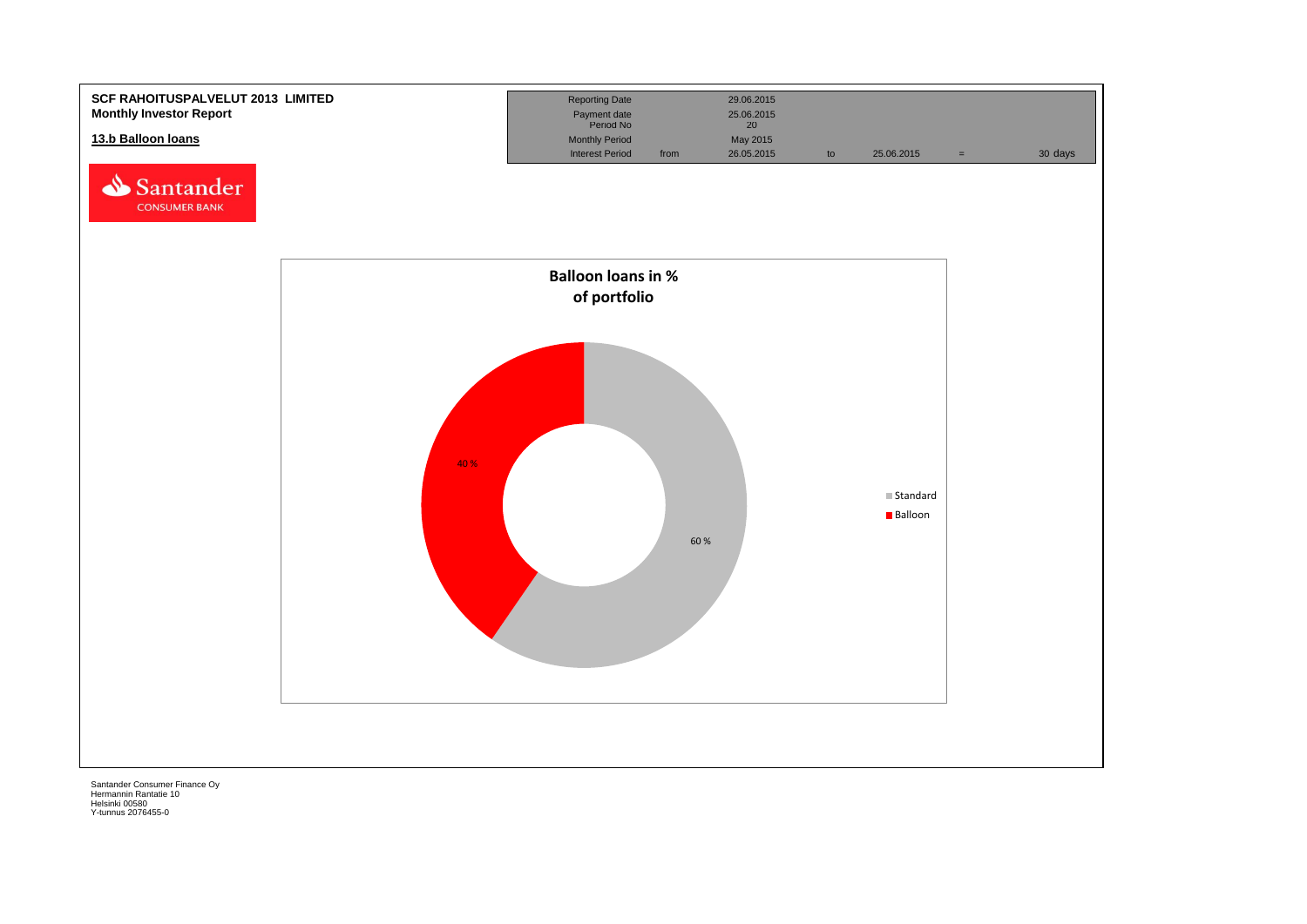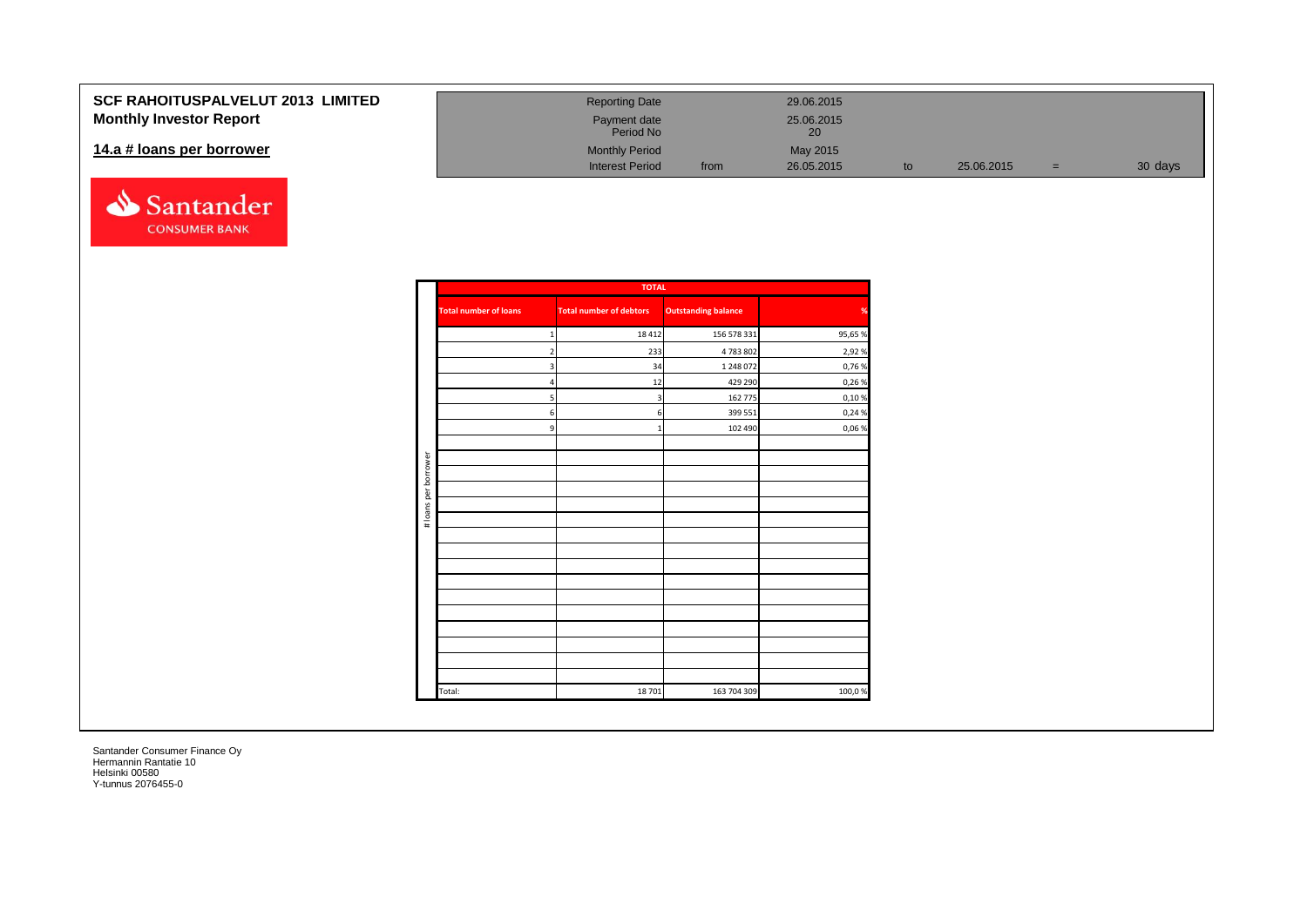| SCF RAHOITUSPALVELUT 2013 LIMITED | <b>Reporting Date</b>     |      | 29.06.2015       |            |     |         |
|-----------------------------------|---------------------------|------|------------------|------------|-----|---------|
| <b>Monthly Investor Report</b>    | Payment date<br>Period No |      | 25.06.2015<br>20 |            |     |         |
| 14.a # loans per borrower         | <b>Monthly Period</b>     |      | May 2015         |            |     |         |
|                                   | <b>Interest Period</b>    | from | 26.05.2015       | 25.06.2015 | $=$ | 30 days |



|                      |                              | <b>TOTAL</b>                   |                            |               |
|----------------------|------------------------------|--------------------------------|----------------------------|---------------|
|                      | <b>Total number of loans</b> | <b>Total number of debtors</b> | <b>Outstanding balance</b> | $\frac{9}{6}$ |
|                      |                              | 18 4 12                        | 156 578 331                | 95,65 %       |
|                      |                              | 233                            | 4 783 802                  | 2,92 %        |
|                      | 3                            | 34                             | 1 248 072                  | 0,76%         |
|                      | Δ                            | 12                             | 429 290                    | 0,26%         |
|                      | 5                            | $\overline{\mathbf{3}}$        | 162 775                    | 0,10%         |
|                      | 6                            | 6                              | 399 551                    | 0,24 %        |
|                      | 9                            | $\mathbf 1$                    | 102 490                    | 0,06%         |
|                      |                              |                                |                            |               |
| # loans per borrower |                              |                                |                            |               |
|                      |                              |                                |                            |               |
|                      |                              |                                |                            |               |
|                      |                              |                                |                            |               |
|                      |                              |                                |                            |               |
|                      |                              |                                |                            |               |
|                      |                              |                                |                            |               |
|                      |                              |                                |                            |               |
|                      |                              |                                |                            |               |
|                      |                              |                                |                            |               |
|                      |                              |                                |                            |               |
|                      |                              |                                |                            |               |
|                      |                              |                                |                            |               |
|                      |                              |                                |                            |               |
|                      |                              |                                |                            |               |
|                      | Total:                       | 18 701                         | 163 704 309                | 100,0%        |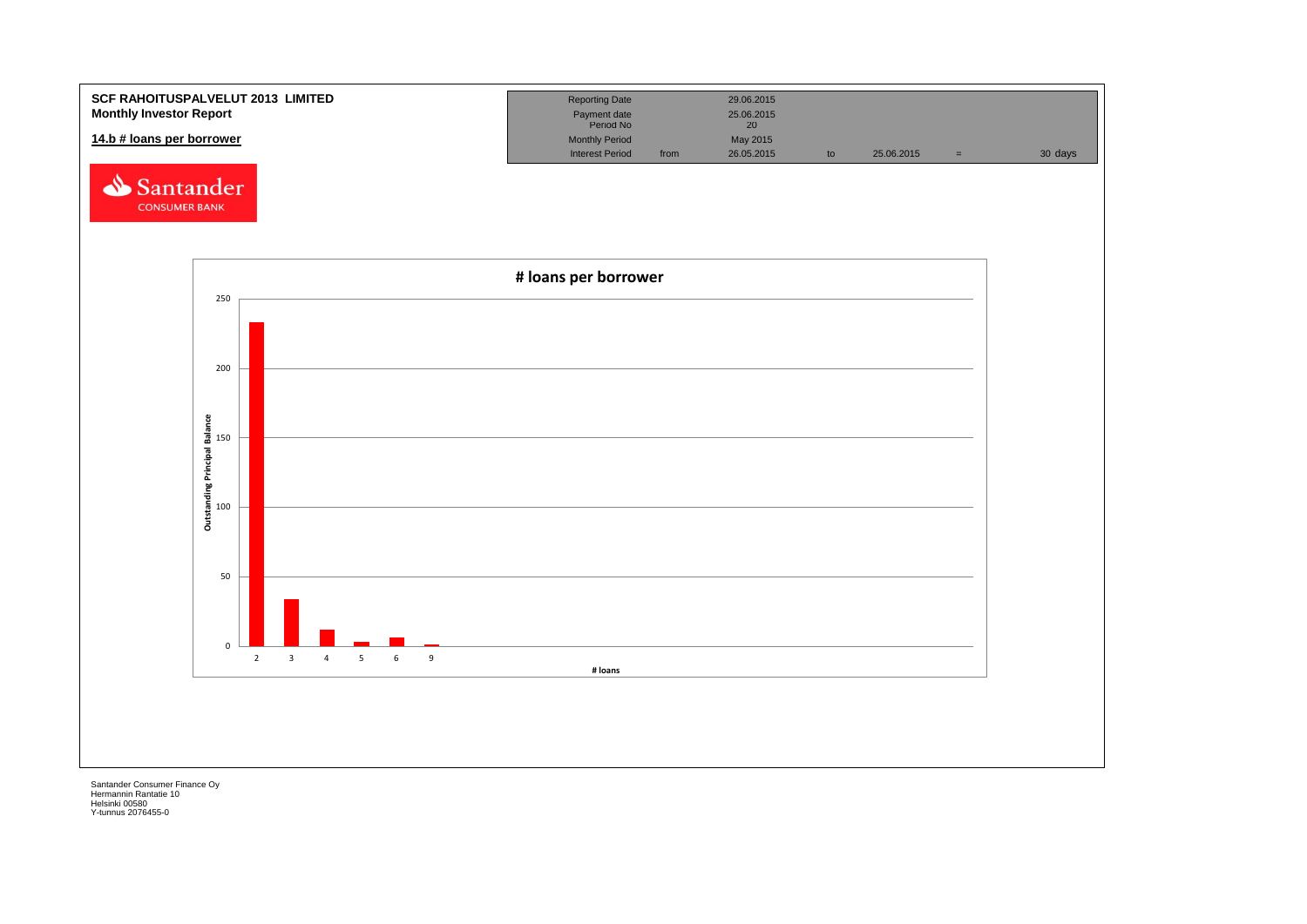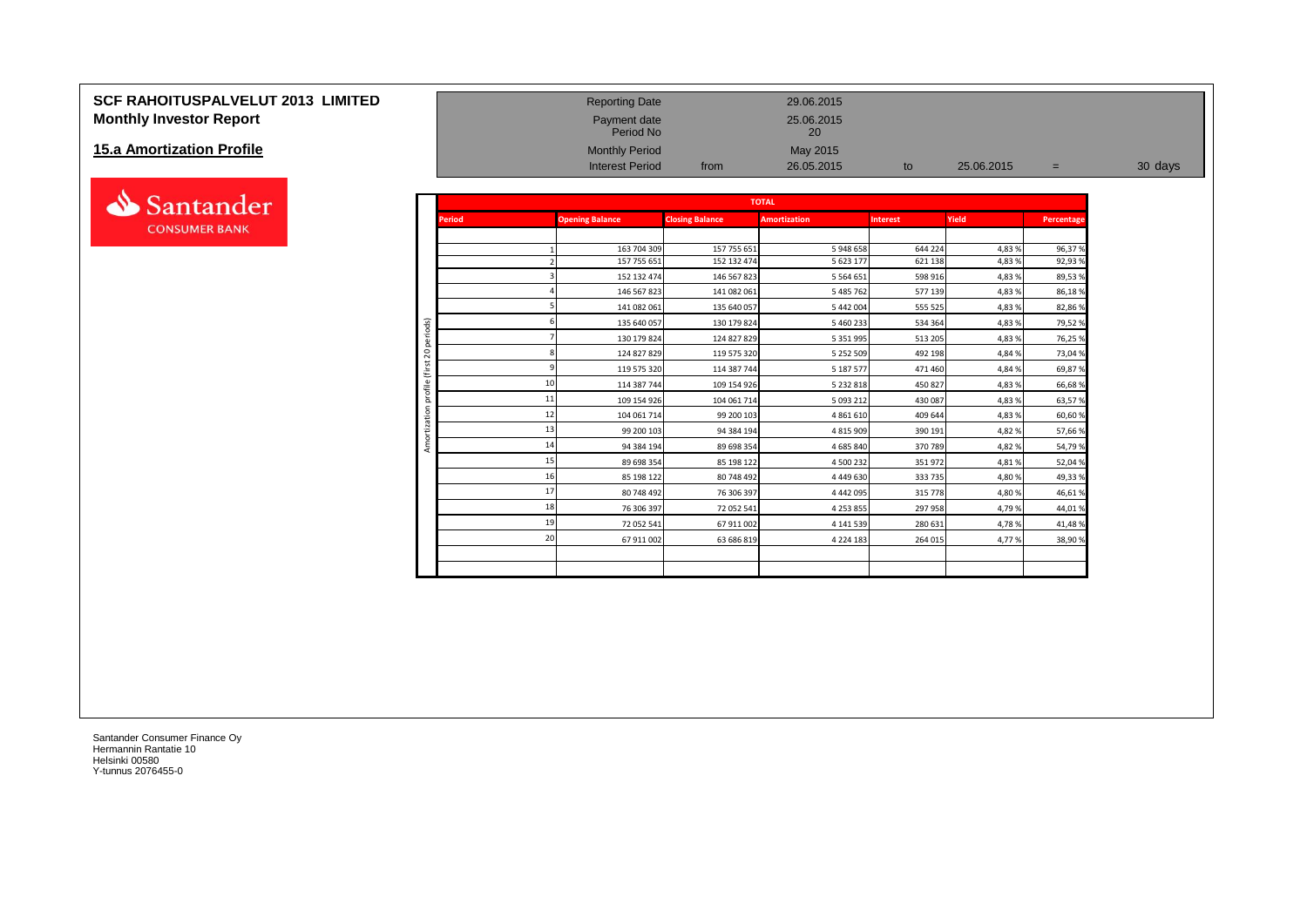### **SCF RAHOITUSPALVELUT 2013 LIMITED** Reporting Date 29.06.2015 **Monthly Investor Report Payment date** 25.06.2015

#### **15.a Amortization Profile**



|                                  |                                   |               | Period No                  |                            | 20                         |                    |                  |                  |         |
|----------------------------------|-----------------------------------|---------------|----------------------------|----------------------------|----------------------------|--------------------|------------------|------------------|---------|
| <b>15.a Amortization Profile</b> |                                   |               | <b>Monthly Period</b>      |                            | May 2015                   |                    |                  |                  |         |
|                                  |                                   |               | <b>Interest Period</b>     | from                       | 26.05.2015                 | to                 | 25.06.2015       | $=$              | 30 days |
|                                  |                                   |               |                            |                            |                            |                    |                  |                  |         |
| Santander                        |                                   |               |                            |                            | <b>TOTAL</b>               |                    |                  |                  |         |
| <b>CONSUMER BANK</b>             |                                   | <b>Period</b> | <b>Opening Balance</b>     | <b>Closing Balance</b>     | <b>Amortization</b>        | <b>Interest</b>    | Yield            | Percentage       |         |
|                                  |                                   |               |                            |                            |                            |                    |                  |                  |         |
|                                  |                                   |               | 163 704 309                | 157 755 651                | 5 948 658                  | 644 224            | 4,83 %           | 96,37%           |         |
|                                  |                                   |               | 157 755 651                | 152 132 474                | 5 623 177<br>5 5 6 4 6 5 1 | 621 138<br>598 916 | 4,83 %           | 92,93%           |         |
|                                  |                                   |               | 152 132 474<br>146 567 823 | 146 567 823<br>141 082 061 | 5 485 762                  | 577 139            | 4,83 %<br>4,83 % | 89,53%<br>86,18% |         |
|                                  |                                   |               | 141 082 061                | 135 640 057                | 5 442 004                  | 555 525            | 4,83 %           | 82,86%           |         |
|                                  |                                   |               | 135 640 057                | 130 179 824                | 5 460 233                  | 534 364            | 4,83 %           | 79,52%           |         |
|                                  | periods)                          |               | 130 179 824                | 124 827 829                | 5 3 5 1 9 9 5              | 513 205            | 4,83 %           | 76,25%           |         |
|                                  | $\overline{c}$                    |               | 124 827 829                | 119 575 320                | 5 252 509                  | 492 198            | 4,84 %           | 73,04%           |         |
|                                  |                                   |               | 119 575 320                | 114 387 744                | 5 187 577                  | 471 460            | 4,84 %           | 69,87%           |         |
|                                  | $\overline{ }$<br>$\mathbbmss{D}$ |               | 114 387 744                | 109 154 926                | 5 232 818                  | 450 827            | 4,83 %           | 66,68%           |         |
|                                  | 륑<br>ă                            |               | 109 154 926                | 104 061 714                | 5 093 212                  | 430 087            | 4,83 %           | 63,57%           |         |
|                                  | ã                                 |               | 104 061 714                | 99 200 103                 | 4 8 6 1 6 1 0              | 409 644            | 4,83 %           | 60,60%           |         |
|                                  |                                   | 13            | 99 200 103                 | 94 384 194                 | 4 8 1 5 9 0 9              | 390 191            | 4,82%            | 57,66%           |         |
|                                  | Amor                              | 14            | 94 384 194                 | 89 698 354                 | 4 685 840                  | 370 789            | 4,82%            | 54,79%           |         |
|                                  |                                   | 15            | 89 698 354                 | 85 198 122                 | 4 500 232                  | 351 972            | 4,81%            | 52,04%           |         |
|                                  |                                   | 16            | 85 198 122                 | 80 748 492                 | 4 4 4 9 6 3 0              | 333 735            | 4,80 %           | 49,33%           |         |
|                                  |                                   | 17            | 80 748 492                 | 76 306 397                 | 4 4 4 2 0 9 5              | 315 778            | 4,80 %           | 46,61%           |         |
|                                  |                                   | 18            | 76 306 397                 | 72 052 541                 | 4 2 5 3 8 5 5              | 297 958            | 4,79%            | 44,01%           |         |
|                                  |                                   | 19            | 72 052 541                 | 67 911 002                 | 4 141 539                  | 280 631            | 4,78%            | 41,48%           |         |
|                                  |                                   | 20            | 67 911 002                 | 63 686 819                 | 4 2 2 4 1 8 3              | 264 015            | 4,77%            | 38,90%           |         |
|                                  |                                   |               |                            |                            |                            |                    |                  |                  |         |
|                                  |                                   |               |                            |                            |                            |                    |                  |                  |         |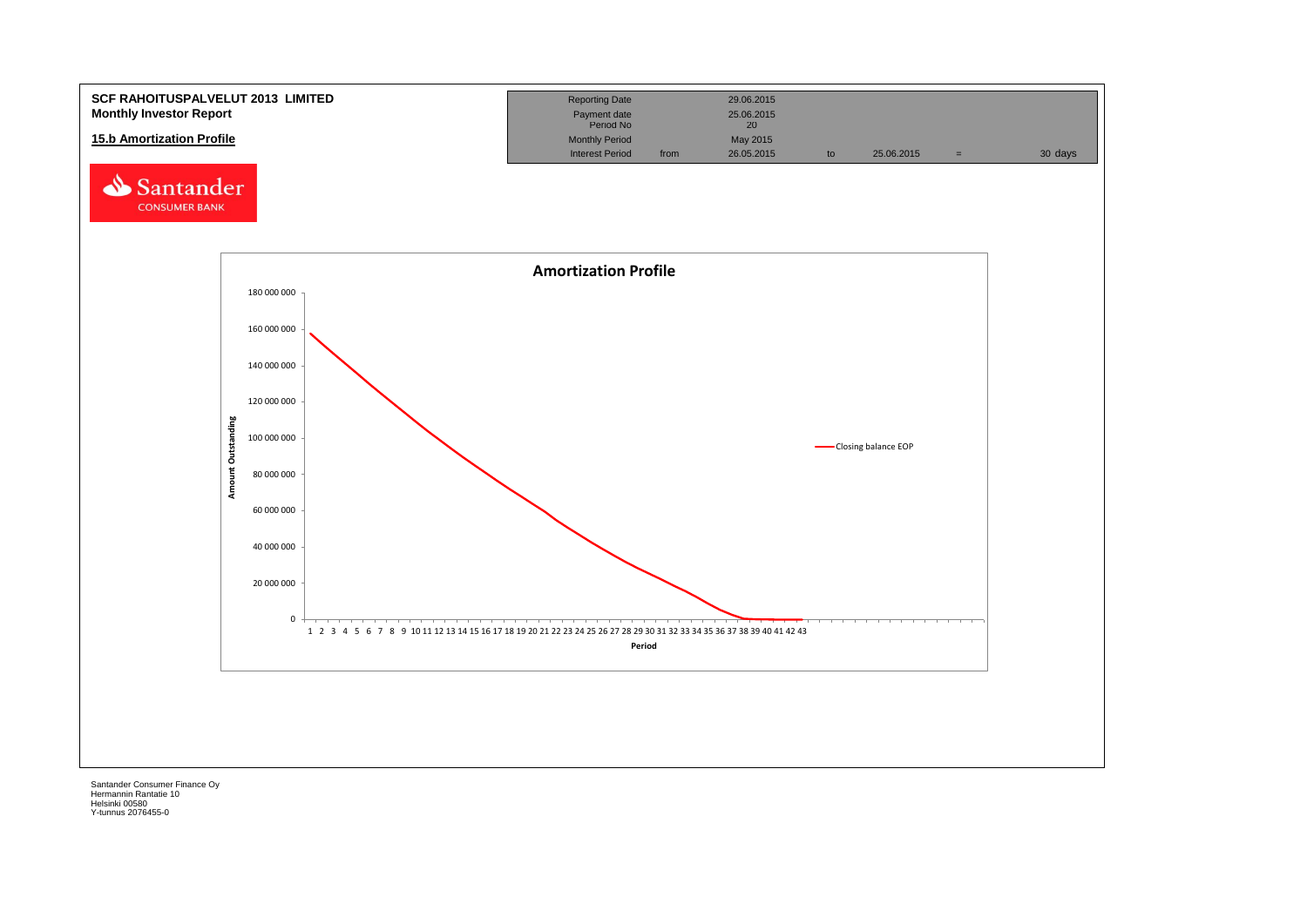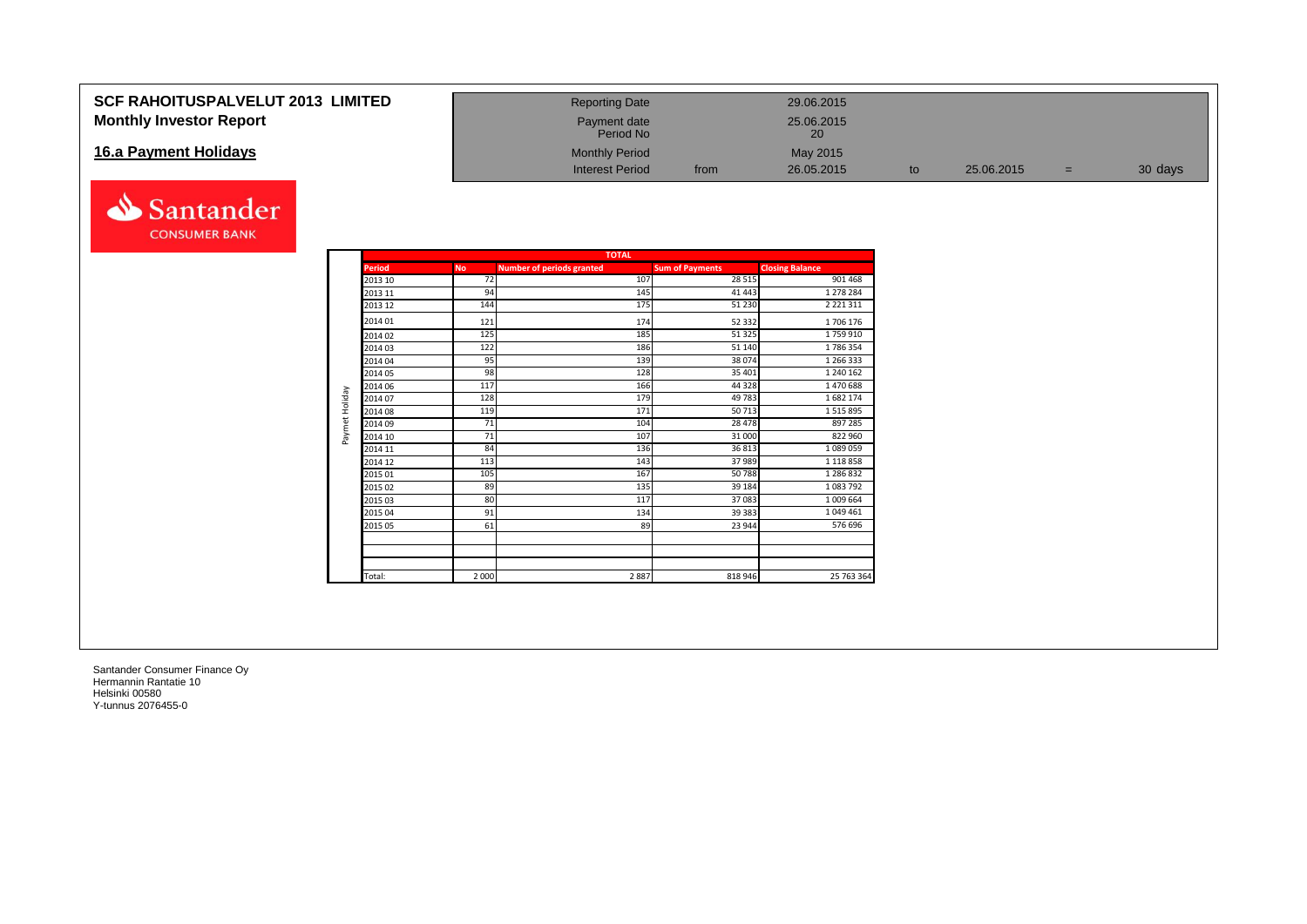### **SCF RAHOITUSPALVELUT 2013 LIMITED Monthly Investor Report**

### **16.a Payment Holidays**



| <b>Reporting Date</b>     |      | 29.06.2015       |    |            |     |         |
|---------------------------|------|------------------|----|------------|-----|---------|
| Payment date<br>Period No |      | 25.06.2015<br>20 |    |            |     |         |
| <b>Monthly Period</b>     |      | May 2015         |    |            |     |         |
| <b>Interest Period</b>    | from | 26.05.2015       | to | 25.06.2015 | $=$ | 30 days |

| <b>TOTAL</b>           |  |  |  |  |  |  |
|------------------------|--|--|--|--|--|--|
| <b>Closing Balance</b> |  |  |  |  |  |  |
| 901 468                |  |  |  |  |  |  |
| 1 278 284              |  |  |  |  |  |  |
| 2 2 2 1 3 1 1          |  |  |  |  |  |  |
| 1706 176               |  |  |  |  |  |  |
| 1759910                |  |  |  |  |  |  |
| 1786354                |  |  |  |  |  |  |
| 1 266 333              |  |  |  |  |  |  |
| 1 240 162              |  |  |  |  |  |  |
| 1470688                |  |  |  |  |  |  |
| 1682174                |  |  |  |  |  |  |
| 1515895                |  |  |  |  |  |  |
| 897 285                |  |  |  |  |  |  |
| 822 960                |  |  |  |  |  |  |
| 1089059                |  |  |  |  |  |  |
| 1 118 858              |  |  |  |  |  |  |
| 1 286 832              |  |  |  |  |  |  |
| 1083792                |  |  |  |  |  |  |
| 1 009 664              |  |  |  |  |  |  |
| 1049461                |  |  |  |  |  |  |
| 576 696                |  |  |  |  |  |  |
|                        |  |  |  |  |  |  |
|                        |  |  |  |  |  |  |
| 25 763 364             |  |  |  |  |  |  |
|                        |  |  |  |  |  |  |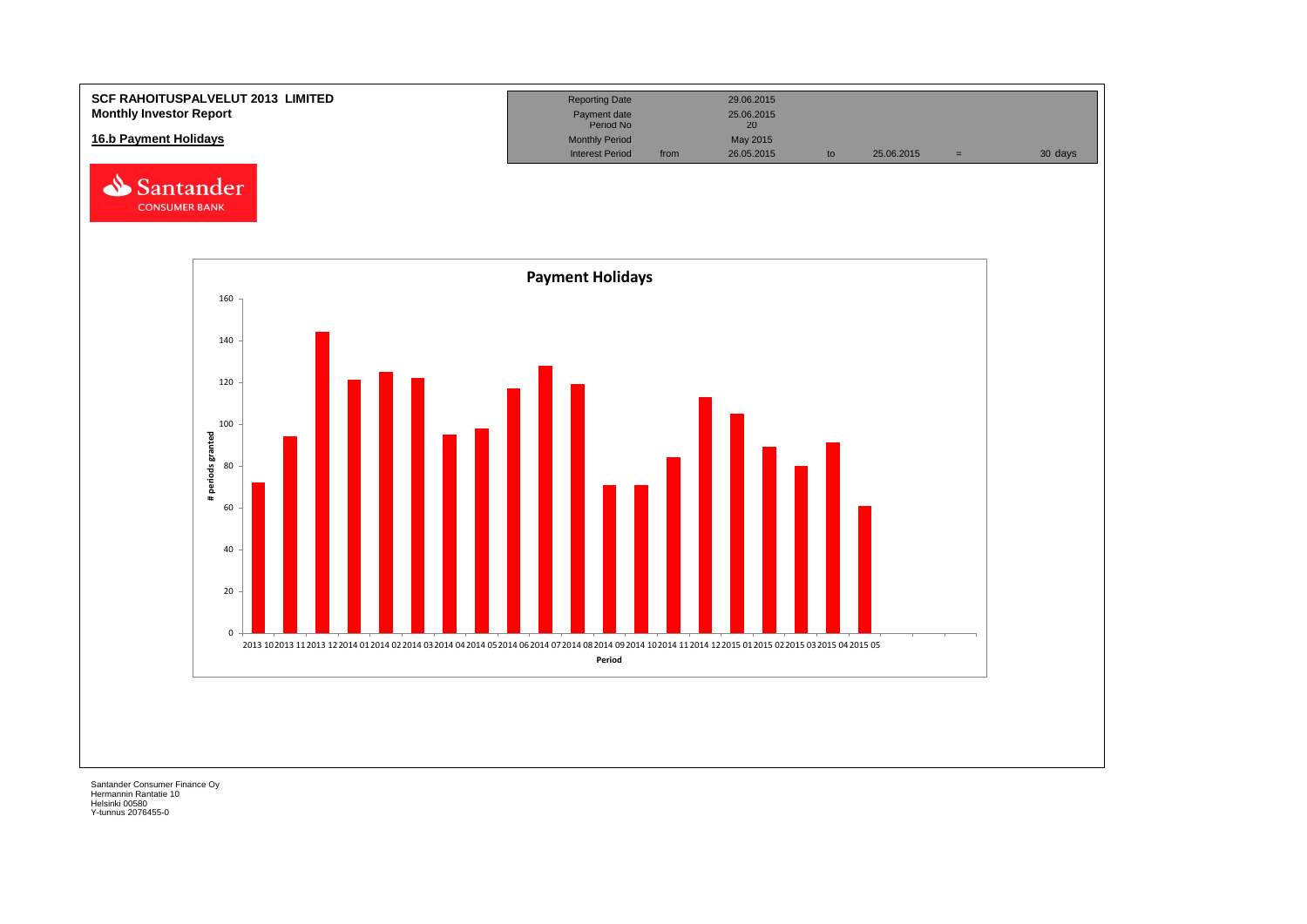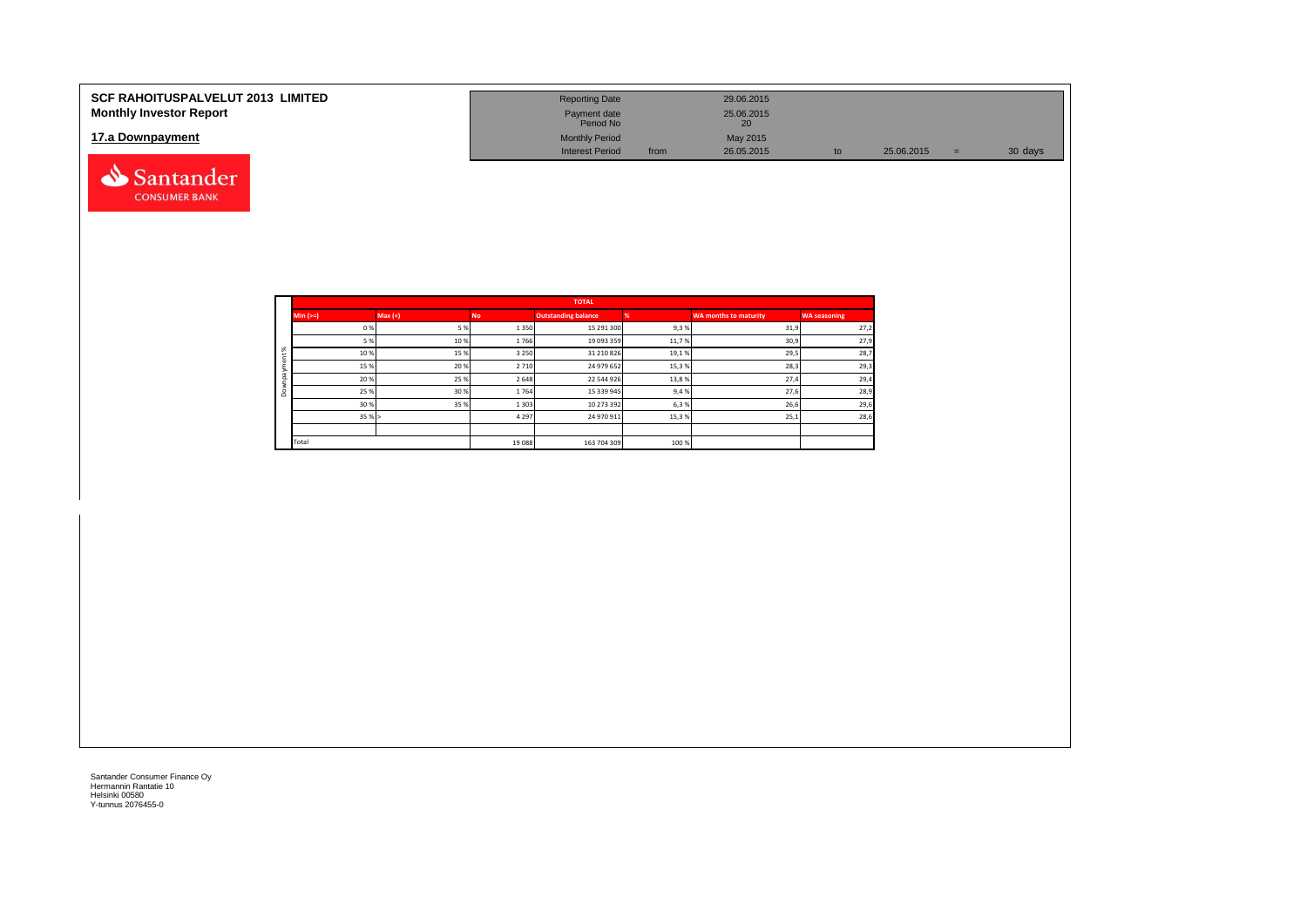| <b>SCF RAHOITUSPALVELUT 2013 LIMITED</b><br><b>Monthly Investor Report</b> | <b>Reporting Date</b>     |      | 29.06.2015                    |    |            |     |         |
|----------------------------------------------------------------------------|---------------------------|------|-------------------------------|----|------------|-----|---------|
|                                                                            | Payment date<br>Period No |      | 25.06.2015<br>20 <sub>1</sub> |    |            |     |         |
| 17.a Downpayment                                                           | <b>Monthly Period</b>     |      | May 2015                      |    |            |     |         |
|                                                                            | <b>Interest Period</b>    | from | 26.05.2015                    | to | 25.06.2015 | $=$ | 30 days |
| Santander                                                                  |                           |      |                               |    |            |     |         |

|          |             |         |         | <b>TOTAL</b>               |       |                              |                     |
|----------|-------------|---------|---------|----------------------------|-------|------------------------------|---------------------|
|          | $Min (=)=)$ | Max (<) | No.     | <b>Outstanding balance</b> |       | <b>WA months to maturity</b> | <b>WA seasoning</b> |
|          | 0%          | 5%      | 1350    | 15 291 300                 | 9,3%  | 31,9                         | 27,2                |
|          | 5 %         | 10%     | 1766    | 19 093 359                 | 11,7% | 30,9                         | 27,9                |
| $\aleph$ | 10%         | 15%     | 3 2 5 0 | 31 210 826                 | 19,1% | 29,5                         | 28,7                |
|          | 15 %        | 20 %    | 2710    | 24 979 652                 | 15,3% | 28,3                         | 29,3                |
|          | 20%         | 25 %    | 2 6 4 8 | 22 544 926                 | 13,8% | 27,4                         | 29,4                |
| $\circ$  | 25 %        | 30 %    | 1764    | 15 339 945                 | 9,4%  | 27,6                         | 28,9                |
|          | 30 %        | 35 %    | 1 3 0 3 | 10 273 392                 | 6,3%  | 26,6                         | 29,6                |
|          | 35%         |         | 4 2 9 7 | 24 970 911                 | 15,3% | 25,1                         | 28,6                |
|          |             |         |         |                            |       |                              |                     |
|          | Total       |         | 19 088  | 163 704 309                | 100%  |                              |                     |

**CONSUMER BANK**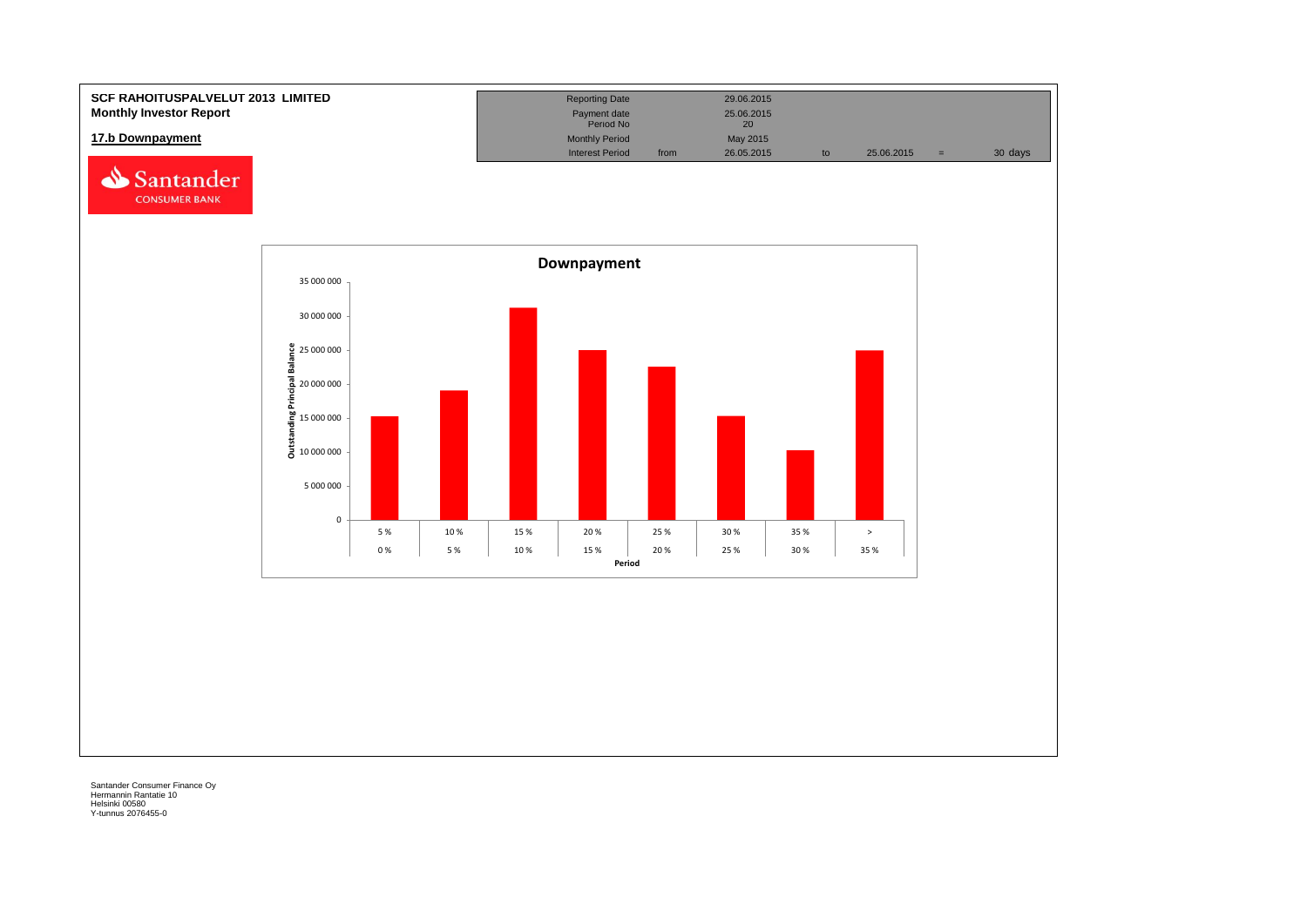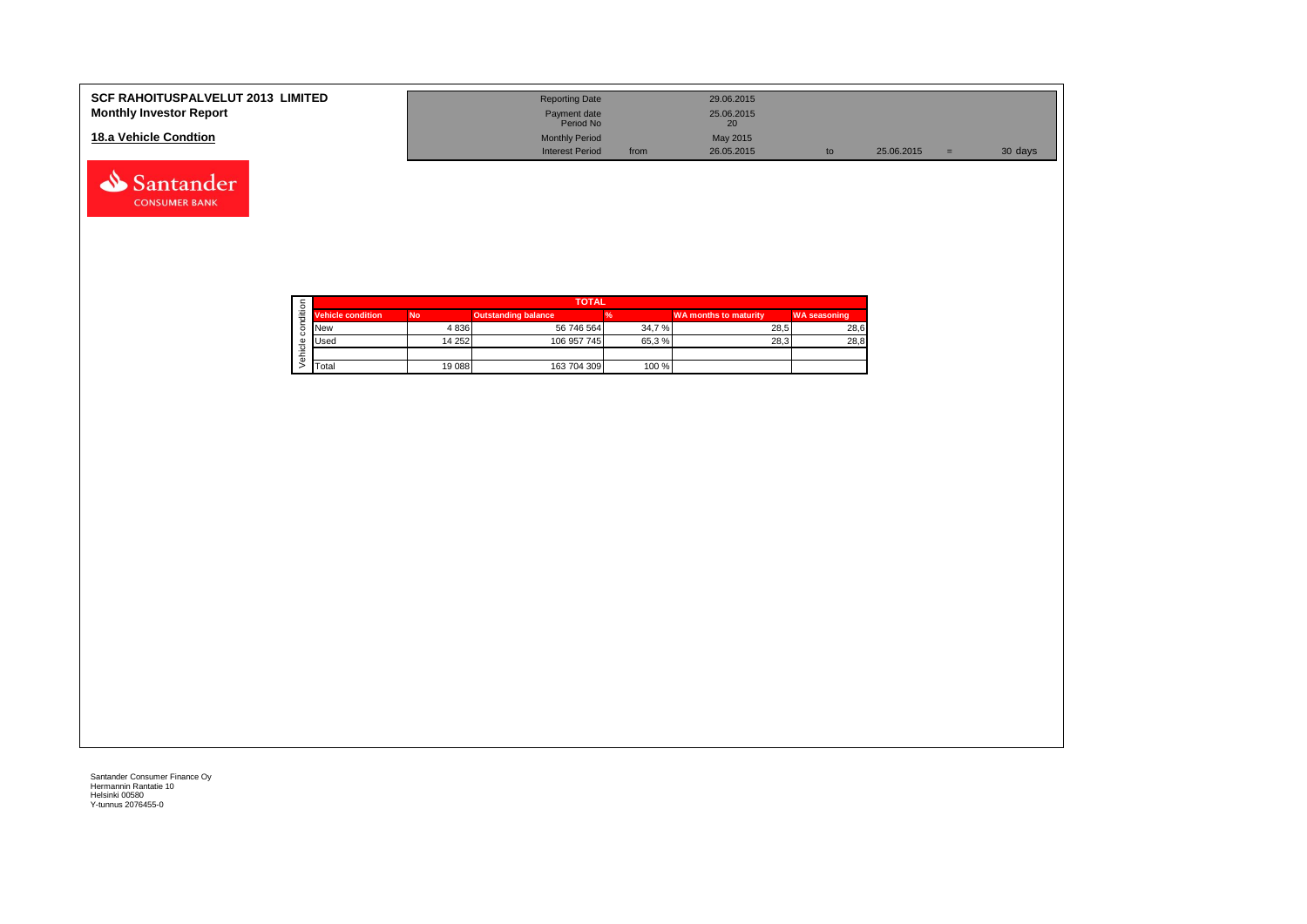| <b>SCF RAHOITUSPALVELUT 2013 LIMITED</b><br><b>Monthly Investor Report</b> | <b>Reporting Date</b><br>Payment date<br>Period No |      | 29.06.2015<br>25.06.2015<br>20 <sub>1</sub> |            |         |
|----------------------------------------------------------------------------|----------------------------------------------------|------|---------------------------------------------|------------|---------|
| 18.a Vehicle Condtion                                                      | <b>Monthly Period</b><br><b>Interest Period</b>    | from | May 2015<br>26.05.2015                      | 25.06.2015 | 30 days |



Santander **CONSUMER BANK**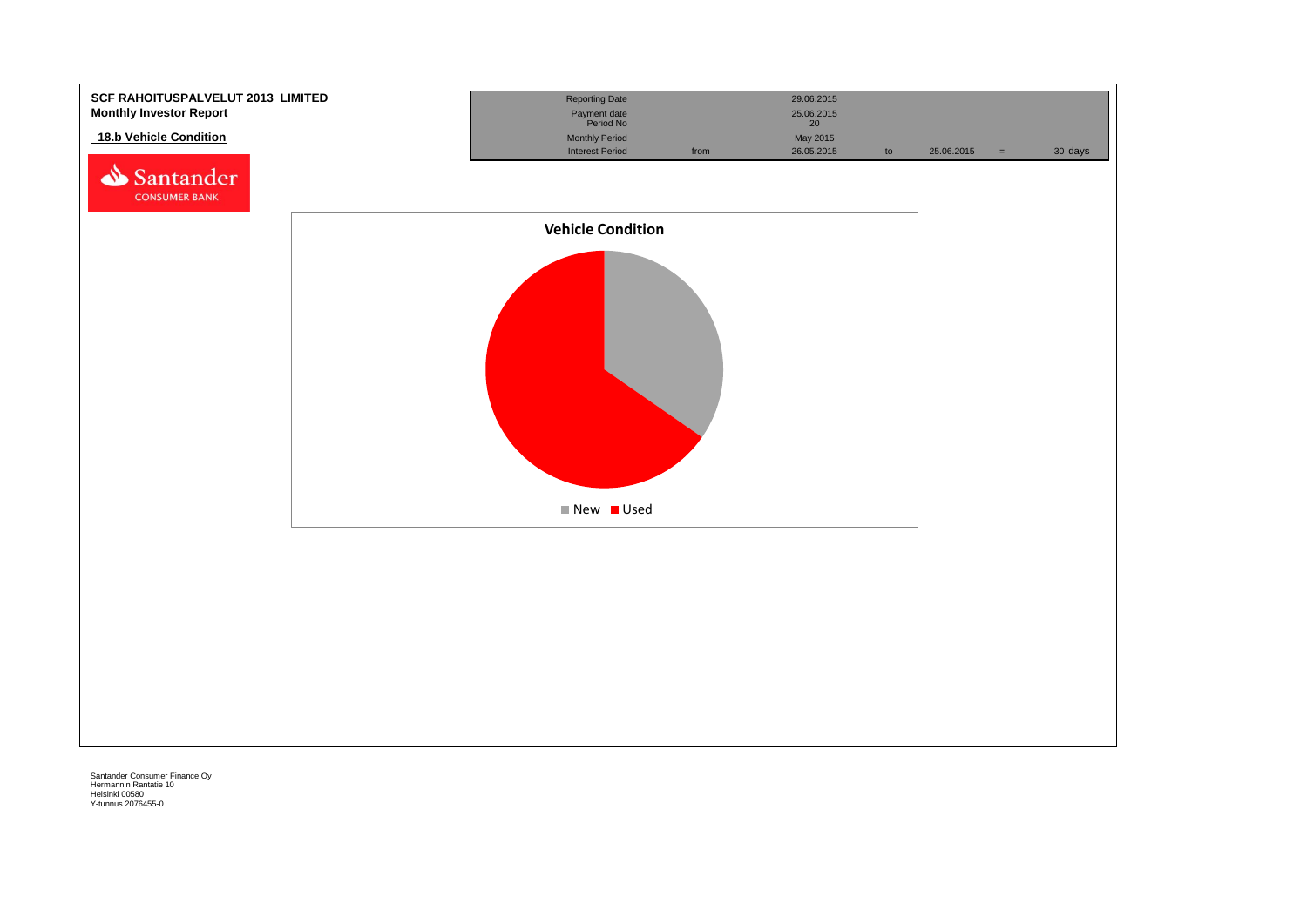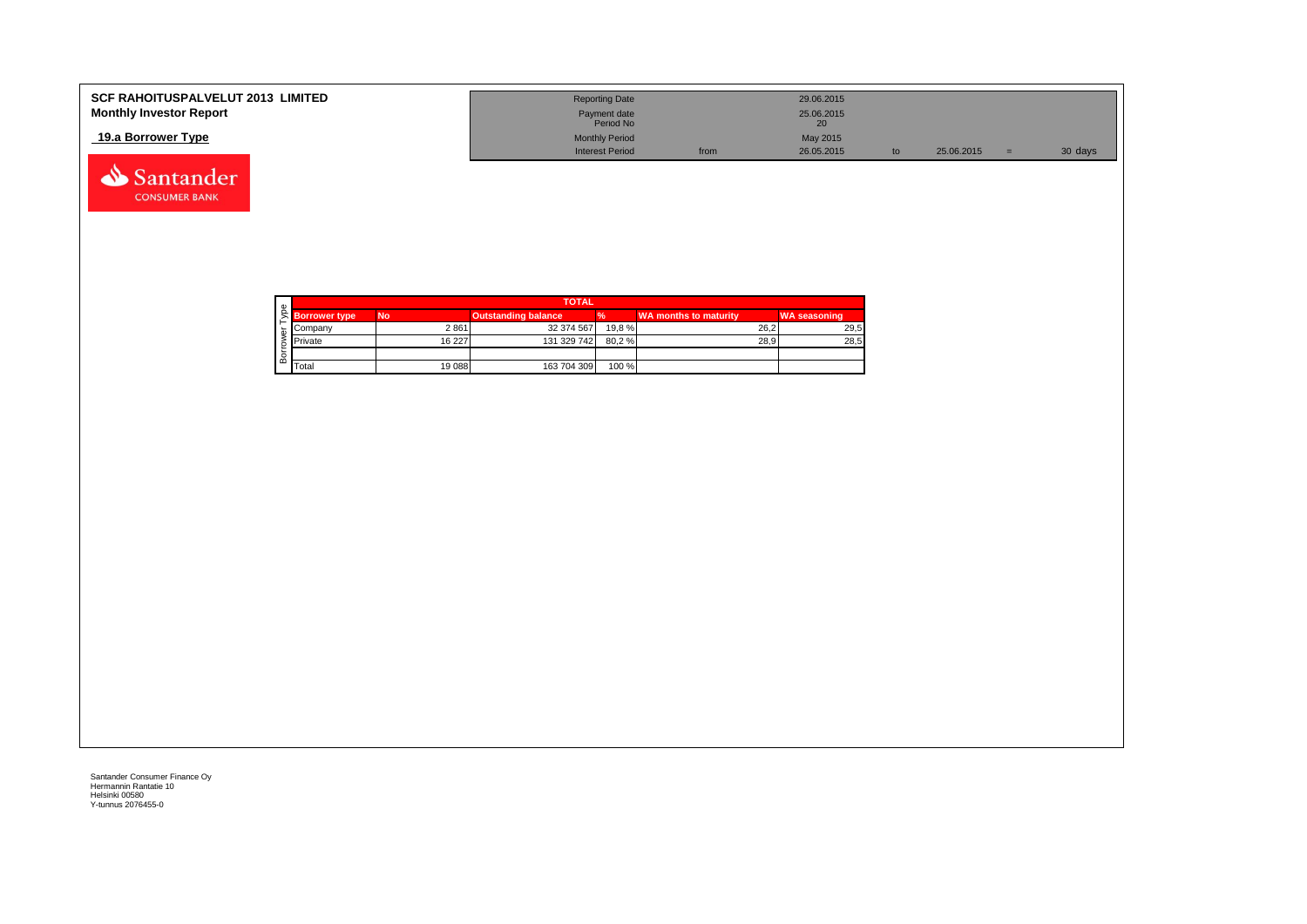| <b>SCF RAHOITUSPALVELUT 2013 LIMITED</b><br><b>Monthly Investor Report</b> | <b>Reporting Date</b><br>Payment date |      | 29.06.2015<br>25.06.2015 |            |         |
|----------------------------------------------------------------------------|---------------------------------------|------|--------------------------|------------|---------|
|                                                                            | Period No                             |      | 20                       |            |         |
| 19.a Borrower Type                                                         | <b>Monthly Period</b>                 |      | May 2015                 |            |         |
|                                                                            | <b>Interest Period</b>                | from | 26.05.2015               | 25.06.2015 | 30 days |

| Φ |                      |           | <b>TOTAL</b>               |        |                       |                     |
|---|----------------------|-----------|----------------------------|--------|-----------------------|---------------------|
|   | <b>Borrower type</b> | <b>No</b> | <b>Outstanding balance</b> |        | WA months to maturity | <b>WA seasoning</b> |
|   | Company              | 2861      | 32 374 567                 | 19.8 % | 26.2                  | 29,5                |
|   | <b>Private</b>       | 16 227    | 131 329 742                | 80,2%  | 28.9                  | 28,5                |
|   |                      |           |                            |        |                       |                     |
| മ | Total                | 19 088    | 163 704 309                | 100 %  |                       |                     |

Santander **CONSUMER BANK**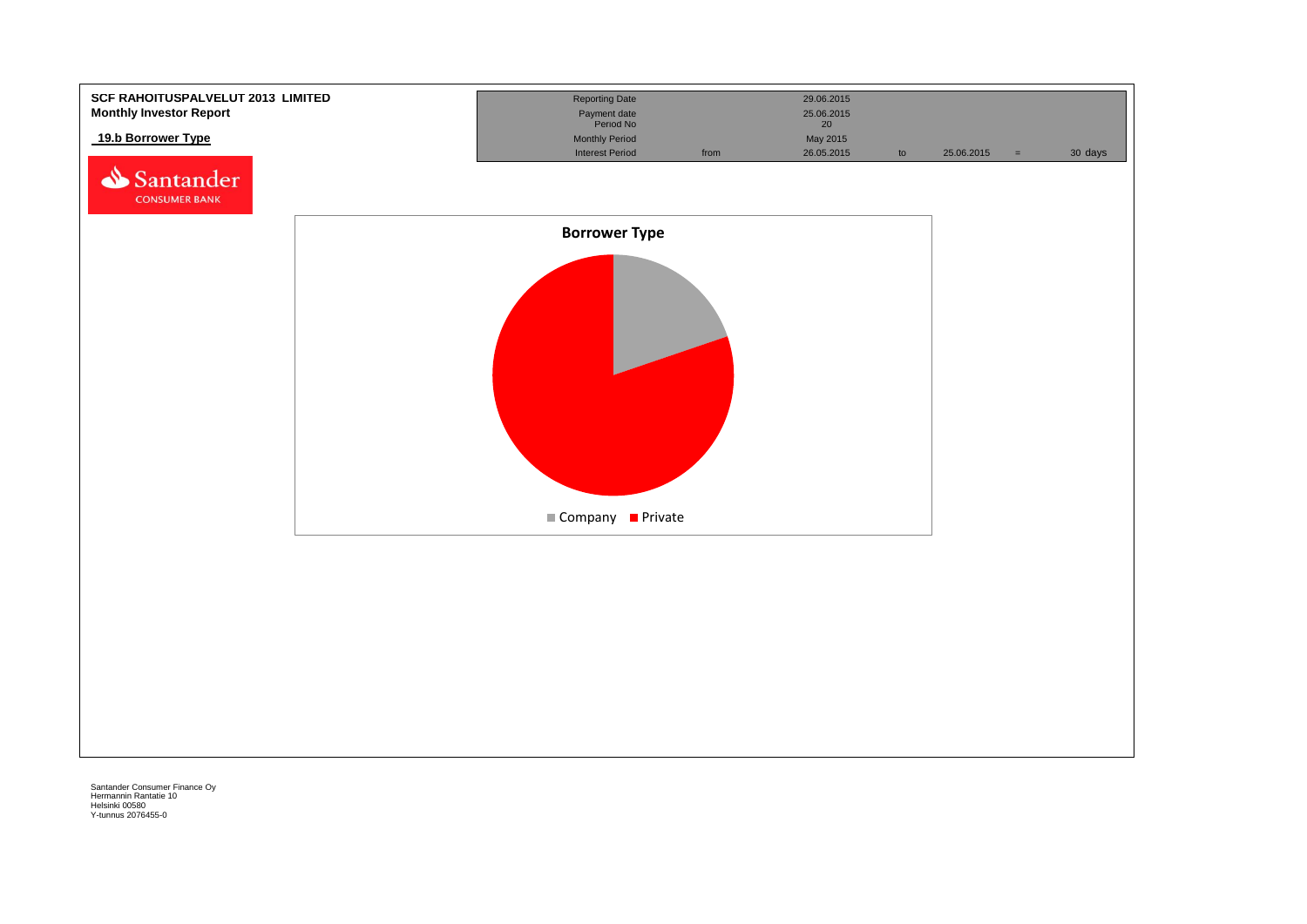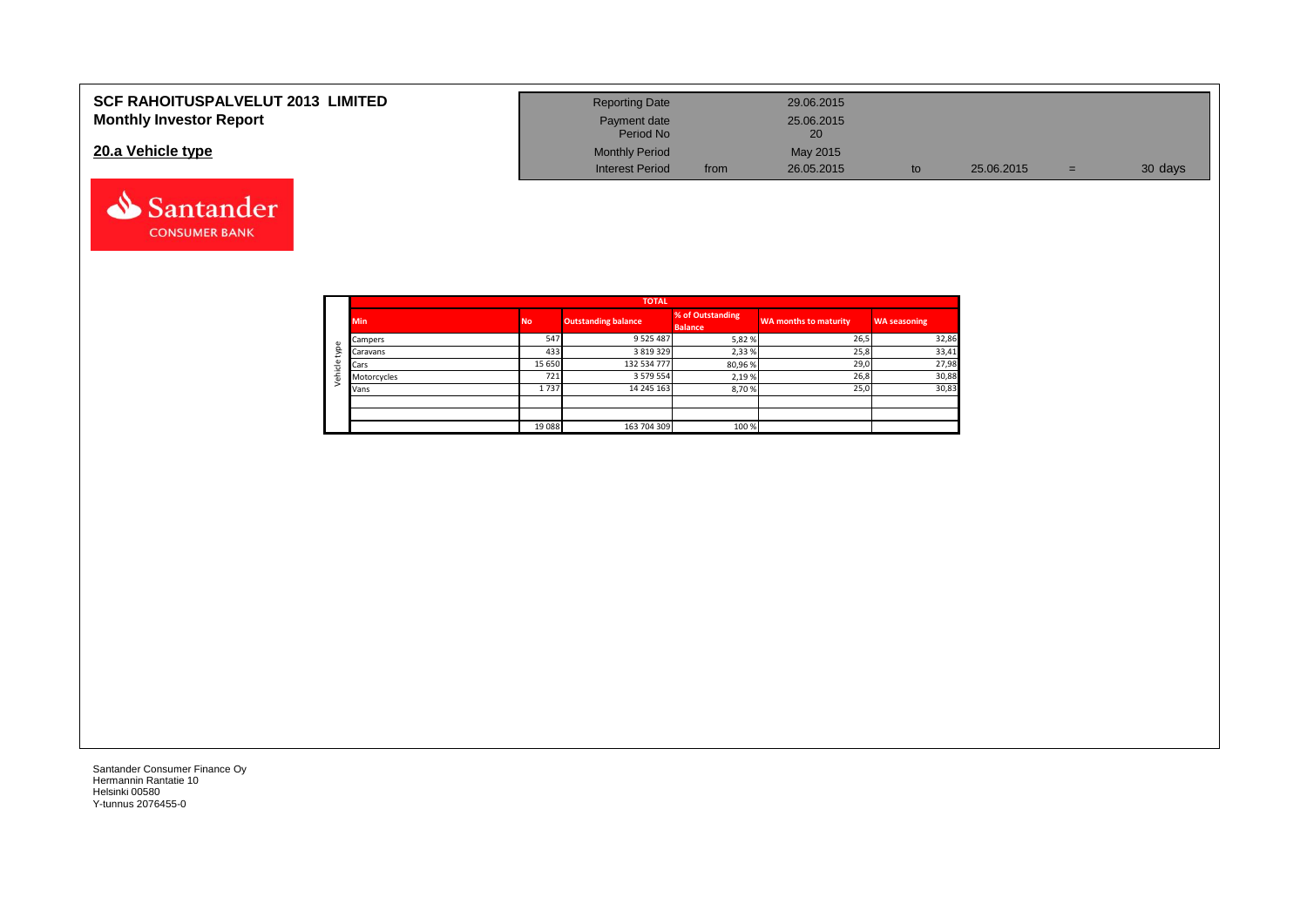| <b>SCF RAHOITUSPALVELUT 2013 LIMITED</b> | <b>Reporting Date</b>     |      | 29.06.2015       |            |     |         |
|------------------------------------------|---------------------------|------|------------------|------------|-----|---------|
| <b>Monthly Investor Report</b>           | Payment date<br>Period No |      | 25.06.2015<br>20 |            |     |         |
| 20.a Vehicle type                        | <b>Monthly Period</b>     |      | May 2015         |            |     |         |
|                                          | <b>Interest Period</b>    | from | 26.05.2015       | 25.06.2015 | $=$ | 30 days |



Santander **CONSUMER BANK**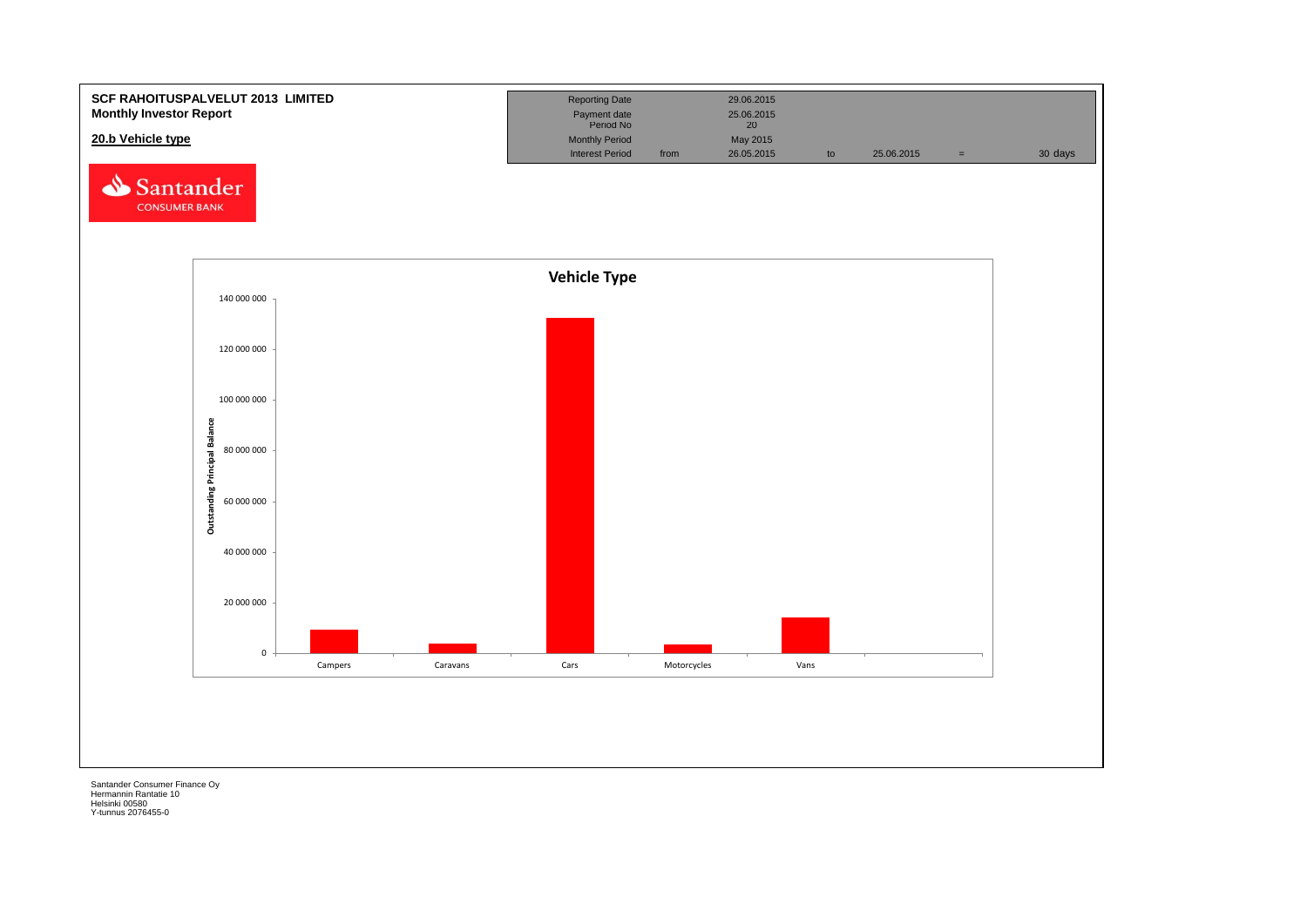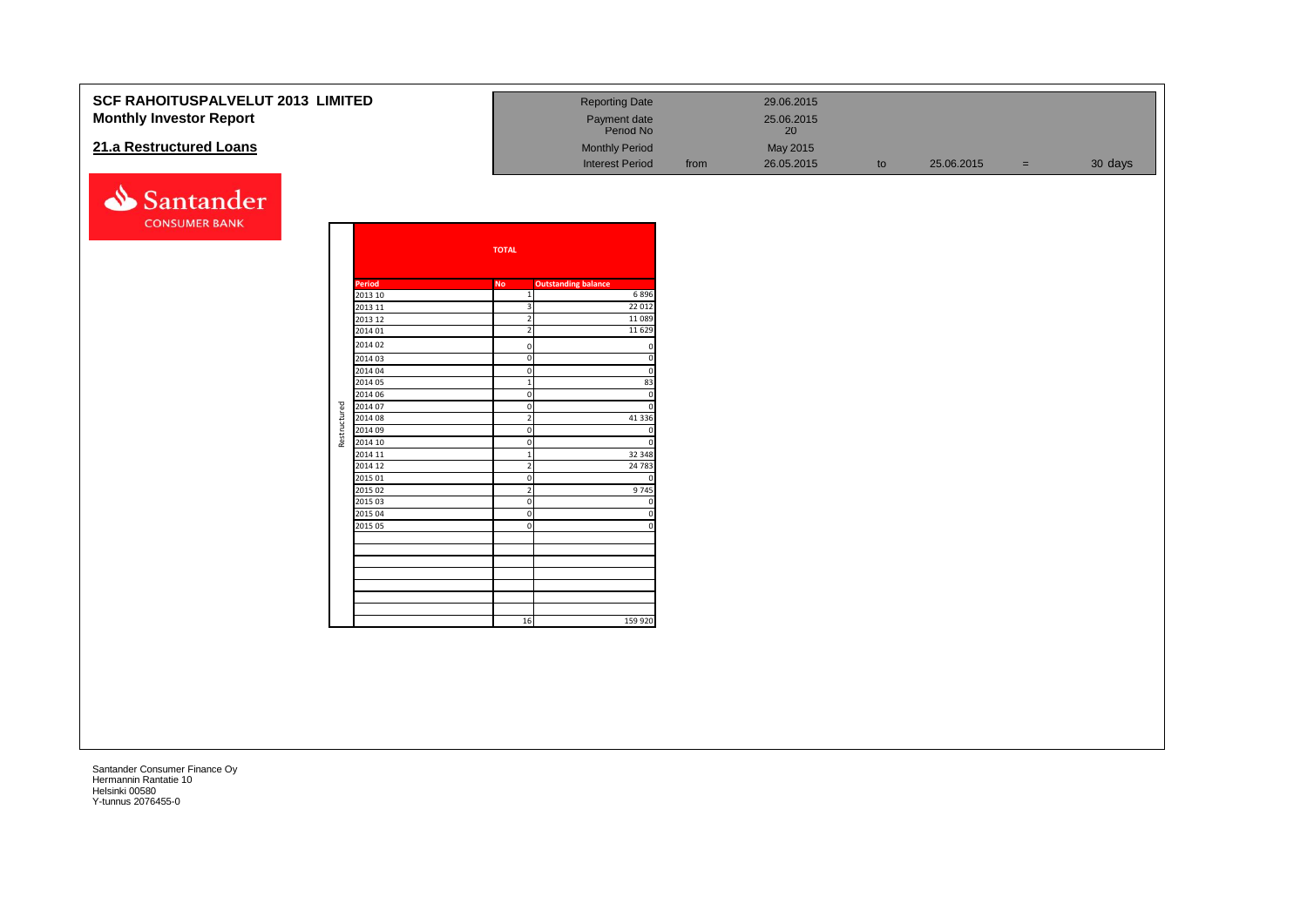### **SCF RAHOITUSPALVELUT 2013 LIMITED** Reporting Date 29.06.2015 **Monthly Investor Report Payment date** 25.06.2015 Payment date<br>Period No **21.a Restructured Loans** May 2015<br> **21.a Restructured Loans** May 2015<br>
Monthly Period from 26.05.2015 Interest Period from 26.05.2015 to 25.06.2015 = 30 days



|              |               | <b>TOTAL</b>            |                            |
|--------------|---------------|-------------------------|----------------------------|
|              | <b>Period</b> | <b>No</b>               | <b>Outstanding balance</b> |
|              | 2013 10       | $\mathbf{1}$            | 6896                       |
|              | 2013 11       | 3                       | 22 012                     |
|              | 2013 12       | $\overline{\mathbf{2}}$ | 11 089                     |
|              | 2014 01       | $\overline{2}$          | 11 629                     |
|              | 2014 02       | $\mathbf 0$             | 0                          |
|              | 2014 03       | $\mathbf 0$             | $\overline{0}$             |
|              | 2014 04       | $\mathbf 0$             | $\mathbf 0$                |
|              | 2014 05       | $\mathbf{1}$            | 83                         |
|              | 2014 06       | $\mathbf 0$             | $\mathbf 0$                |
|              | 2014 07       | $\mathbf 0$             | $\Omega$                   |
|              | 2014 08       | $\overline{2}$          | 41 3 36                    |
|              | 2014 09       | $\mathbf 0$             | $\mathbf 0$                |
| Restructured | 2014 10       | $\mathbf 0$             | $\Omega$                   |
|              | 2014 11       | $\overline{1}$          | 32 348                     |
|              | 2014 12       | $\overline{2}$          | 24 783                     |
|              | 2015 01       | $\overline{0}$          | 0                          |
|              | 2015 02       | $\overline{2}$          | 9745                       |
|              | 2015 03       | $\mathbf 0$             | $\mathbf 0$                |
|              | 2015 04       | $\mathbf 0$             | $\mathbf 0$                |
|              | 2015 05       | $\mathbf 0$             | $\mathbf 0$                |
|              |               |                         |                            |
|              |               |                         |                            |
|              |               |                         |                            |
|              |               |                         |                            |
|              |               |                         |                            |
|              |               |                         |                            |
|              |               | 16                      | 159 920                    |
|              |               |                         |                            |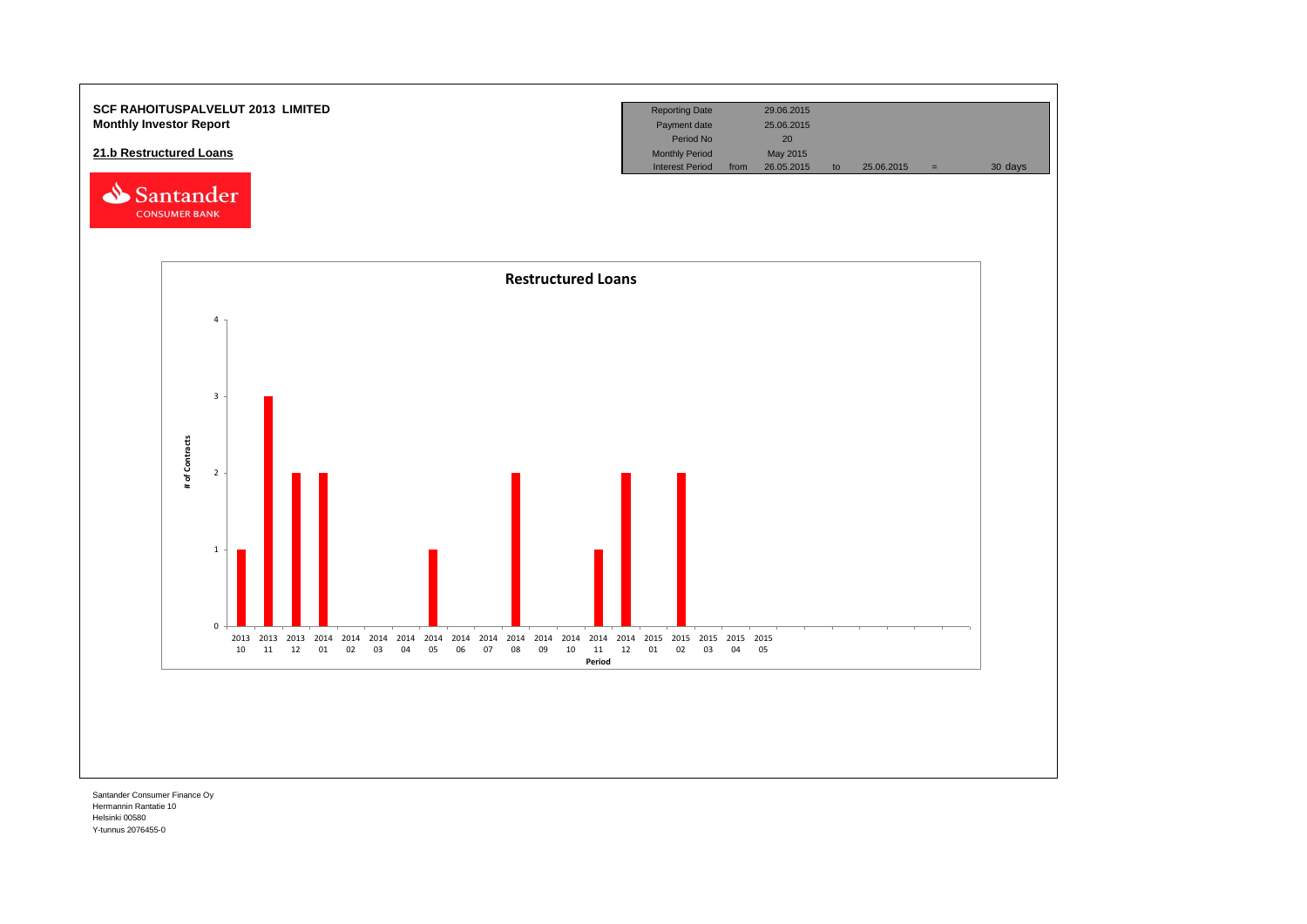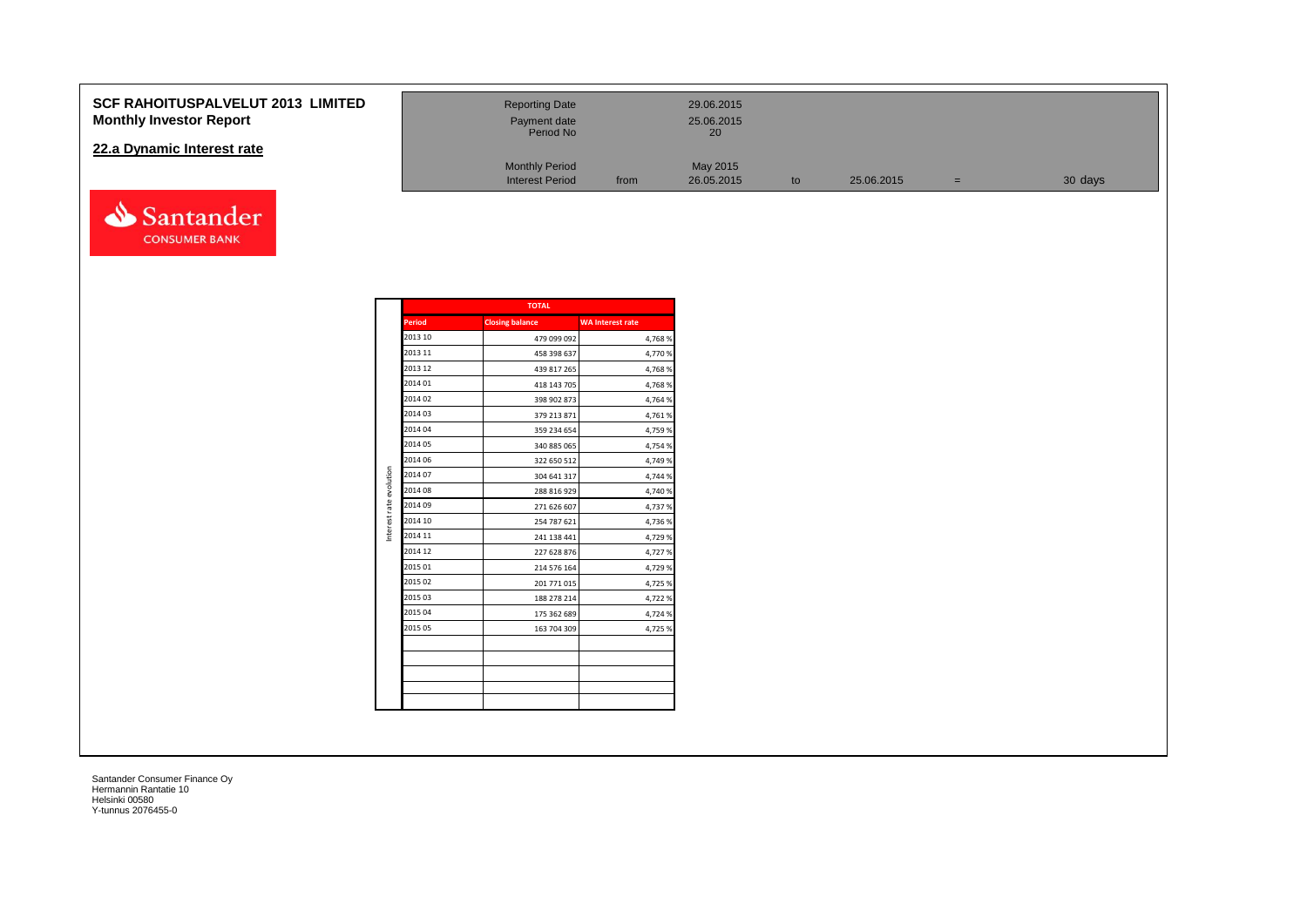### **SCF RAHOITUSPALVELUT 2013 LI Monthly Investor Report**

### **22.a Dynamic Interest rate**



| <b>Reporting Date</b><br>Payment date<br>Period No |      | 29.06.2015<br>25.06.2015<br>20 |    |            |     |         |
|----------------------------------------------------|------|--------------------------------|----|------------|-----|---------|
| <b>Monthly Period</b><br><b>Interest Period</b>    | from | May 2015<br>26.05.2015         | to | 25.06.2015 | $=$ | 30 days |

|                         |               | <b>TOTAL</b>           |                         |
|-------------------------|---------------|------------------------|-------------------------|
|                         | <b>Period</b> | <b>Closing balance</b> | <b>WA Interest rate</b> |
|                         | 2013 10       | 479 099 092            | 4,768%                  |
|                         | 2013 11       | 458 398 637            | 4,770%                  |
|                         | 2013 12       | 439 817 265            | 4,768%                  |
|                         | 2014 01       | 418 143 705            | 4,768%                  |
|                         | 2014 02       | 398 902 873            | 4,764 %                 |
|                         | 2014 03       | 379 213 871            | 4,761%                  |
|                         | 2014 04       | 359 234 654            | 4,759 %                 |
|                         | 2014 05       | 340 885 065            | 4,754 %                 |
|                         | 2014 06       | 322 650 512            | 4,749 %                 |
| Interest rate evolution | 2014 07       | 304 641 317            | 4,744 %                 |
|                         | 2014 08       | 288 816 929            | 4,740 %                 |
|                         | 2014 09       | 271 626 607            | 4,737 %                 |
|                         | 2014 10       | 254 787 621            | 4,736 %                 |
|                         | 2014 11       | 241 138 441            | 4,729 %                 |
|                         | 2014 12       | 227 628 876            | 4,727%                  |
|                         | 2015 01       | 214 576 164            | 4,729 %                 |
|                         | 2015 02       | 201 771 015            | 4,725 %                 |
|                         | 2015 03       | 188 278 214            | 4,722 %                 |
|                         | 2015 04       | 175 362 689            | 4,724 %                 |
|                         | 2015 05       | 163 704 309            | 4,725 %                 |
|                         |               |                        |                         |
|                         |               |                        |                         |
|                         |               |                        |                         |
|                         |               |                        |                         |
|                         |               |                        |                         |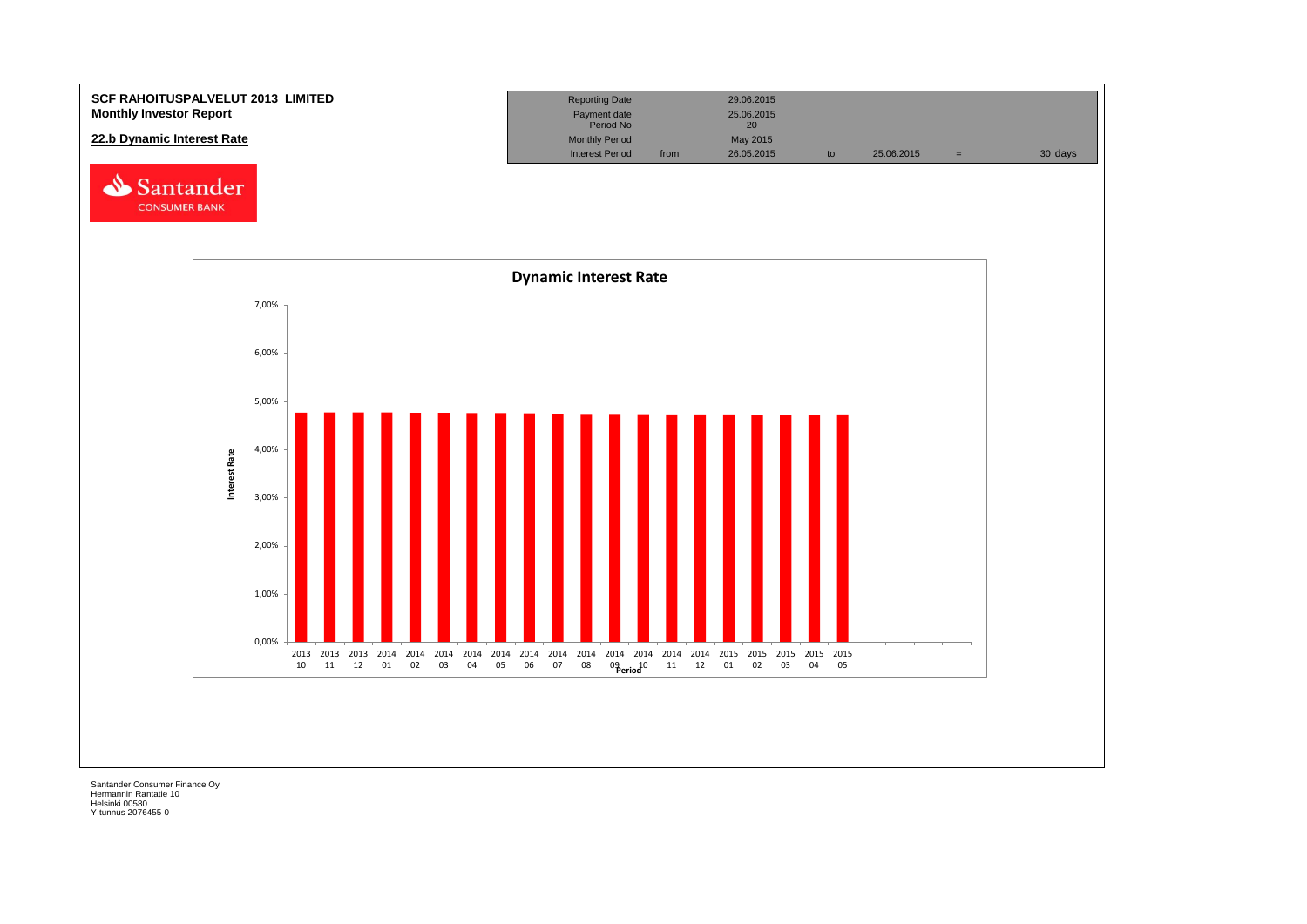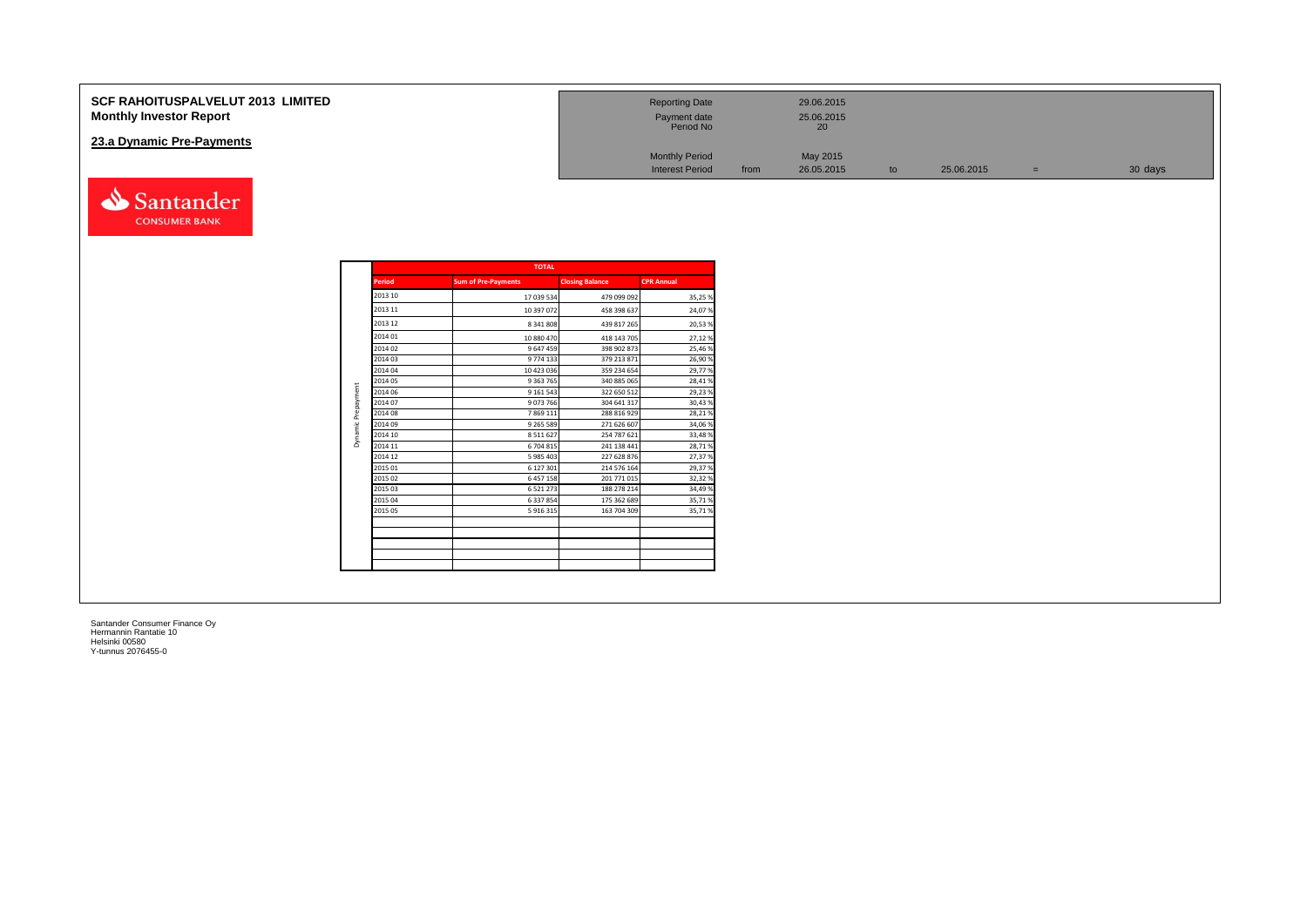| <b>SCF RAHOITUSPALVELUT 2013 LIMITED</b><br><b>Monthly Investor Report</b> | <b>Reporting Date</b><br>Payment date<br>Period No |      | 29.06.2015<br>25.06.2015<br>20 |    |            |     |         |
|----------------------------------------------------------------------------|----------------------------------------------------|------|--------------------------------|----|------------|-----|---------|
| 23.a Dynamic Pre-Payments                                                  |                                                    |      |                                |    |            |     |         |
|                                                                            | <b>Monthly Period</b>                              |      | May 2015                       |    |            |     |         |
|                                                                            | <b>Interest Period</b>                             | from | 26.05.2015                     | to | 25.06.2015 | $=$ | 30 days |

|               | <b>TOTAL</b>               |                        |                   |  |  |  |  |  |
|---------------|----------------------------|------------------------|-------------------|--|--|--|--|--|
| <b>Period</b> | <b>Sum of Pre-Payments</b> | <b>Closing Balance</b> | <b>CPR Annual</b> |  |  |  |  |  |
| 2013 10       | 17 039 534                 | 479 099 092            | 35,25%            |  |  |  |  |  |
| 2013 11       | 10 397 072                 | 458 398 637            | 24,07%            |  |  |  |  |  |
| 2013 12       | 8 341 808                  | 439 817 265            | 20,53%            |  |  |  |  |  |
| 2014 01       | 10 880 470                 | 418 143 705            | 27,12%            |  |  |  |  |  |
| 2014 02       | 9 647 459                  | 398 902 873            | 25,46%            |  |  |  |  |  |
| 2014 03       | 9774133                    | 379 213 871            | 26,90%            |  |  |  |  |  |
| 2014 04       | 10 423 036                 | 359 234 654            | 29,77%            |  |  |  |  |  |
| 2014 05       | 9 3 63 7 65                | 340 885 065            | 28,41%            |  |  |  |  |  |
| 2014 06       | 9 161 543                  | 322 650 512            | 29,23%            |  |  |  |  |  |
| 2014 07       | 9073766                    | 304 641 317            | 30,43%            |  |  |  |  |  |
| 2014 08       | 7869111                    | 288 816 929            | 28,21%            |  |  |  |  |  |
| 2014 09       | 9 2 6 5 5 8 9              | 271 626 607            | 34,06%            |  |  |  |  |  |
| 2014 10       | 8511627                    | 254 787 621            | 33,48%            |  |  |  |  |  |
| 2014 11       | 6 704 815                  | 241 138 441            | 28,71%            |  |  |  |  |  |
| 2014 12       | 5 985 403                  | 227 628 876            | 27,37%            |  |  |  |  |  |
| 2015 01       | 6 127 301                  | 214 576 164            | 29,37%            |  |  |  |  |  |
| 2015 02       | 6 457 158                  | 201 771 015            | 32,32%            |  |  |  |  |  |
| 2015 03       | 6 5 2 1 2 7 3              | 188 278 214            | 34,49%            |  |  |  |  |  |
| 2015 04       | 6 337 854                  | 175 362 689            | 35,71%            |  |  |  |  |  |
| 2015 05       | 5 916 315                  | 163 704 309            | 35,71%            |  |  |  |  |  |
|               |                            |                        |                   |  |  |  |  |  |
|               |                            |                        |                   |  |  |  |  |  |
|               |                            |                        |                   |  |  |  |  |  |
|               |                            |                        |                   |  |  |  |  |  |
|               |                            |                        |                   |  |  |  |  |  |

Santander **CONSUMER BANK**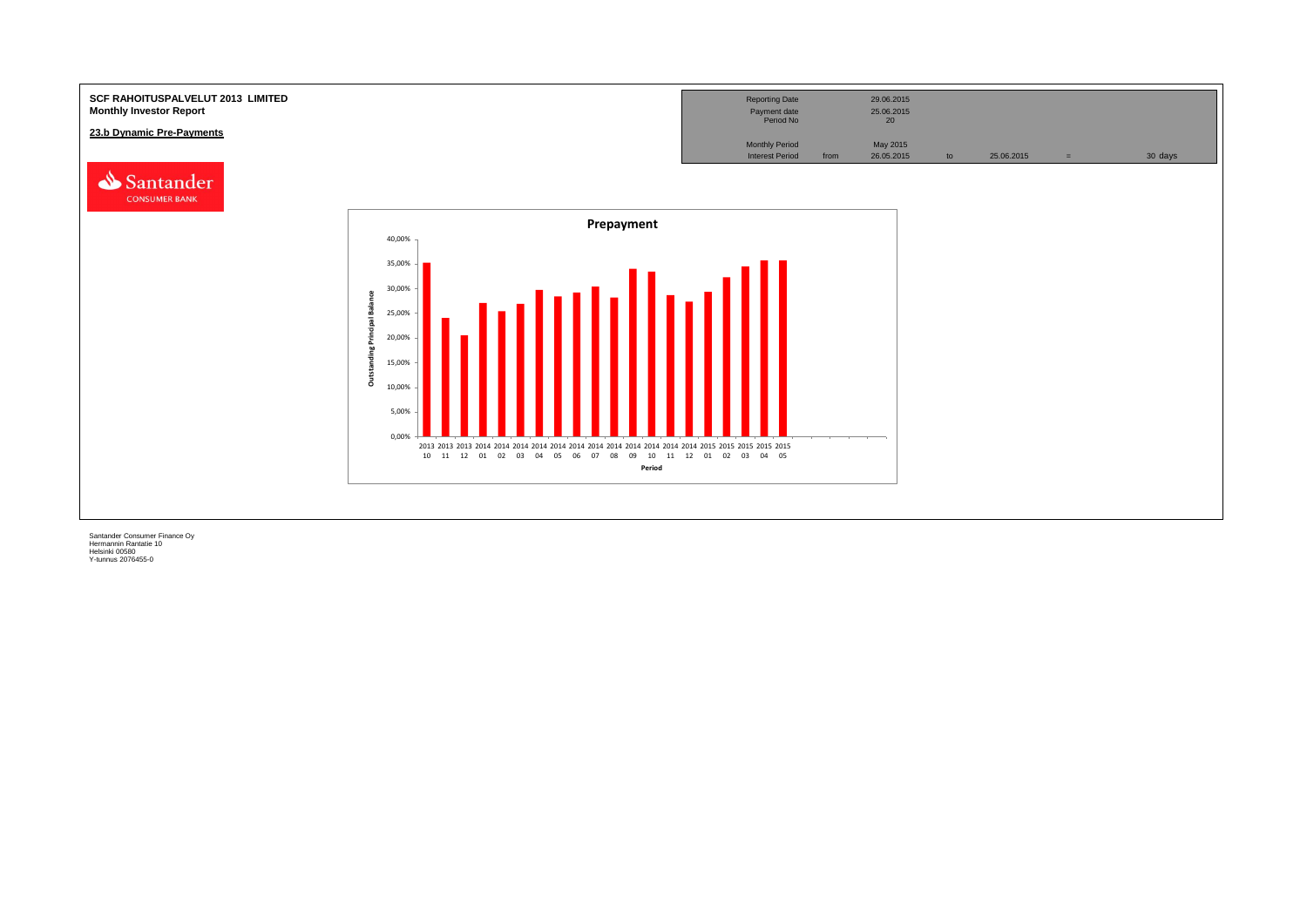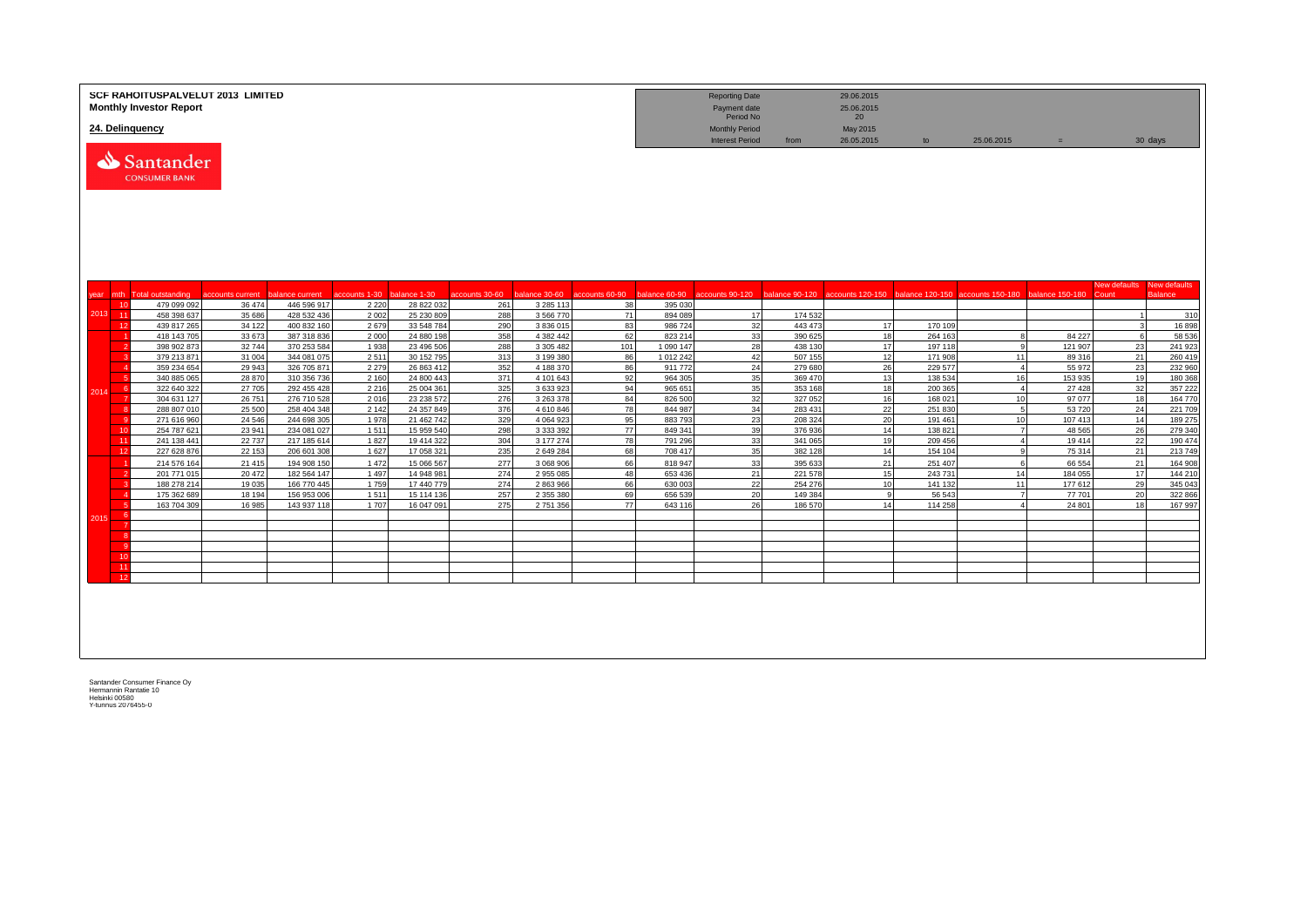|      |          | <b>Monthly Investor Report</b><br>24. Delinquency | <b>SCF RAHOITUSPALVELUT 2013 LIMITED</b> |                            |                 |                          |                |                            |           |                        | <b>Reporting Date</b><br>Payment date<br>Period No<br><b>Monthly Period</b> |                    | 29.06.2015<br>25.06.2015<br>20<br>May 2015 |                    |                                                                                                                                                   |                   |                     |                                |
|------|----------|---------------------------------------------------|------------------------------------------|----------------------------|-----------------|--------------------------|----------------|----------------------------|-----------|------------------------|-----------------------------------------------------------------------------|--------------------|--------------------------------------------|--------------------|---------------------------------------------------------------------------------------------------------------------------------------------------|-------------------|---------------------|--------------------------------|
|      |          | Santander<br><b>CONSUMER BANK</b>                 |                                          |                            |                 |                          |                |                            |           |                        | <b>Interest Period</b>                                                      | from               | 26.05.2015                                 | to                 | 25.06.2015                                                                                                                                        | $=$               |                     | 30 days                        |
| year |          | mth Total outstanding                             | accounts current                         | balance current            | accounts 1-30   | balance 1-30             | accounts 30-60 |                            |           |                        |                                                                             |                    |                                            |                    | balance 30-60 accounts 60-90 balance 60-90 accounts 90-120 balance 90-120 accounts 120-150 balance 120-150 accounts 150-180 balance 150-180 Count |                   | <b>New defaults</b> | New defaults<br><b>Balance</b> |
|      | 10       | 479 099 092                                       | 36 474                                   | 446 596 917                | 2 2 2 0         | 28 822 032               | 261            | 3 2 8 5 1 1 3              | 38        | 395 030                |                                                                             |                    |                                            |                    |                                                                                                                                                   |                   |                     |                                |
| 2013 | $-11$    | 458 398 637                                       | 35 686                                   | 428 532 436                | 2 0 0 2         | 25 230 809               | 288            | 3 5 6 7 7 0                | 71        | 894 089                | 17                                                                          | 174 532            |                                            |                    |                                                                                                                                                   |                   | $\overline{1}$      | 310                            |
|      | 12       | 439 817 265                                       | 34 122                                   | 400 832 160                | 2679            | 33 548 784               | 290            | 3 836 015                  | 83        | 986724                 | 32                                                                          | 443 473            | 17                                         | 170 109            |                                                                                                                                                   |                   | 3                   | 16898                          |
|      |          | 418 143 705                                       | 33 673                                   | 387 318 836                | 2 0 0 0         | 24 880 198               | 358            | 4 3 8 2 4 4 2              | 62        | 823 214                | 33                                                                          | 390 625            | 18                                         | 264 163            | -8                                                                                                                                                | 84 227            | 6                   | 58 536                         |
|      |          | 398 902 873<br>379 213 871                        | 32744<br>31 004                          | 370 253 584<br>344 081 075 | 1 9 3 8<br>2511 | 23 496 506<br>30 152 795 | 288<br>313     | 3 305 482<br>3 199 38      | 101<br>86 | 1 090 147<br>1 012 242 | 28<br>42                                                                    | 438 130<br>507 155 | 17<br>12                                   | 197 118<br>171 908 | <b>q</b><br>11                                                                                                                                    | 121 907<br>89 316 | 23<br>21            | 241 923<br>260 419             |
|      |          | 359 234 654                                       | 29 943                                   | 326 705 871                | 2 2 7 9         | 26 863 41                | 352            | 4 188 370                  | 86        | 911 772                | 24                                                                          | 279 680            | 26                                         | 229 577            | $\overline{4}$                                                                                                                                    | 55 972            | 23                  | 232 960                        |
|      |          | 340 885 065                                       | 28 870                                   | 310 356 736                | 2 1 6 0         | 24 800 44                | 371            | 4 101 643                  | 92        | 964 305                | 35                                                                          | 369 470            | 13                                         | 138 53             | 16                                                                                                                                                | 153 935           | 19                  | 180 368                        |
| 2014 | -6       | 322 640 322                                       | 27 705                                   | 292 455 428                | 2 2 1 6         | 25 004 361               | 325            | 3 633 923                  | 94        | 965 651                | 35                                                                          | 353 168            | 18                                         | 200 365            | $\overline{4}$                                                                                                                                    | 27 4 28           | 32                  | 357 222                        |
|      |          | 304 631 127                                       | 26 751                                   | 276 710 528                | 2016            | 23 238 572               | 276            | 3 263 378                  | 84        | 826 500                | 32                                                                          | 327 052            | 16                                         | 168 021            | 10                                                                                                                                                | 97 077            | 18                  | 164 770                        |
|      |          | 288 807 010                                       | 25 500                                   | 258 404 348                | 2 1 4 2         | 24 357 849               | 376            | 4610846                    | 78        | 844 987                | 34                                                                          | 283 431            | 22                                         | 251 830            | 5                                                                                                                                                 | 53720             | 24                  | 221 709                        |
|      |          | 271 616 960                                       | 24 5 46                                  | 244 698 305                | 1978            | 21 462 742               | 329            | 4 0 6 4 9 2 3              | 95        | 883793                 | 23                                                                          | 208 324            | 20                                         | 191 461            | 10                                                                                                                                                | 107 413           | 14                  | 189 275                        |
|      | 10<br>11 | 254 787 621<br>241 138 441                        | 23 941<br>22 7 37                        | 234 081 027<br>217 185 614 | 1511<br>1827    | 15 959 540<br>19 414 322 | 298<br>304     | 3 3 3 3 3 9 2<br>3 177 274 | 77<br>78  | 849 341<br>791 296     | 39<br>33                                                                    | 376936<br>341 065  | 14<br>19                                   | 138 821<br>209 456 | $\overline{7}$<br>$\overline{4}$                                                                                                                  | 48 5 65<br>19414  | 26<br>22            | 279 340<br>190 474             |
|      | 12       | 227 628 876                                       | 22 153                                   | 206 601 308                | 1 6 2 7         | 17 058 321               | 235            | 2 649 284                  | 68        | 708 417                | 35                                                                          | 382 128            | 14                                         | 154 104            | 9                                                                                                                                                 | 75 314            | 21                  | 213 749                        |
|      |          | 214 576 164                                       | 21 4 15                                  | 194 908 150                | 1 4 7 2         | 15 066 56                | 277            | 3 068 906                  | 66        | 818 947                | 33                                                                          | 395 633            | 21                                         | 251 407            | -6                                                                                                                                                | 66 554            | 21                  | 164 908                        |
|      |          | 201 771 015                                       | 20 472                                   | 182 564 147                | 1 4 9 7         | 14 948 98                | 274            | 2 955 085                  | 48        | 653 436                | 21                                                                          | 221 578            | 15                                         | 243731             | 14                                                                                                                                                | 184 055           | 17                  | 144 210                        |
|      |          | 188 278 214                                       | 19 0 35                                  | 166 770 445                | 1759            | 17 440 779               | 274            | 2 863 966                  | 66        | 630 003                | 22                                                                          | 254 276            | 10                                         | 141 132            | 11                                                                                                                                                | 177612            | 29                  | 345 043                        |
|      |          | 175 362 689                                       | 18 194                                   | 156 953 006                | 1511            | 15 114 136               | 257            | 2 355 380                  | 69        | 656 539                | 20                                                                          | 149 384            |                                            | 56 543             | $\overline{7}$                                                                                                                                    | 77701             | 20                  | 322 866                        |
|      |          | 163 704 309                                       | 16 985                                   | 143 937 118                | 1707            | 16 047 091               | 275            | 2 751 356                  | 77        | 643 116                | 26                                                                          | 186 570            | 14                                         | 114 258            | $\mathbf{A}$                                                                                                                                      | 24 801            | 18                  | 167 997                        |
| 2015 |          |                                                   |                                          |                            |                 |                          |                |                            |           |                        |                                                                             |                    |                                            |                    |                                                                                                                                                   |                   |                     |                                |
|      |          |                                                   |                                          |                            |                 |                          |                |                            |           |                        |                                                                             |                    |                                            |                    |                                                                                                                                                   |                   |                     |                                |
|      |          |                                                   |                                          |                            |                 |                          |                |                            |           |                        |                                                                             |                    |                                            |                    |                                                                                                                                                   |                   |                     |                                |
|      | 10       |                                                   |                                          |                            |                 |                          |                |                            |           |                        |                                                                             |                    |                                            |                    |                                                                                                                                                   |                   |                     |                                |
|      | 11       |                                                   |                                          |                            |                 |                          |                |                            |           |                        |                                                                             |                    |                                            |                    |                                                                                                                                                   |                   |                     |                                |
|      | 12       |                                                   |                                          |                            |                 |                          |                |                            |           |                        |                                                                             |                    |                                            |                    |                                                                                                                                                   |                   |                     |                                |
|      |          |                                                   |                                          |                            |                 |                          |                |                            |           |                        |                                                                             |                    |                                            |                    |                                                                                                                                                   |                   |                     |                                |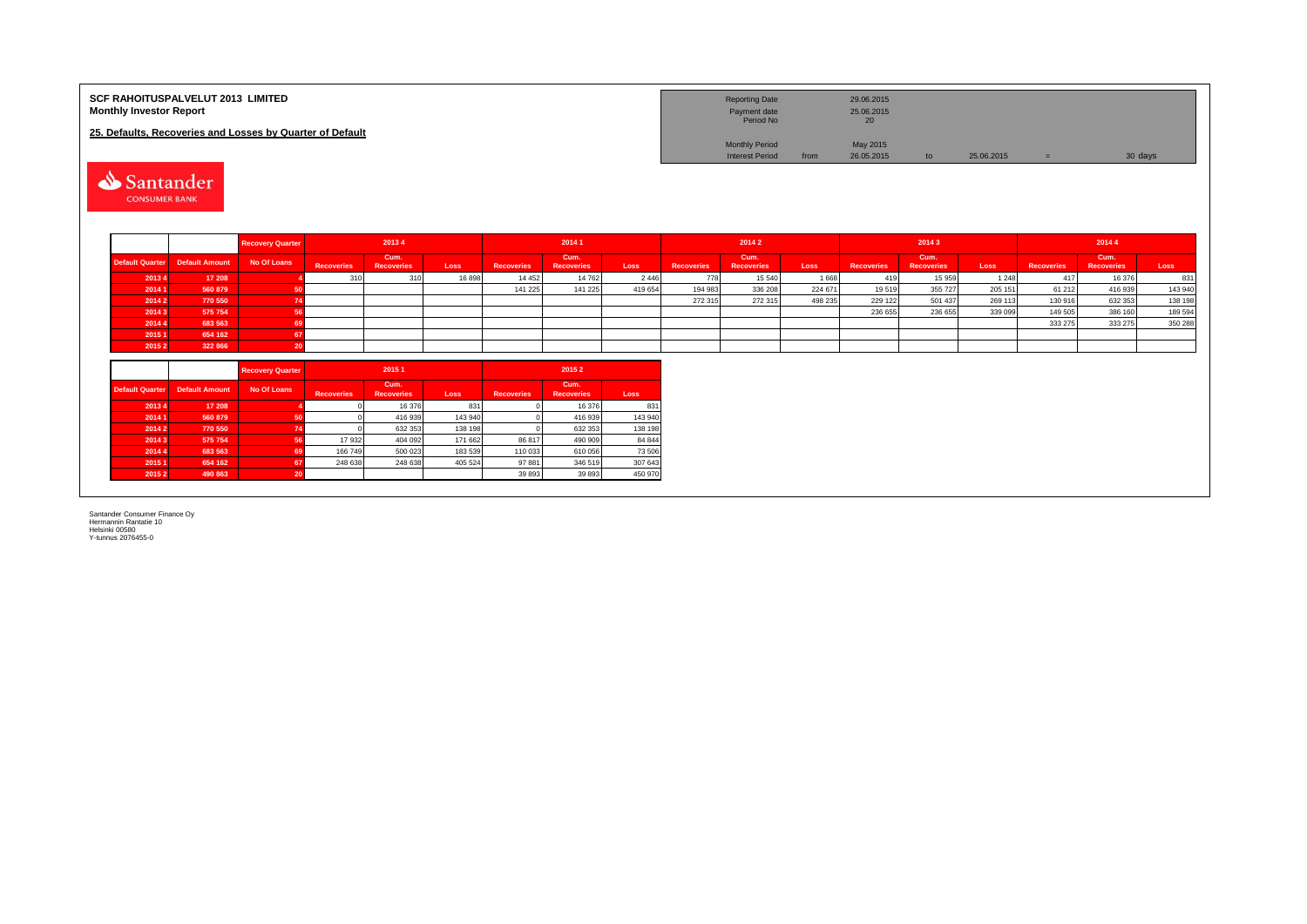| <b>SCF RAHOITUSPALVELUT 2013 LIMITED</b><br><b>Monthly Investor Report</b> |                       |                         |                    |                           |                    |                   |                           |                   |                   | <b>Reporting Date</b><br>Payment date<br>Period No |         | 29.06.2015<br>25.06.2015<br>20 |                           |            |                    |                           |                    |
|----------------------------------------------------------------------------|-----------------------|-------------------------|--------------------|---------------------------|--------------------|-------------------|---------------------------|-------------------|-------------------|----------------------------------------------------|---------|--------------------------------|---------------------------|------------|--------------------|---------------------------|--------------------|
| 25. Defaults, Recoveries and Losses by Quarter of Default                  |                       |                         |                    |                           |                    |                   |                           |                   |                   | <b>Monthly Period</b>                              |         | May 2015                       |                           |            |                    |                           |                    |
|                                                                            |                       |                         |                    |                           |                    |                   |                           |                   |                   | <b>Interest Period</b>                             | from    | 26.05.2015                     | to                        | 25.06.2015 | $=$                | 30 days                   |                    |
| Santander<br><b>CONSUMER BANK</b>                                          |                       |                         |                    |                           |                    |                   |                           |                   |                   |                                                    |         |                                |                           |            |                    |                           |                    |
|                                                                            |                       | <b>Recovery Quarter</b> | 2013 4<br>2014 1   |                           |                    |                   | 2014 2                    |                   |                   | 20143                                              |         | 2014 4                         |                           |            |                    |                           |                    |
| <b>Default Quarter</b>                                                     | <b>Default Amount</b> | No Of Loans             | <b>Recoveries</b>  | Cum.<br><b>Recoveries</b> | Loss               | <b>Recoveries</b> | Cum.<br><b>Recoveries</b> | Loss              | <b>Recoveries</b> | Cum.<br><b>Recoveries</b>                          | Loss    | <b>Recoveries</b>              | Cum.<br><b>Recoveries</b> | Loss       | <b>Recoveries</b>  | Cum.<br><b>Recoveries</b> | Loss               |
| 20134                                                                      | 17 208                |                         | 310                | 310                       | 16898              | 14 4 5 2          | 14 762                    | 2 4 4 6           | 778               | 15 540                                             | 1668    | 419                            | 15 959                    | 1 2 4 8    | 417                | 16 376                    | 831                |
| 2014 1                                                                     | 560 879               | -50                     |                    |                           |                    | 141 225           | 141 225                   | 419 654           | 194 983           | 336 208                                            | 224 671 | 19519                          | 355 727                   | 205 151    | 61 21 2            | 416 939                   | 143 940            |
| 2014 2                                                                     | 770 550               | -74                     |                    |                           |                    |                   |                           |                   | 272 315           | 272 315                                            | 498 235 | 229 122                        | 501 437                   | 269 113    | 130 916            | 632 353                   | 138 198            |
| 20143                                                                      | 575 754<br>683 563    | 56                      |                    |                           |                    |                   |                           |                   |                   |                                                    |         | 236 655                        | 236 655                   | 339 099    | 149 505<br>333 275 | 386 160<br>333 275        | 189 594<br>350 288 |
| 2014 4<br>20151                                                            | 654 162               | 69<br>67                |                    |                           |                    |                   |                           |                   |                   |                                                    |         |                                |                           |            |                    |                           |                    |
| 20152                                                                      | 322 866               | 20                      |                    |                           |                    |                   |                           |                   |                   |                                                    |         |                                |                           |            |                    |                           |                    |
|                                                                            |                       |                         |                    |                           |                    |                   |                           |                   |                   |                                                    |         |                                |                           |            |                    |                           |                    |
|                                                                            |                       | <b>Recovery Quarter</b> | 2015 1<br>20152    |                           |                    |                   |                           |                   |                   |                                                    |         |                                |                           |            |                    |                           |                    |
|                                                                            |                       |                         |                    |                           |                    |                   |                           |                   |                   |                                                    |         |                                |                           |            |                    |                           |                    |
| <b>Default Quarter</b>                                                     | <b>Default Amount</b> | No Of Loans             | <b>Recoveries</b>  | Cum.<br><b>Recoveries</b> | Loss               | <b>Recoveries</b> | Cum.<br><b>Recoveries</b> | Loss              |                   |                                                    |         |                                |                           |            |                    |                           |                    |
| 20134                                                                      | 17 208                |                         |                    | 16 376                    | 831                |                   | 16 376                    | 831               |                   |                                                    |         |                                |                           |            |                    |                           |                    |
| 2014 1                                                                     | 560 879               | 50                      |                    | 416 939                   | 143 940            |                   | 416 939                   | 143 940           |                   |                                                    |         |                                |                           |            |                    |                           |                    |
| 20142                                                                      | 770 550               | 74                      |                    | 632 353                   | 138 198            |                   | 632 353                   | 138 198           |                   |                                                    |         |                                |                           |            |                    |                           |                    |
| 20143                                                                      | 575 754               | 56                      | 17 932             | 404 092                   | 171 662            | 86 817            | 490 909                   | 84 844            |                   |                                                    |         |                                |                           |            |                    |                           |                    |
| 2014 4<br>2015 1                                                           | 683 563<br>654 162    | 69<br>67                | 166 749<br>248 638 | 500 023<br>248 638        | 183 539<br>405 524 | 110 033<br>97 881 | 610 056<br>346 519        | 73 506<br>307 643 |                   |                                                    |         |                                |                           |            |                    |                           |                    |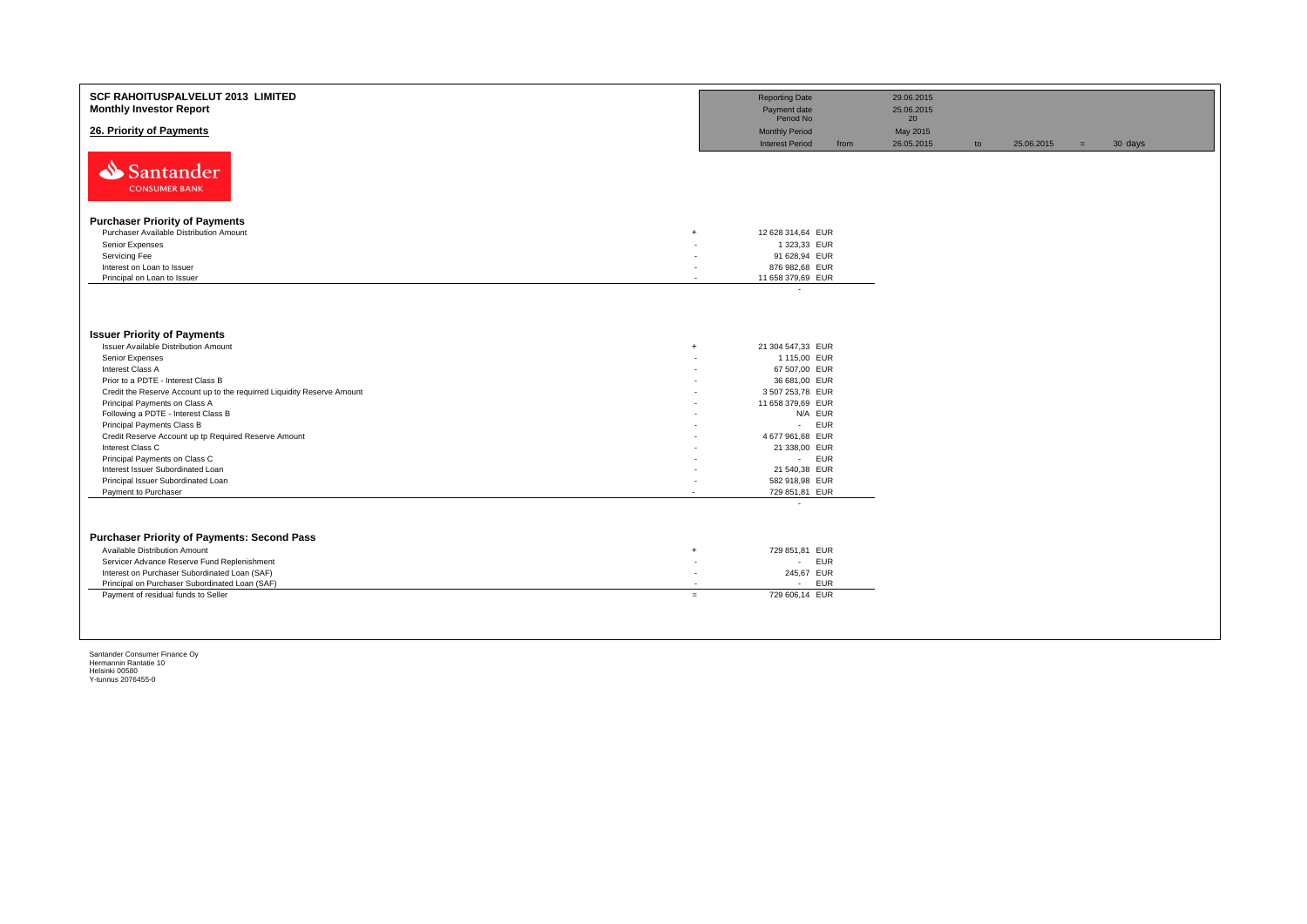| SCF RAHOITUSPALVELUT 2013 LIMITED<br><b>Monthly Investor Report</b>     | <b>Reporting Date</b><br>Payment date |                               | 29.06.2015<br>25.06.2015 |    |            |     |         |
|-------------------------------------------------------------------------|---------------------------------------|-------------------------------|--------------------------|----|------------|-----|---------|
| 26. Priority of Payments                                                | Period No<br><b>Monthly Period</b>    |                               | 20<br>May 2015           |    |            |     |         |
| Santander<br><b>CONSUMER BANK</b>                                       | <b>Interest Period</b>                | from                          | 26.05.2015               | to | 25.06.2015 | $=$ | 30 days |
|                                                                         |                                       |                               |                          |    |            |     |         |
| <b>Purchaser Priority of Payments</b>                                   |                                       |                               |                          |    |            |     |         |
| Purchaser Available Distribution Amount<br>$\ddot{}$                    | 12 628 314,64 EUR                     |                               |                          |    |            |     |         |
| Senior Expenses<br>Servicing Fee                                        | ٠                                     | 1 323,33 EUR<br>91 628,94 EUR |                          |    |            |     |         |
| Interest on Loan to Issuer                                              | 876 982,68 EUR<br>٠                   |                               |                          |    |            |     |         |
| Principal on Loan to Issuer                                             | 11 658 379,69 EUR<br>$\overline{a}$   |                               |                          |    |            |     |         |
|                                                                         | $\sim$                                |                               |                          |    |            |     |         |
| <b>Issuer Priority of Payments</b>                                      |                                       |                               |                          |    |            |     |         |
| Issuer Available Distribution Amount<br>$\ddot{}$                       | 21 304 547,33 EUR                     |                               |                          |    |            |     |         |
| Senior Expenses                                                         |                                       | 1 115,00 EUR                  |                          |    |            |     |         |
| Interest Class A                                                        |                                       | 67 507,00 EUR                 |                          |    |            |     |         |
| Prior to a PDTE - Interest Class B                                      |                                       | 36 681,00 EUR                 |                          |    |            |     |         |
| Credit the Reserve Account up to the requirred Liquidity Reserve Amount | 3 507 253,78 EUR                      |                               |                          |    |            |     |         |
| Principal Payments on Class A                                           | 11 658 379,69 EUR                     |                               |                          |    |            |     |         |
| Following a PDTE - Interest Class B<br>Principal Payments Class B       |                                       | N/A EUR<br>- EUR              |                          |    |            |     |         |
| Credit Reserve Account up tp Required Reserve Amount                    | 4 677 961,68 EUR                      |                               |                          |    |            |     |         |
| Interest Class C                                                        |                                       | 21 338,00 EUR                 |                          |    |            |     |         |
| Principal Payments on Class C                                           |                                       | - EUR                         |                          |    |            |     |         |
| Interest Issuer Subordinated Loan                                       |                                       | 21 540,38 EUR                 |                          |    |            |     |         |
| Principal Issuer Subordinated Loan                                      | 582 918,98 EUR                        |                               |                          |    |            |     |         |
| Payment to Purchaser<br>$\overline{\phantom{a}}$                        | 729 851,81 EUR                        |                               |                          |    |            |     |         |
|                                                                         | $\overline{\phantom{a}}$              |                               |                          |    |            |     |         |
| <b>Purchaser Priority of Payments: Second Pass</b>                      |                                       |                               |                          |    |            |     |         |
| Available Distribution Amount<br>$\ddot{}$                              | 729 851,81 EUR                        |                               |                          |    |            |     |         |
| Servicer Advance Reserve Fund Replenishment                             | ٠                                     | <b>EUR</b><br>$\sim 100$      |                          |    |            |     |         |
| Interest on Purchaser Subordinated Loan (SAF)                           | ٠                                     | 245,67 EUR                    |                          |    |            |     |         |
| Principal on Purchaser Subordinated Loan (SAF)                          |                                       | EUR<br>$\sim 100$             |                          |    |            |     |         |
| Payment of residual funds to Seller                                     | 729 606.14 EUR<br>$=$                 |                               |                          |    |            |     |         |
|                                                                         |                                       |                               |                          |    |            |     |         |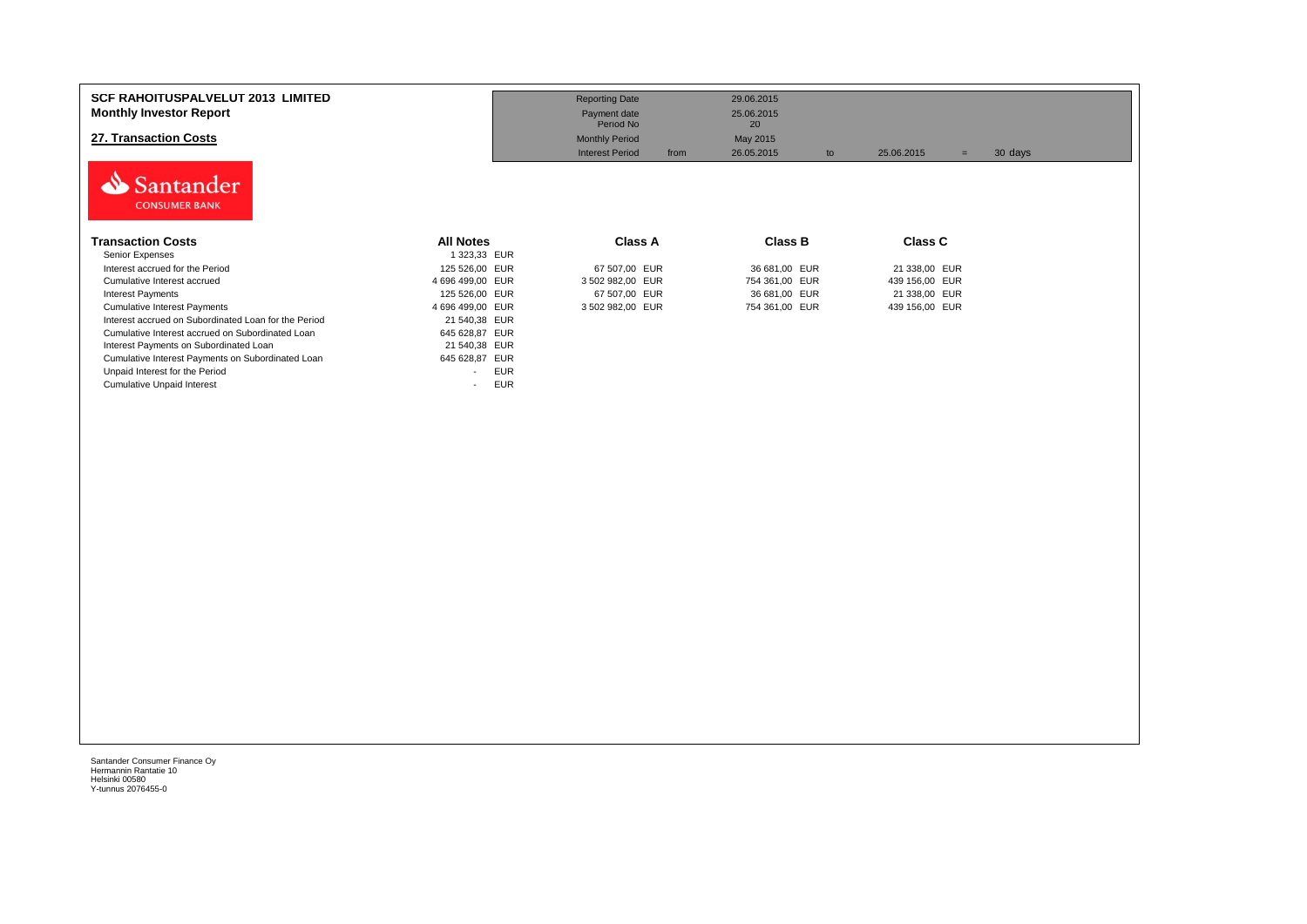| <b>SCF RAHOITUSPALVELUT 2013 LIMITED</b><br><b>Monthly Investor Report</b><br>27. Transaction Costs<br>Santander<br><b>CONSUMER BANK</b> |                                        | <b>Reporting Date</b><br>Payment date<br>Period No<br><b>Monthly Period</b><br><b>Interest Period</b><br>from | 29.06.2015<br>25.06.2015<br>20<br>May 2015<br>26.05.2015<br>to | 25.06.2015<br>$=$ | 30 days |
|------------------------------------------------------------------------------------------------------------------------------------------|----------------------------------------|---------------------------------------------------------------------------------------------------------------|----------------------------------------------------------------|-------------------|---------|
| <b>Transaction Costs</b>                                                                                                                 | <b>All Notes</b>                       | <b>Class A</b>                                                                                                | <b>Class B</b>                                                 | <b>Class C</b>    |         |
| Senior Expenses                                                                                                                          | 1 323,33 EUR                           |                                                                                                               |                                                                |                   |         |
| Interest accrued for the Period                                                                                                          | 125 526,00 EUR                         | 67 507,00 EUR                                                                                                 | 36 681,00 EUR                                                  | 21 338,00 EUR     |         |
| Cumulative Interest accrued                                                                                                              | 4 696 499,00 EUR                       | 3 502 982,00 EUR                                                                                              | 754 361,00 EUR                                                 | 439 156,00 EUR    |         |
| <b>Interest Payments</b>                                                                                                                 | 125 526,00 EUR                         | 67 507,00 EUR                                                                                                 | 36 681,00 EUR                                                  | 21 338,00 EUR     |         |
| <b>Cumulative Interest Payments</b>                                                                                                      | 4 696 499,00 EUR                       | 3 502 982,00 EUR                                                                                              | 754 361,00 EUR                                                 | 439 156,00 EUR    |         |
| Interest accrued on Subordinated Loan for the Period                                                                                     | 21 540,38 EUR                          |                                                                                                               |                                                                |                   |         |
| Cumulative Interest accrued on Subordinated Loan                                                                                         | 645 628,87 EUR                         |                                                                                                               |                                                                |                   |         |
| Interest Payments on Subordinated Loan                                                                                                   | 21 540,38 EUR                          |                                                                                                               |                                                                |                   |         |
| Cumulative Interest Payments on Subordinated Loan                                                                                        | 645 628,87 EUR                         |                                                                                                               |                                                                |                   |         |
| Unpaid Interest for the Period                                                                                                           | <b>EUR</b><br>$\overline{\phantom{a}}$ |                                                                                                               |                                                                |                   |         |
| <b>Cumulative Unpaid Interest</b>                                                                                                        | <b>EUR</b><br>$\overline{a}$           |                                                                                                               |                                                                |                   |         |